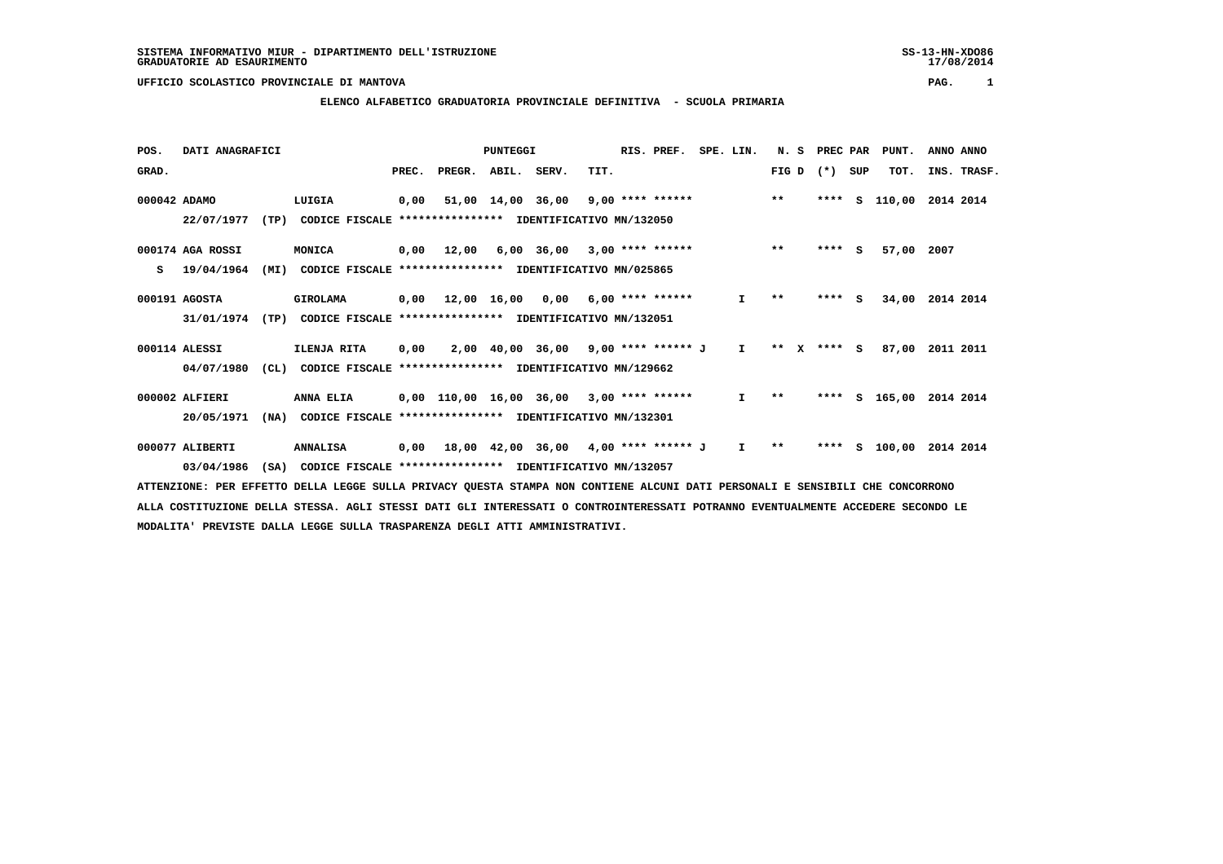## **ELENCO ALFABETICO GRADUATORIA PROVINCIALE DEFINITIVA - SCUOLA PRIMARIA**

| POS.         | DATI ANAGRAFICI  |      |                                                          |       |        | <b>PUNTEGGI</b> |                                            |      | RIS. PREF. | SPE. LIN.    | N. S         | PREC PAR |     | PUNT.         | ANNO ANNO        |
|--------------|------------------|------|----------------------------------------------------------|-------|--------|-----------------|--------------------------------------------|------|------------|--------------|--------------|----------|-----|---------------|------------------|
| GRAD.        |                  |      |                                                          | PREC. | PREGR. | ABIL. SERV.     |                                            | TIT. |            |              | FIG D        | $(* )$   | SUP | TOT.          | INS. TRASF.      |
| 000042 ADAMO |                  |      | LUIGIA                                                   | 0,00  |        |                 | 51,00 14,00 36,00 9,00 **** ****** *** *** |      |            |              |              | ****     | s   |               | 110,00 2014 2014 |
|              | 22/07/1977       | (TP) | CODICE FISCALE **************** IDENTIFICATIVO MN/132050 |       |        |                 |                                            |      |            |              |              |          |     |               |                  |
|              | 000174 AGA ROSSI |      | MONICA                                                   | 0,00  | 12,00  |                 | $6,00$ $36,00$ $3,00$ **** ******          |      |            |              | $**$         | $***$ S  |     | 57,00         | 2007             |
| s            | 19/04/1964       | (MI) | CODICE FISCALE **************** IDENTIFICATIVO MN/025865 |       |        |                 |                                            |      |            |              |              |          |     |               |                  |
|              | 000191 AGOSTA    |      | GIROLAMA                                                 |       |        |                 | $0,00$ 12,00 16,00 0,00 6,00 **** ******   |      |            | $\mathbf{I}$ | $***$        | $***$ S  |     | 34,00         | 2014 2014        |
|              | 31/01/1974       | (TP) | CODICE FISCALE **************** IDENTIFICATIVO MN/132051 |       |        |                 |                                            |      |            |              |              |          |     |               |                  |
|              | 000114 ALESSI    |      | ILENJA RITA                                              | 0,00  |        |                 | 2,00 40,00 36,00 9,00 **** ****** J I      |      |            |              | $***$        | X **** S |     | 87,00         | 2011 2011        |
|              | 04/07/1980       | CL)  | CODICE FISCALE                                           |       |        |                 | **************** IDENTIFICATIVO MN/129662  |      |            |              |              |          |     |               |                  |
|              | 000002 ALFIERI   |      | ANNA ELIA                                                |       |        |                 | 0,00 110,00 16,00 36,00 3,00 **** ******   |      |            | $\mathbf{I}$ | $\star\star$ |          |     | **** S 165,00 | 2014 2014        |
|              | 20/05/1971       | (NA) | CODICE FISCALE **************** IDENTIFICATIVO MN/132301 |       |        |                 |                                            |      |            |              |              |          |     |               |                  |
|              | 000077 ALIBERTI  |      | <b>ANNALISA</b>                                          | 0,00  |        |                 | 18,00 42,00 36,00 4,00 **** ****** J       |      |            | $\mathbf{I}$ | $* *$        |          |     | **** S 100,00 | 2014 2014        |
|              | 03/04/1986       | (SA) | CODICE FISCALE **************** IDENTIFICATIVO MN/132057 |       |        |                 |                                            |      |            |              |              |          |     |               |                  |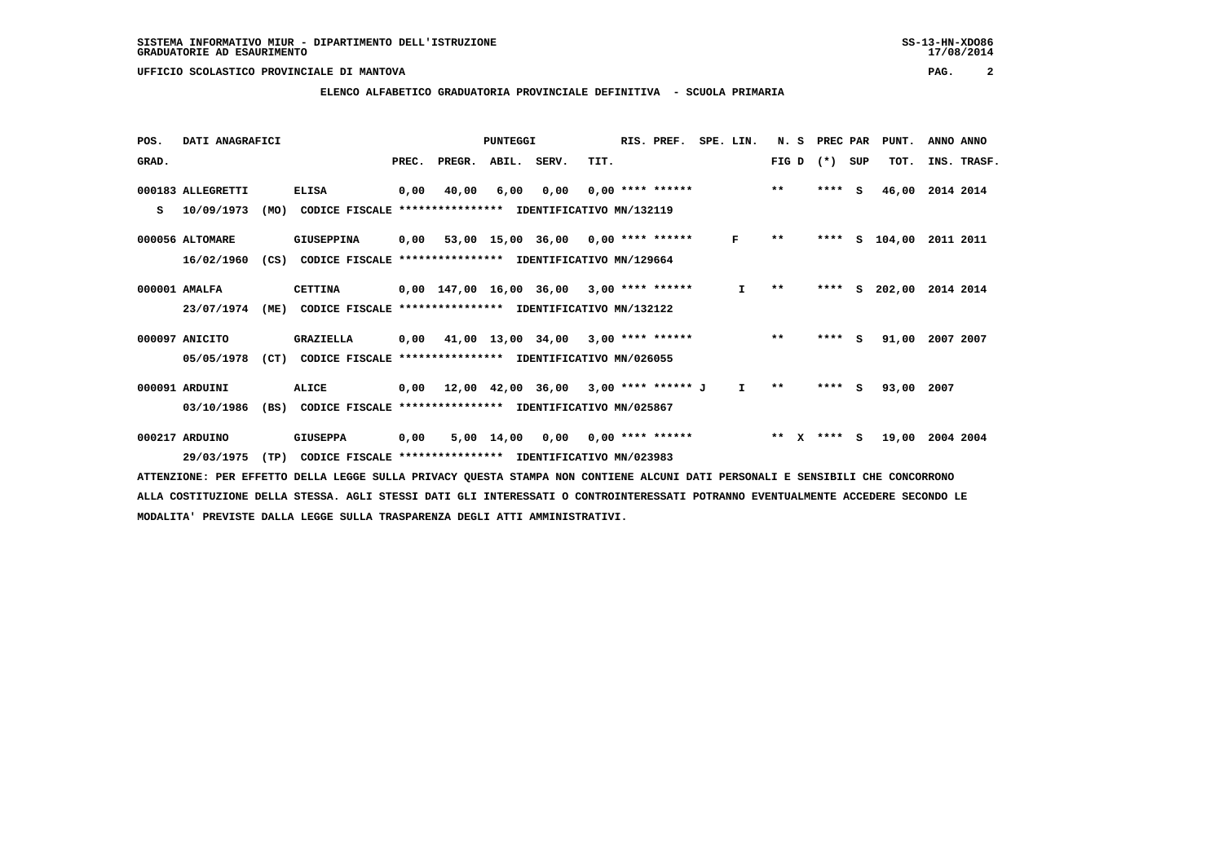#### **ELENCO ALFABETICO GRADUATORIA PROVINCIALE DEFINITIVA - SCUOLA PRIMARIA**

| POS.  | DATI ANAGRAFICI   |      |                                                          |       |                                            | PUNTEGGI   |                                              |      | RIS. PREF.         | SPE. LIN. | N.S        | PREC PAR |     | PUNT.      | ANNO ANNO   |
|-------|-------------------|------|----------------------------------------------------------|-------|--------------------------------------------|------------|----------------------------------------------|------|--------------------|-----------|------------|----------|-----|------------|-------------|
| GRAD. |                   |      |                                                          | PREC. | PREGR. ABIL. SERV.                         |            |                                              | TIT. |                    |           | FIG D      | $(*)$    | SUP | TOT.       | INS. TRASF. |
|       | 000183 ALLEGRETTI |      | <b>ELISA</b>                                             | 0,00  | 40,00                                      | 6,00       | 0,00                                         |      | $0.00$ **** ****** |           | $***$      | $***$ S  |     | 46,00      | 2014 2014   |
| s     | 10/09/1973        | (MO) | CODICE FISCALE                                           |       | **************** IDENTIFICATIVO MN/132119  |            |                                              |      |                    |           |            |          |     |            |             |
|       | 000056 ALTOMARE   |      | <b>GIUSEPPINA</b>                                        |       | $0,00$ 53,00 15,00 36,00 0,00 **** ******  |            |                                              |      |                    | F         | $* *$      | ****     |     | $S$ 104,00 | 2011 2011   |
|       | 16/02/1960        | (CS) | CODICE FISCALE **************** IDENTIFICATIVO MN/129664 |       |                                            |            |                                              |      |                    |           |            |          |     |            |             |
|       | 000001 AMALFA     |      | <b>CETTINA</b>                                           |       | $0.00$ 147.00 16.00 36.00 3.00 **** ****** |            |                                              |      |                    | I.        | $* *$      | ****     | s.  | 202,00     | 2014 2014   |
|       | 23/07/1974        | (ME) | CODICE FISCALE **************** IDENTIFICATIVO MN/132122 |       |                                            |            |                                              |      |                    |           |            |          |     |            |             |
|       | 000097 ANICITO    |      | GRAZIELLA                                                | 0,00  | 41,00 13,00 34,00                          |            |                                              |      | $3,00$ **** ****** |           | $***$      | ****     | - S | 91,00      | 2007 2007   |
|       | 05/05/1978        | (CT) | CODICE FISCALE **************** IDENTIFICATIVO MN/026055 |       |                                            |            |                                              |      |                    |           |            |          |     |            |             |
|       | 000091 ARDUINI    |      | <b>ALICE</b>                                             | 0,00  |                                            |            | $12,00$ $42,00$ $36,00$ $3,00$ **** ****** J |      |                    | I.        | $* *$      | ****     | s   | 93,00      | 2007        |
|       | 03/10/1986        | (BS) | CODICE FISCALE                                           |       | **************** IDENTIFICATIVO MN/025867  |            |                                              |      |                    |           |            |          |     |            |             |
|       | 000217 ARDUINO    |      | <b>GIUSEPPA</b>                                          | 0,00  |                                            | 5,00 14,00 | 0,00                                         |      | $0,00$ **** ****** |           | $* *$<br>x | **** S   |     | 19,00      | 2004 2004   |
|       | 29/03/1975        | (TP) | CODICE FISCALE **************** IDENTIFICATIVO MN/023983 |       |                                            |            |                                              |      |                    |           |            |          |     |            |             |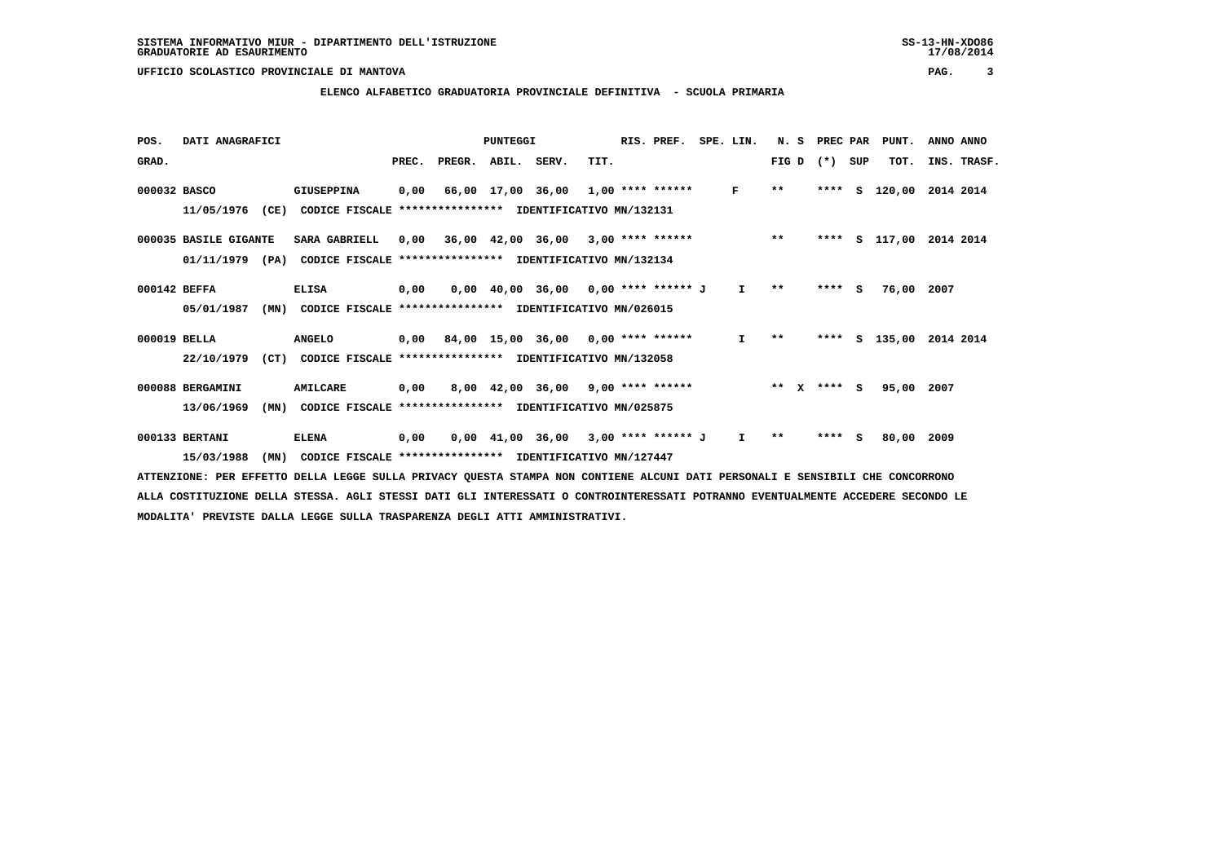#### **ELENCO ALFABETICO GRADUATORIA PROVINCIALE DEFINITIVA - SCUOLA PRIMARIA**

| POS.         | DATI ANAGRAFICI       |                                                                  |       |        | PUNTEGGI               |                                           |      | RIS. PREF.           | SPE. LIN.    | N.S          | PREC PAR    |          | PUNT.  | ANNO ANNO          |
|--------------|-----------------------|------------------------------------------------------------------|-------|--------|------------------------|-------------------------------------------|------|----------------------|--------------|--------------|-------------|----------|--------|--------------------|
| GRAD.        |                       |                                                                  | PREC. | PREGR. | ABIL. SERV.            |                                           | TIT. |                      |              | FIG D        | $(* )$      | SUP      | TOT.   | INS. TRASF.        |
| 000032 BASCO |                       | <b>GIUSEPPINA</b>                                                | 0,00  |        | 66,00 17,00 36,00      |                                           |      | 1,00 **** ******     | F            | $**$         | ****        | s        | 120,00 | 2014 2014          |
|              | 11/05/1976            | (CE)<br>CODICE FISCALE                                           |       |        |                        | *************** IDENTIFICATIVO MN/132131  |      |                      |              |              |             |          |        |                    |
|              | 000035 BASILE GIGANTE | SARA GABRIELL                                                    | 0,00  |        |                        | 36,00 42,00 36,00 3,00 **** ******        |      |                      |              | $**$         | ****        |          |        | S 117,00 2014 2014 |
|              | 01/11/1979            | CODICE FISCALE **************** IDENTIFICATIVO MN/132134<br>(PA) |       |        |                        |                                           |      |                      |              |              |             |          |        |                    |
| 000142 BEFFA |                       | <b>ELISA</b>                                                     | 0,00  |        |                        | $0,00$ 40,00 36,00 0,00 **** ****** J     |      |                      | I.           | $* *$        | **** S      |          | 76,00  | 2007               |
|              | 05/01/1987            | (MN)<br>CODICE FISCALE **************** IDENTIFICATIVO MN/026015 |       |        |                        |                                           |      |                      |              |              |             |          |        |                    |
| 000019 BELLA |                       | <b>ANGELO</b>                                                    |       |        |                        | $0,00$ 84,00 15,00 36,00 0,00 **** ****** |      |                      | $\mathbf{I}$ | $* *$        | ****        | s        | 135,00 | 2014 2014          |
|              | 22/10/1979            | (CT)<br>CODICE FISCALE **************** IDENTIFICATIVO MN/132058 |       |        |                        |                                           |      |                      |              |              |             |          |        |                    |
|              | 000088 BERGAMINI      | <b>AMILCARE</b>                                                  | 0,00  |        |                        | $8,00$ 42,00 36,00 9,00 **** ******       |      |                      |              |              | ** X **** S |          | 95,00  | 2007               |
|              | 13/06/1969            | (MN)<br>CODICE FISCALE                                           |       |        |                        | **************** IDENTIFICATIVO MN/025875 |      |                      |              |              |             |          |        |                    |
|              | 000133 BERTANI        | <b>ELENA</b>                                                     | 0,00  |        | $0,00$ $41,00$ $36,00$ |                                           |      | $3,00$ **** ****** J | I.           | $\star\star$ | ****        | <b>S</b> | 80,00  | 2009               |
|              | 15/03/1988            | (MN)<br>CODICE FISCALE **************** IDENTIFICATIVO MN/127447 |       |        |                        |                                           |      |                      |              |              |             |          |        |                    |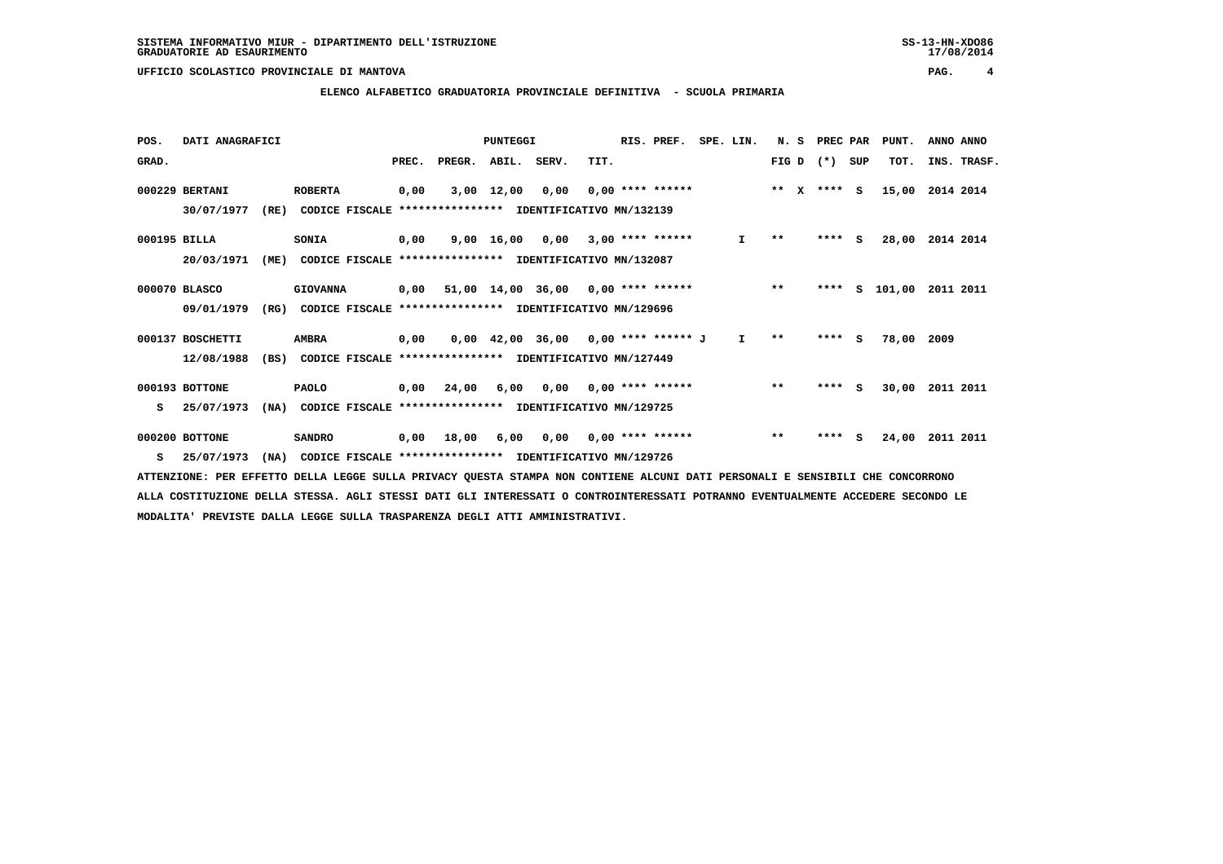#### **ELENCO ALFABETICO GRADUATORIA PROVINCIALE DEFINITIVA - SCUOLA PRIMARIA**

| POS.         | DATI ANAGRAFICI  |      |                                                          |       |        | PUNTEGGI     |                                            |      | RIS. PREF.                | SPE. LIN.    | N.S    | PREC PAR |          | PUNT.    | ANNO ANNO   |
|--------------|------------------|------|----------------------------------------------------------|-------|--------|--------------|--------------------------------------------|------|---------------------------|--------------|--------|----------|----------|----------|-------------|
| GRAD.        |                  |      |                                                          | PREC. | PREGR. | ABIL. SERV.  |                                            | TIT. |                           |              | FIG D  | $(*)$    | SUP      | TOT.     | INS. TRASF. |
|              | 000229 BERTANI   |      | <b>ROBERTA</b>                                           | 0,00  |        | $3,00$ 12,00 | 0.00                                       |      | $0.00$ **** ******        |              | ** $X$ | $***$ S  |          | 15,00    | 2014 2014   |
|              | 30/07/1977       | (RE) | CODICE FISCALE                                           |       |        |              | **************** IDENTIFICATIVO MN/132139  |      |                           |              |        |          |          |          |             |
| 000195 BILLA |                  |      | SONIA                                                    | 0.00  |        | 9,00 16,00   |                                            |      | $0,00$ 3,00 **** ******   | $\mathbf{I}$ | $* *$  | ****     | <b>S</b> | 28,00    | 2014 2014   |
|              | 20/03/1971       | (ME) | CODICE FISCALE **************** IDENTIFICATIVO MN/132087 |       |        |              |                                            |      |                           |              |        |          |          |          |             |
|              | 000070 BLASCO    |      | <b>GIOVANNA</b>                                          | 0,00  |        |              | $51,00$ $14,00$ $36,00$ $0,00$ **** ****** |      |                           |              | $***$  | ****     |          | S 101,00 | 2011 2011   |
|              | 09/01/1979       | (RG) | CODICE FISCALE **************** IDENTIFICATIVO MN/129696 |       |        |              |                                            |      |                           |              |        |          |          |          |             |
|              | 000137 BOSCHETTI |      | <b>AMBRA</b>                                             | 0,00  |        |              | $0,00$ 42,00 36,00 0,00 **** ****** J      |      |                           | $\mathbf{I}$ | $* *$  | ****     | - S      | 78,00    | 2009        |
|              | 12/08/1988       | (BS) | CODICE FISCALE **************** IDENTIFICATIVO MN/127449 |       |        |              |                                            |      |                           |              |        |          |          |          |             |
|              | 000193 BOTTONE   |      | <b>PAOLO</b>                                             | 0,00  | 24,00  | 6,00         |                                            |      | $0,00$ $0,00$ **** ****** |              | $***$  | $***$ S  |          | 30,00    | 2011 2011   |
| s            | 25/07/1973       | (NA) | CODICE FISCALE **************** IDENTIFICATIVO MN/129725 |       |        |              |                                            |      |                           |              |        |          |          |          |             |
|              | 000200 BOTTONE   |      | <b>SANDRO</b>                                            | 0,00  | 18,00  | 6,00         | 0,00                                       |      | $0.00$ **** ******        |              | $***$  | ****     | s        | 24,00    | 2011 2011   |
| s            | 25/07/1973       | (NA) | CODICE FISCALE **************** IDENTIFICATIVO MN/129726 |       |        |              |                                            |      |                           |              |        |          |          |          |             |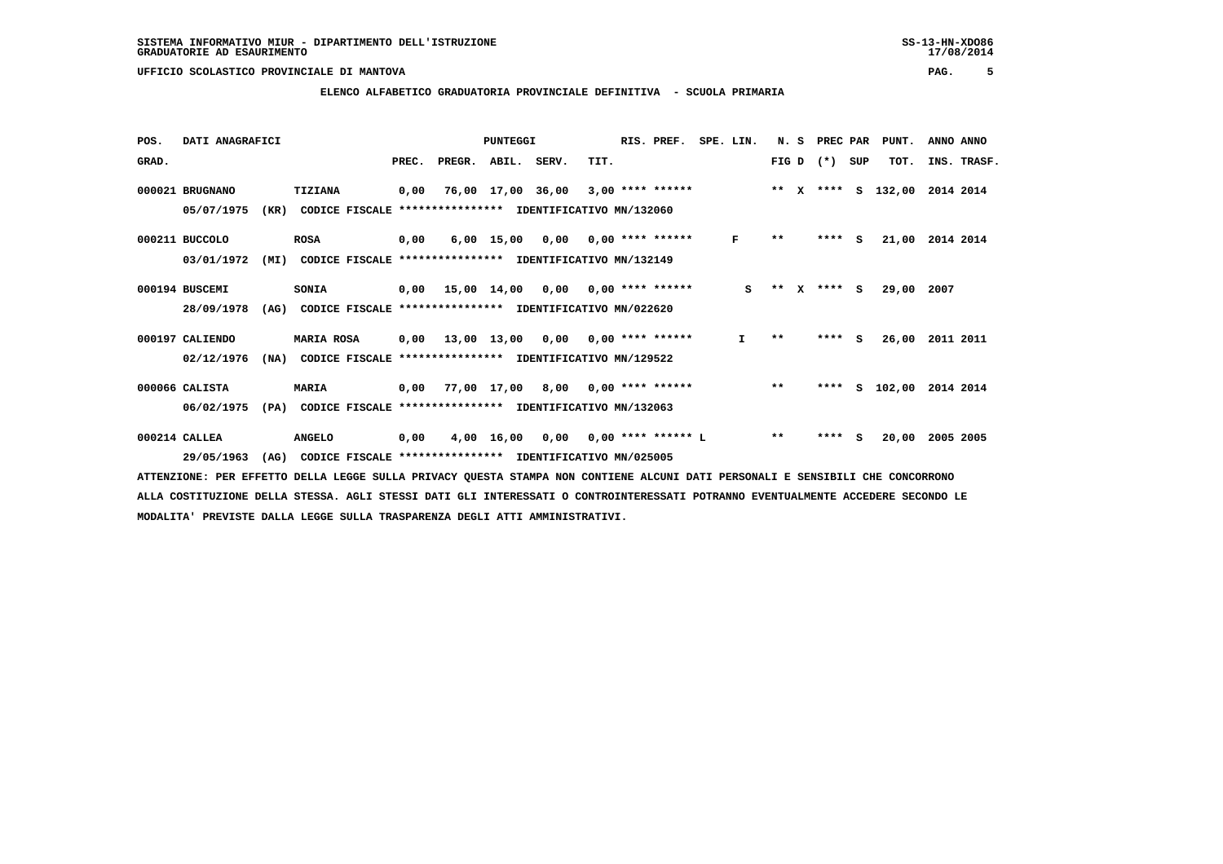#### **ELENCO ALFABETICO GRADUATORIA PROVINCIALE DEFINITIVA - SCUOLA PRIMARIA**

| POS.  | DATI ANAGRAFICI |      |                                                          |       |                    | PUNTEGGI   |                                           |      | RIS. PREF.                | SPE. LIN.    | N. S  |          | PREC PAR    |     | PUNT.              | ANNO ANNO   |
|-------|-----------------|------|----------------------------------------------------------|-------|--------------------|------------|-------------------------------------------|------|---------------------------|--------------|-------|----------|-------------|-----|--------------------|-------------|
| GRAD. |                 |      |                                                          | PREC. | PREGR. ABIL. SERV. |            |                                           | TIT. |                           |              |       |          | FIG D $(*)$ | SUP | TOT.               | INS. TRASF. |
|       | 000021 BRUGNANO |      | TIZIANA                                                  | 0,00  |                    |            | 76,00 17,00 36,00                         |      | $3,00$ **** ******        |              |       |          |             |     | ** x **** s 132,00 | 2014 2014   |
|       | 05/07/1975      | (KR) | CODICE FISCALE                                           |       | ****************   |            | IDENTIFICATIVO MN/132060                  |      |                           |              |       |          |             |     |                    |             |
|       | 000211 BUCCOLO  |      | <b>ROSA</b>                                              | 0,00  |                    | 6,00 15,00 |                                           |      | $0,00$ $0,00$ **** ****** | F            | $* *$ |          | **** S      |     | 21,00              | 2014 2014   |
|       | 03/01/1972      | (MI) | CODICE FISCALE **************** IDENTIFICATIVO MN/132149 |       |                    |            |                                           |      |                           |              |       |          |             |     |                    |             |
|       | 000194 BUSCEMI  |      | <b>SONIA</b>                                             | 0,00  |                    |            | $15,00$ $14,00$ $0,00$ $0,00$ **** ****** |      |                           | S            | $* *$ | <b>X</b> | $***$ S     |     | 29,00              | 2007        |
|       | 28/09/1978      | (AG) | CODICE FISCALE **************** IDENTIFICATIVO MN/022620 |       |                    |            |                                           |      |                           |              |       |          |             |     |                    |             |
|       | 000197 CALIENDO |      | <b>MARIA ROSA</b>                                        |       | 0,00 13,00 13,00   |            |                                           |      | $0,00$ $0,00$ **** ****** | $\mathbf{I}$ | $* *$ |          | ****        | S.  | 26,00              | 2011 2011   |
|       | 02/12/1976      | (NA) | CODICE FISCALE **************** IDENTIFICATIVO MN/129522 |       |                    |            |                                           |      |                           |              |       |          |             |     |                    |             |
|       | 000066 CALISTA  |      | <b>MARIA</b>                                             | 0,00  |                    |            | 77,00 17,00 8,00 0,00 **** ******         |      |                           |              | $***$ |          | ****        |     | S 102,00           | 2014 2014   |
|       | 06/02/1975      | (PA) | CODICE FISCALE                                           |       |                    |            | *************** IDENTIFICATIVO MN/132063  |      |                           |              |       |          |             |     |                    |             |
|       | 000214 CALLEA   |      | <b>ANGELO</b>                                            | 0,00  |                    | 4,00 16,00 | 0,00                                      |      | $0,00$ **** ****** L      |              | $* *$ |          | ****        | s   | 20,00              | 2005 2005   |
|       | 29/05/1963      | (AG) | CODICE FISCALE **************** IDENTIFICATIVO MN/025005 |       |                    |            |                                           |      |                           |              |       |          |             |     |                    |             |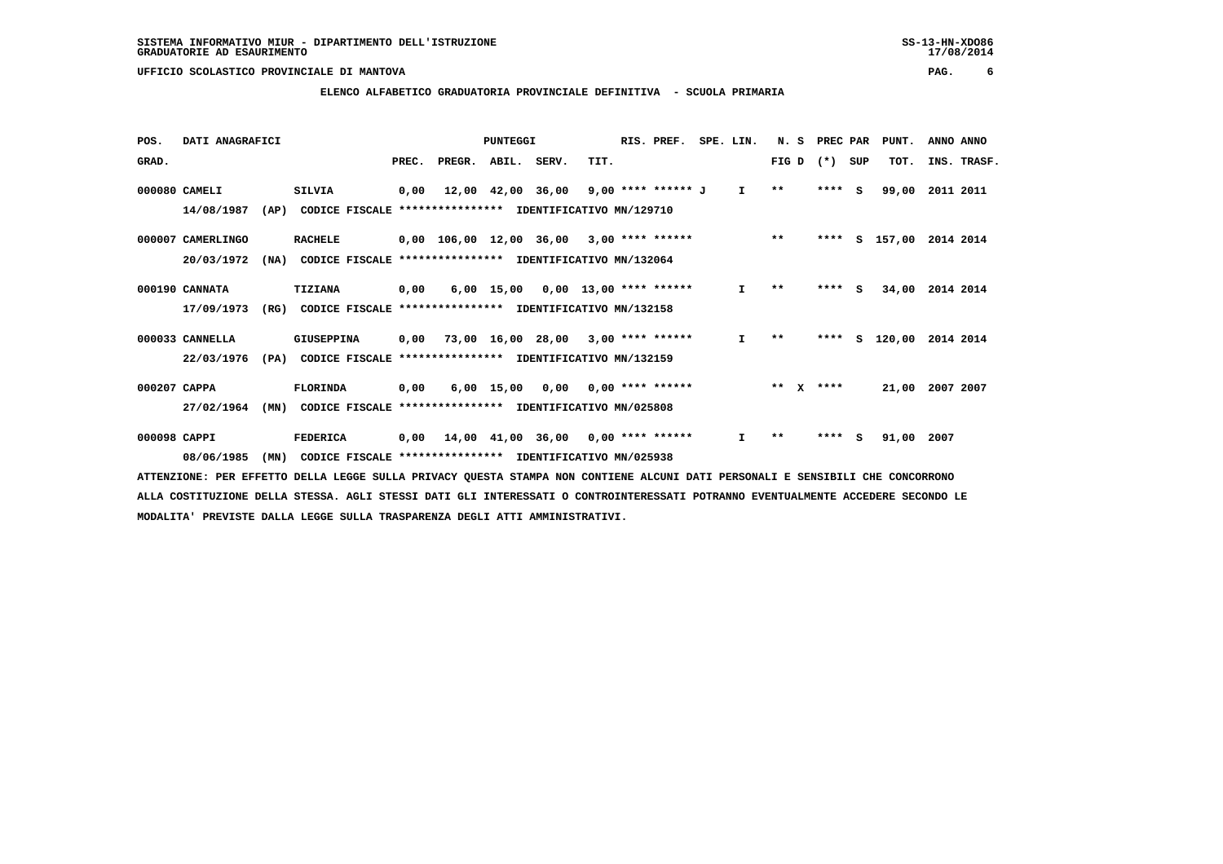**ELENCO ALFABETICO GRADUATORIA PROVINCIALE DEFINITIVA - SCUOLA PRIMARIA**

| POS.         | DATI ANAGRAFICI   |      |                 |       |                                                          | PUNTEGGI          |       |      | RIS. PREF.               | SPE. LIN.    | N.S   |              | PREC PAR |     | PUNT.    | ANNO ANNO |             |
|--------------|-------------------|------|-----------------|-------|----------------------------------------------------------|-------------------|-------|------|--------------------------|--------------|-------|--------------|----------|-----|----------|-----------|-------------|
| GRAD.        |                   |      |                 | PREC. | PREGR.                                                   | ABIL.             | SERV. | TIT. |                          |              | FIG D |              | $(*)$    | SUP | TOT.     |           | INS. TRASF. |
|              | 000080 CAMELI     |      | <b>SILVIA</b>   | 0,00  |                                                          | 12,00 42,00 36,00 |       |      | $9,00$ **** ****** J     | $\mathbf{I}$ | $***$ |              | ****     | s   | 99,00    | 2011 2011 |             |
|              | 14/08/1987        | (AP) |                 |       | CODICE FISCALE **************** IDENTIFICATIVO MN/129710 |                   |       |      |                          |              |       |              |          |     |          |           |             |
|              | 000007 CAMERLINGO |      | <b>RACHELE</b>  |       | 0,00 106,00 12,00 36,00                                  |                   |       |      | $3,00$ **** ******       |              | $* *$ |              | ****     |     | S 157,00 | 2014 2014 |             |
|              | 20/03/1972        | (NA) |                 |       | CODICE FISCALE **************** IDENTIFICATIVO MN/132064 |                   |       |      |                          |              |       |              |          |     |          |           |             |
|              | 000190 CANNATA    |      | TIZIANA         | 0,00  |                                                          | $6,00$ 15,00      |       |      | $0,00$ 13,00 **** ****** | $\mathbf{I}$ | $**$  |              | ****     | - S | 34,00    | 2014 2014 |             |
|              | 17/09/1973        | (RG) |                 |       | CODICE FISCALE **************** IDENTIFICATIVO MN/132158 |                   |       |      |                          |              |       |              |          |     |          |           |             |
|              | 000033 CANNELLA   |      | GIUSEPPINA      | 0,00  | 73,00 16,00 28,00                                        |                   |       |      | $3,00$ **** ******       | I.           | $* *$ |              | ****     | s   | 120,00   | 2014 2014 |             |
|              | 22/03/1976        | (PA) |                 |       | CODICE FISCALE **************** IDENTIFICATIVO MN/132159 |                   |       |      |                          |              |       |              |          |     |          |           |             |
| 000207 CAPPA |                   |      | <b>FLORINDA</b> | 0,00  |                                                          | $6,00$ 15,00      | 0.00  |      | $0.00$ **** ******       |              | $* *$ | $\mathbf{x}$ | ****     |     | 21,00    | 2007 2007 |             |
|              | 27/02/1964        | (MN) |                 |       | CODICE FISCALE **************** IDENTIFICATIVO MN/025808 |                   |       |      |                          |              |       |              |          |     |          |           |             |
| 000098 CAPPI |                   |      | FEDERICA        | 0,00  | 14,00 41,00 36,00 0,00 **** ******                       |                   |       |      |                          | I.           | **    |              | ****     | s   | 91,00    | 2007      |             |
|              | 08/06/1985        | (MN) | CODICE FISCALE  |       | **************** IDENTIFICATIVO MN/025938                |                   |       |      |                          |              |       |              |          |     |          |           |             |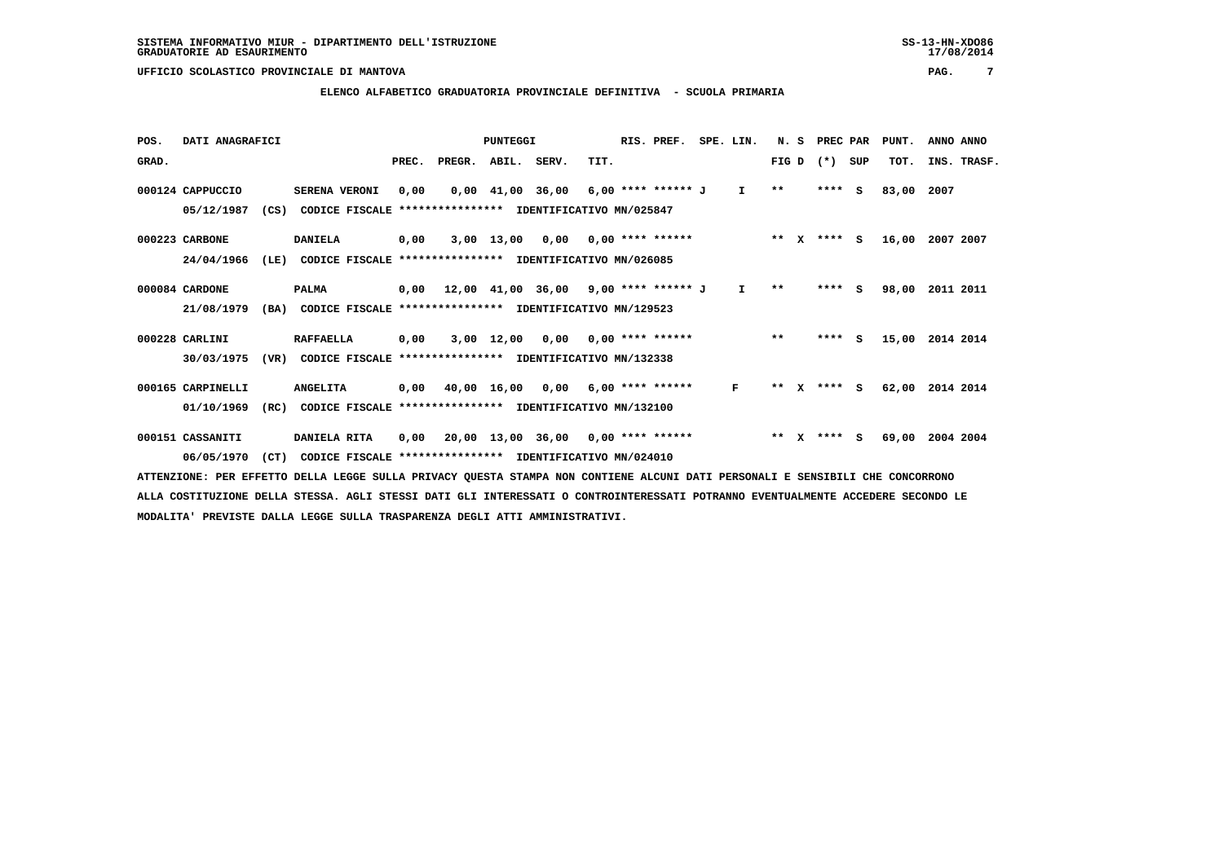#### **ELENCO ALFABETICO GRADUATORIA PROVINCIALE DEFINITIVA - SCUOLA PRIMARIA**

| POS.  | DATI ANAGRAFICI                                                                                                               |      |                  |                |       |                                                          | <b>PUNTEGGI</b> |                                              |      | RIS. PREF.                | SPE. LIN. | N.S          |              | PREC PAR |          | PUNT. | ANNO ANNO   |  |
|-------|-------------------------------------------------------------------------------------------------------------------------------|------|------------------|----------------|-------|----------------------------------------------------------|-----------------|----------------------------------------------|------|---------------------------|-----------|--------------|--------------|----------|----------|-------|-------------|--|
| GRAD. |                                                                                                                               |      |                  |                | PREC. | PREGR.                                                   | ABIL. SERV.     |                                              | TIT. |                           |           | FIG D        |              | $(* )$   | SUP      | TOT.  | INS. TRASF. |  |
|       | 000124 CAPPUCCIO                                                                                                              |      | SERENA VERONI    |                | 0,00  |                                                          |                 | 0,00 41,00 36,00                             |      | 6,00 **** ****** J        | I.        | $* *$        |              | ****     | <b>S</b> | 83,00 | 2007        |  |
|       | 05/12/1987                                                                                                                    | (CS) |                  |                |       | CODICE FISCALE **************** IDENTIFICATIVO MN/025847 |                 |                                              |      |                           |           |              |              |          |          |       |             |  |
|       | 000223 CARBONE                                                                                                                |      | <b>DANIELA</b>   |                | 0,00  |                                                          | $3,00$ 13,00    | 0,00                                         |      | $0.00$ **** ******        |           | $* *$        | $\mathbf{x}$ | **** S   |          | 16,00 | 2007 2007   |  |
|       | 24/04/1966                                                                                                                    | (LE) |                  |                |       | CODICE FISCALE **************** IDENTIFICATIVO MN/026085 |                 |                                              |      |                           |           |              |              |          |          |       |             |  |
|       | 000084 CARDONE                                                                                                                |      | <b>PALMA</b>     |                | 0,00  |                                                          |                 | $12,00$ $41,00$ $36,00$ $9,00$ **** ****** J |      |                           | I.        | $\star\star$ |              | **** S   |          | 98,00 | 2011 2011   |  |
|       | 21/08/1979                                                                                                                    | (BA) |                  |                |       | CODICE FISCALE **************** IDENTIFICATIVO MN/129523 |                 |                                              |      |                           |           |              |              |          |          |       |             |  |
|       | 000228 CARLINI                                                                                                                |      | <b>RAFFAELLA</b> |                | 0,00  |                                                          | 3,00 12,00      |                                              |      | $0.00$ $0.00$ **** ****** |           | $* *$        |              | ****     | <b>S</b> | 15,00 | 2014 2014   |  |
|       | 30/03/1975                                                                                                                    | (VR) |                  | CODICE FISCALE |       | **************** IDENTIFICATIVO MN/132338                |                 |                                              |      |                           |           |              |              |          |          |       |             |  |
|       | 000165 CARPINELLI                                                                                                             |      | <b>ANGELITA</b>  |                | 0,00  |                                                          | 40,00 16,00     | 0,00                                         |      | $6,00$ **** ******        | F         | $* *$        | x            | **** S   |          | 62,00 | 2014 2014   |  |
|       | 01/10/1969                                                                                                                    | (RC) |                  |                |       | CODICE FISCALE **************** IDENTIFICATIVO MN/132100 |                 |                                              |      |                           |           |              |              |          |          |       |             |  |
|       | 000151 CASSANITI                                                                                                              |      | DANIELA RITA     |                | 0,00  |                                                          |                 | $20,00$ 13,00 36,00 0,00 **** ******         |      |                           |           | $***$ X      |              | **** S   |          | 69,00 | 2004 2004   |  |
|       | 06/05/1970                                                                                                                    | (CT) |                  |                |       | CODICE FISCALE **************** IDENTIFICATIVO MN/024010 |                 |                                              |      |                           |           |              |              |          |          |       |             |  |
|       | ATTENZIONE: PER EFFETTO DELLA LEGGE SULLA PRIVACY OUESTA STAMPA NON CONTIENE ALCUNI DATI PERSONALI E SENSIBILI CHE CONCORRONO |      |                  |                |       |                                                          |                 |                                              |      |                           |           |              |              |          |          |       |             |  |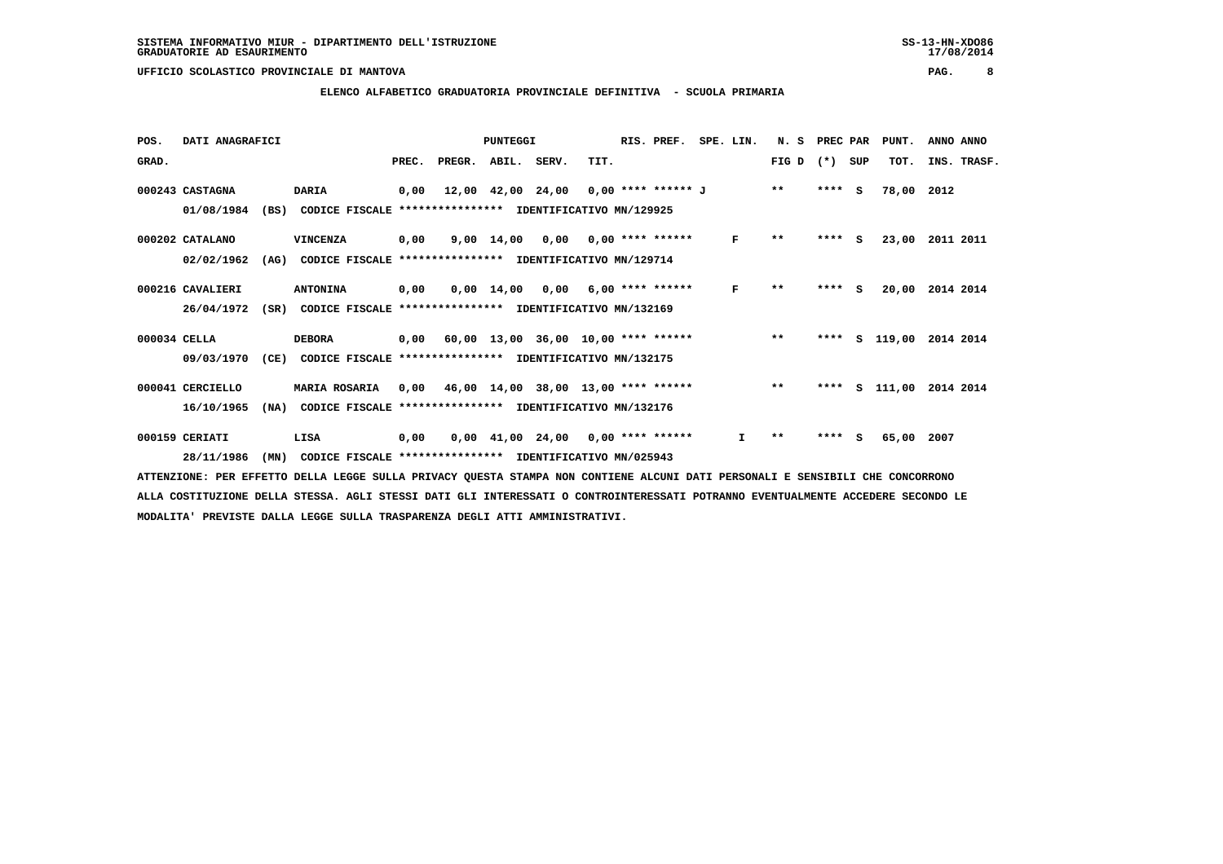#### **ELENCO ALFABETICO GRADUATORIA PROVINCIALE DEFINITIVA - SCUOLA PRIMARIA**

| POS.         | DATI ANAGRAFICI  |      |                                                               |      |                                            | PUNTEGGI                                |      | RIS. PREF. | SPE. LIN.    | N. S                     | PREC PAR |     | PUNT.                   | ANNO ANNO   |  |
|--------------|------------------|------|---------------------------------------------------------------|------|--------------------------------------------|-----------------------------------------|------|------------|--------------|--------------------------|----------|-----|-------------------------|-------------|--|
| GRAD.        |                  |      |                                                               |      | PREC. PREGR. ABIL. SERV.                   |                                         | TIT. |            |              | FIG D $(*)$ SUP          |          |     | TOT.                    | INS. TRASF. |  |
|              | 000243 CASTAGNA  |      | <b>DARIA</b>                                                  | 0,00 |                                            | 12,00 42,00 24,00 0,00 **** ****** J ** |      |            |              |                          | $***$ S  |     | 78,00 2012              |             |  |
|              | 01/08/1984       | (BS) | CODICE FISCALE **************** IDENTIFICATIVO MN/129925      |      |                                            |                                         |      |            |              |                          |          |     |                         |             |  |
|              | 000202 CATALANO  |      | VINCENZA                                                      | 0,00 |                                            | $9,00$ 14,00 0,00 0,00 **** ******      |      |            | F            | $\pmb{\star}\pmb{\star}$ | $***$ S  |     | 23,00                   | 2011 2011   |  |
|              | 02/02/1962       | (AG) | CODICE FISCALE **************** IDENTIFICATIVO MN/129714      |      |                                            |                                         |      |            |              |                          |          |     |                         |             |  |
|              | 000216 CAVALIERI |      | <b>ANTONINA</b>                                               | 0,00 |                                            | $0.00$ 14.00 0.00 6.00 **** ******      |      |            | F            | $***$                    | **** S   |     | 20,00                   | 2014 2014   |  |
|              | 26/04/1972       |      | (SR) CODICE FISCALE **************** IDENTIFICATIVO MN/132169 |      |                                            |                                         |      |            |              |                          |          |     |                         |             |  |
| 000034 CELLA |                  |      | <b>DEBORA</b>                                                 |      | $0,00$ 60,00 13,00 36,00 10,00 **** ****** |                                         |      |            |              | $**$                     |          |     | **** S 119,00 2014 2014 |             |  |
|              | 09/03/1970       | (CE) | CODICE FISCALE **************** IDENTIFICATIVO MN/132175      |      |                                            |                                         |      |            |              |                          |          |     |                         |             |  |
|              | 000041 CERCIELLO |      | MARIA ROSARIA                                                 | 0,00 | 46,00 14,00 38,00 13,00 **** ******        |                                         |      |            | $\star\star$ |                          |          |     | **** S 111,00           | 2014 2014   |  |
|              | 16/10/1965       | (NA) | CODICE FISCALE                                                |      | **************** IDENTIFICATIVO MN/132176  |                                         |      |            |              |                          |          |     |                         |             |  |
|              | 000159 CERIATI   |      | LISA                                                          | 0,00 |                                            | $0,00$ 41,00 24,00 0,00 **** ******     |      |            | I.           | $* *$                    | ****     | - S | 65,00                   | 2007        |  |
|              | 28/11/1986       | (MN) | CODICE FISCALE **************** IDENTIFICATIVO MN/025943      |      |                                            |                                         |      |            |              |                          |          |     |                         |             |  |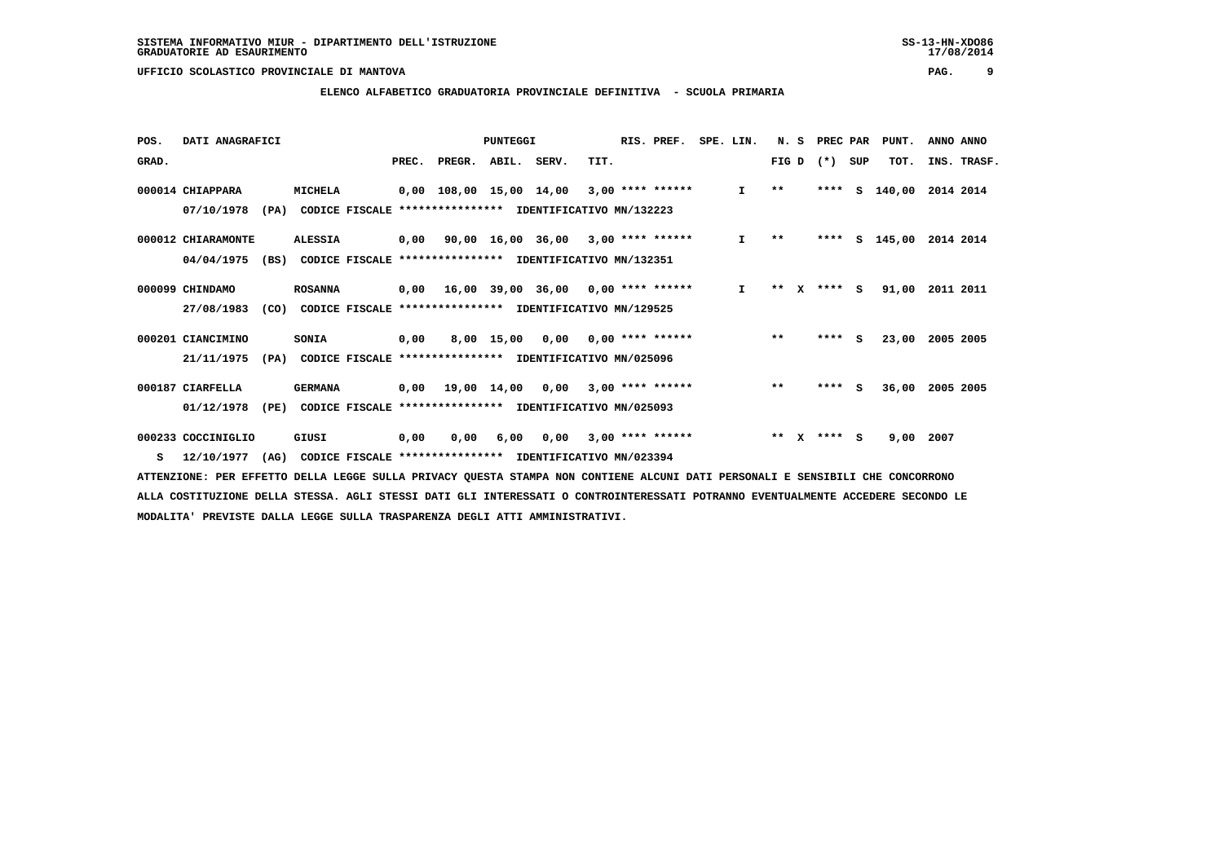#### **ELENCO ALFABETICO GRADUATORIA PROVINCIALE DEFINITIVA - SCUOLA PRIMARIA**

| POS.  | DATI ANAGRAFICI    |      |                |                |       |                                                          | <b>PUNTEGGI</b> |                                      |      | RIS. PREF.         | SPE. LIN.    | N.S   |   | PREC PAR |     | PUNT.  | ANNO ANNO |             |
|-------|--------------------|------|----------------|----------------|-------|----------------------------------------------------------|-----------------|--------------------------------------|------|--------------------|--------------|-------|---|----------|-----|--------|-----------|-------------|
| GRAD. |                    |      |                |                | PREC. | PREGR.                                                   | ABIL.           | SERV.                                | TIT. |                    |              | FIG D |   | $(*)$    | SUP | TOT.   |           | INS. TRASF. |
|       | 000014 CHIAPPARA   |      | MICHELA        |                |       | 0,00 108,00 15,00 14,00                                  |                 |                                      |      | $3,00$ **** ****** | I.           | $* *$ |   | ****     | S.  | 140,00 | 2014 2014 |             |
|       | 07/10/1978         | (PA) |                |                |       | CODICE FISCALE **************** IDENTIFICATIVO MN/132223 |                 |                                      |      |                    |              |       |   |          |     |        |           |             |
|       | 000012 CHIARAMONTE |      | <b>ALESSIA</b> |                | 0,00  |                                                          |                 | $90,00$ 16,00 36,00 3,00 **** ****** |      |                    | $\mathbf{I}$ | $* *$ |   | ****     | s   | 145,00 | 2014 2014 |             |
|       | 04/04/1975         | (BS) |                |                |       | CODICE FISCALE *****************                         |                 | IDENTIFICATIVO MN/132351             |      |                    |              |       |   |          |     |        |           |             |
|       | 000099 CHINDAMO    |      | <b>ROSANNA</b> |                |       | $0,00$ 16,00 39,00 36,00 0,00 **** ******                |                 |                                      |      |                    | I.           | $***$ | x | $***$ S  |     | 91,00  | 2011 2011 |             |
|       | 27/08/1983         | (CO) |                |                |       | CODICE FISCALE **************** IDENTIFICATIVO MN/129525 |                 |                                      |      |                    |              |       |   |          |     |        |           |             |
|       | 000201 CIANCIMINO  |      | SONIA          |                | 0,00  |                                                          | 8,00 15,00      | 0,00                                 |      | $0.00$ **** ****** |              | $***$ |   | ****     | - S | 23,00  | 2005 2005 |             |
|       | 21/11/1975         | (PA) |                |                |       | CODICE FISCALE **************** IDENTIFICATIVO MN/025096 |                 |                                      |      |                    |              |       |   |          |     |        |           |             |
|       | 000187 CIARFELLA   |      | <b>GERMANA</b> |                | 0,00  | 19,00 14,00                                              |                 | 0.00                                 |      | $3,00$ **** ****** |              | $***$ |   | ****     | s   | 36,00  | 2005 2005 |             |
|       | 01/12/1978         | (PE) |                | CODICE FISCALE |       | ****************                                         |                 | IDENTIFICATIVO MN/025093             |      |                    |              |       |   |          |     |        |           |             |
|       | 000233 COCCINIGLIO |      | GIUSI          |                | 0,00  | 0,00                                                     | 6,00            | 0,00                                 |      | $3,00$ **** ****** |              | $**$  | x | **** S   |     | 9,00   | 2007      |             |
| s     | 12/10/1977         | (AG) |                |                |       | CODICE FISCALE **************** IDENTIFICATIVO MN/023394 |                 |                                      |      |                    |              |       |   |          |     |        |           |             |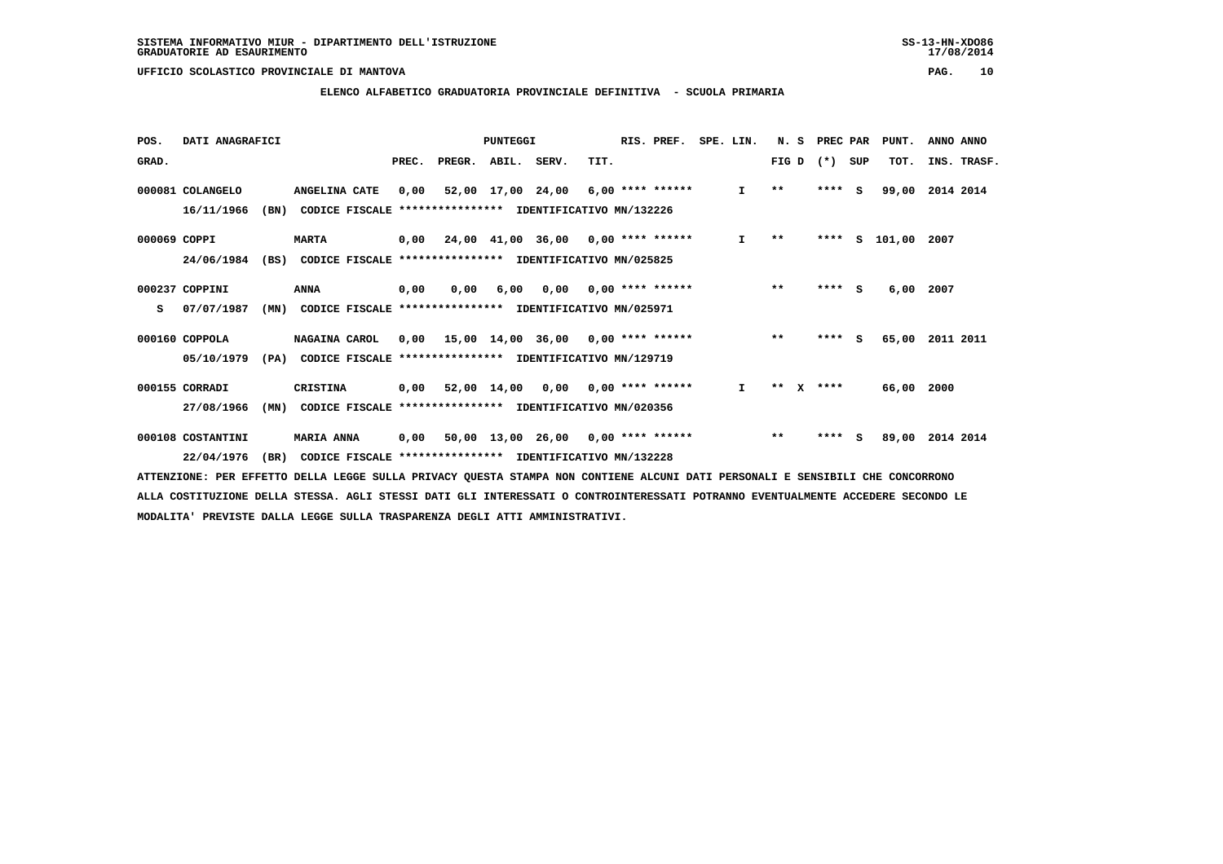#### **ELENCO ALFABETICO GRADUATORIA PROVINCIALE DEFINITIVA - SCUOLA PRIMARIA**

| POS.         | DATI ANAGRAFICI   |      |                                                          |      |                          | PUNTEGGI |                                           |      | RIS. PREF.                | SPE. LIN.    | N. S         |          | PREC PAR |          | PUNT.    | ANNO ANNO   |  |
|--------------|-------------------|------|----------------------------------------------------------|------|--------------------------|----------|-------------------------------------------|------|---------------------------|--------------|--------------|----------|----------|----------|----------|-------------|--|
| GRAD.        |                   |      |                                                          |      | PREC. PREGR. ABIL. SERV. |          |                                           | TIT. |                           |              | FIG D        |          | $(*)$    | SUP      | TOT.     | INS. TRASF. |  |
|              | 000081 COLANGELO  |      | ANGELINA CATE                                            | 0,00 |                          |          | $52,00$ 17,00 24,00 6,00 **** ******      |      |                           | $\mathbf{I}$ | $\star\star$ |          | ****     | <b>S</b> | 99,00    | 2014 2014   |  |
|              | 16/11/1966        | (BN) | CODICE FISCALE                                           |      |                          |          | *************** IDENTIFICATIVO MN/132226  |      |                           |              |              |          |          |          |          |             |  |
| 000069 COPPI |                   |      | <b>MARTA</b>                                             |      |                          |          | $0,00$ 24,00 41,00 36,00 0,00 **** ****** |      |                           | $\mathbf{I}$ | $* *$        |          | ****     |          | s 101,00 | 2007        |  |
|              | 24/06/1984        | (BS) | CODICE FISCALE **************** IDENTIFICATIVO MN/025825 |      |                          |          |                                           |      |                           |              |              |          |          |          |          |             |  |
|              | 000237 COPPINI    |      | <b>ANNA</b>                                              | 0,00 | 0.00                     | 6,00     |                                           |      | $0.00$ $0.00$ **** ****** |              | $***$        |          | $***$ S  |          | 6,00     | 2007        |  |
| s            | 07/07/1987        | (MN) | CODICE FISCALE **************** IDENTIFICATIVO MN/025971 |      |                          |          |                                           |      |                           |              |              |          |          |          |          |             |  |
|              | 000160 COPPOLA    |      | NAGAINA CAROL                                            |      |                          |          | $0,00$ 15,00 14,00 36,00 0,00 **** ****** |      |                           |              | $***$        |          | ****     | - S      | 65,00    | 2011 2011   |  |
|              | 05/10/1979        | (PA) | CODICE FISCALE **************** IDENTIFICATIVO MN/129719 |      |                          |          |                                           |      |                           |              |              |          |          |          |          |             |  |
|              | 000155 CORRADI    |      | CRISTINA                                                 | 0,00 |                          |          | $52,00$ 14,00 0,00 0,00 **** ******       |      |                           | $\mathbf{I}$ | $* *$        | <b>X</b> | ****     |          | 66,00    | 2000        |  |
|              | 27/08/1966        | (MN) | CODICE FISCALE                                           |      |                          |          | *************** IDENTIFICATIVO MN/020356  |      |                           |              |              |          |          |          |          |             |  |
|              | 000108 COSTANTINI |      | <b>MARIA ANNA</b>                                        | 0,00 |                          |          | 50,00 13,00 26,00 0,00 **** ******        |      |                           |              | $***$        |          | ****     | s        | 89,00    | 2014 2014   |  |
|              | 22/04/1976        | (BR) | CODICE FISCALE **************** IDENTIFICATIVO MN/132228 |      |                          |          |                                           |      |                           |              |              |          |          |          |          |             |  |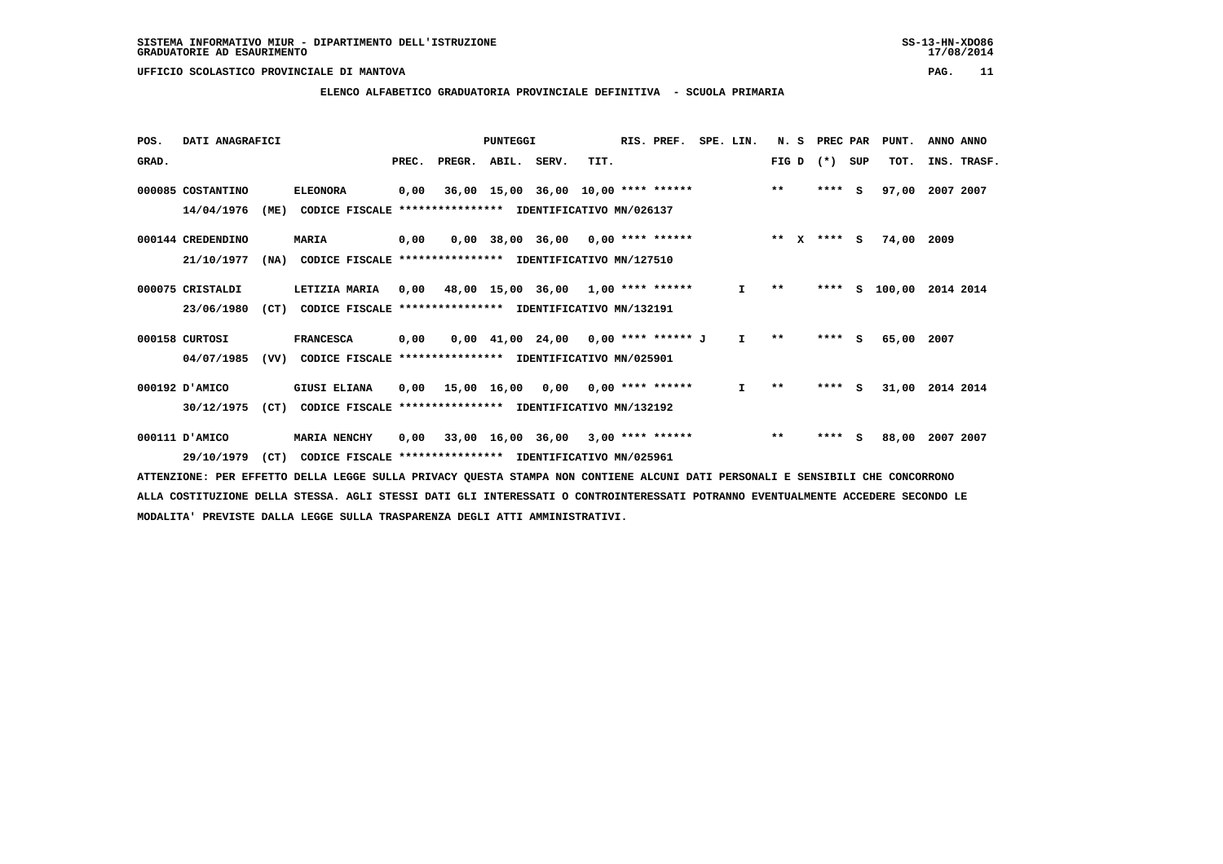#### **ELENCO ALFABETICO GRADUATORIA PROVINCIALE DEFINITIVA - SCUOLA PRIMARIA**

| POS.  | DATI ANAGRAFICI   |      |                                                          |       |                                           | PUNTEGGI                              |      | RIS. PREF. | SPE. LIN.    | N.S          |              | PREC PAR |     | PUNT.  | ANNO ANNO   |  |
|-------|-------------------|------|----------------------------------------------------------|-------|-------------------------------------------|---------------------------------------|------|------------|--------------|--------------|--------------|----------|-----|--------|-------------|--|
| GRAD. |                   |      |                                                          | PREC. | PREGR. ABIL. SERV.                        |                                       | TIT. |            |              | FIG D        |              | $(* )$   | SUP | TOT.   | INS. TRASF. |  |
|       | 000085 COSTANTINO |      | <b>ELEONORA</b>                                          | 0,00  |                                           | 36,00 15,00 36,00 10,00 **** ******   |      |            |              | $***$        |              | $***$ S  |     | 97,00  | 2007 2007   |  |
|       | 14/04/1976        | (ME) | CODICE FISCALE                                           |       | *************** IDENTIFICATIVO MN/026137  |                                       |      |            |              |              |              |          |     |        |             |  |
|       | 000144 CREDENDINO |      | <b>MARIA</b>                                             | 0,00  |                                           | $0,00$ 38,00 36,00 0,00 **** ******   |      |            |              | $* *$        | $\mathbf{x}$ | **** S   |     | 74,00  | 2009        |  |
|       | 21/10/1977        | (NA) | CODICE FISCALE **************** IDENTIFICATIVO MN/127510 |       |                                           |                                       |      |            |              |              |              |          |     |        |             |  |
|       | 000075 CRISTALDI  |      | LETIZIA MARIA                                            | 0,00  | 48,00 15,00 36,00 1,00 **** ******        |                                       |      |            | I.           | $***$        |              | ****     | s   | 100,00 | 2014 2014   |  |
|       | 23/06/1980        | (CT) | CODICE FISCALE                                           |       | **************** IDENTIFICATIVO MN/132191 |                                       |      |            |              |              |              |          |     |        |             |  |
|       | 000158 CURTOSI    |      | <b>FRANCESCA</b>                                         | 0,00  |                                           | $0,00$ 41,00 24,00 0,00 **** ****** J |      |            | $\mathbf{I}$ | $* *$        |              | ****     | - S | 65,00  | 2007        |  |
|       | 04/07/1985        | (VV) | CODICE FISCALE **************** IDENTIFICATIVO MN/025901 |       |                                           |                                       |      |            |              |              |              |          |     |        |             |  |
|       | 000192 D'AMICO    |      | <b>GIUSI ELIANA</b>                                      | 0,00  | 15,00 16,00 0,00 0,00 **** ******         |                                       |      |            | $\mathbf{I}$ | $\star\star$ |              | **** S   |     | 31,00  | 2014 2014   |  |
|       | 30/12/1975        | (CT) | CODICE FISCALE                                           |       | **************** IDENTIFICATIVO MN/132192 |                                       |      |            |              |              |              |          |     |        |             |  |
|       | 000111 D'AMICO    |      | <b>MARIA NENCHY</b>                                      | 0,00  |                                           | $33,00$ 16,00 36,00 3,00 **** ******  |      |            |              | $***$        |              | ****     | - S | 88,00  | 2007 2007   |  |
|       | 29/10/1979        | (CT) | CODICE FISCALE **************** IDENTIFICATIVO MN/025961 |       |                                           |                                       |      |            |              |              |              |          |     |        |             |  |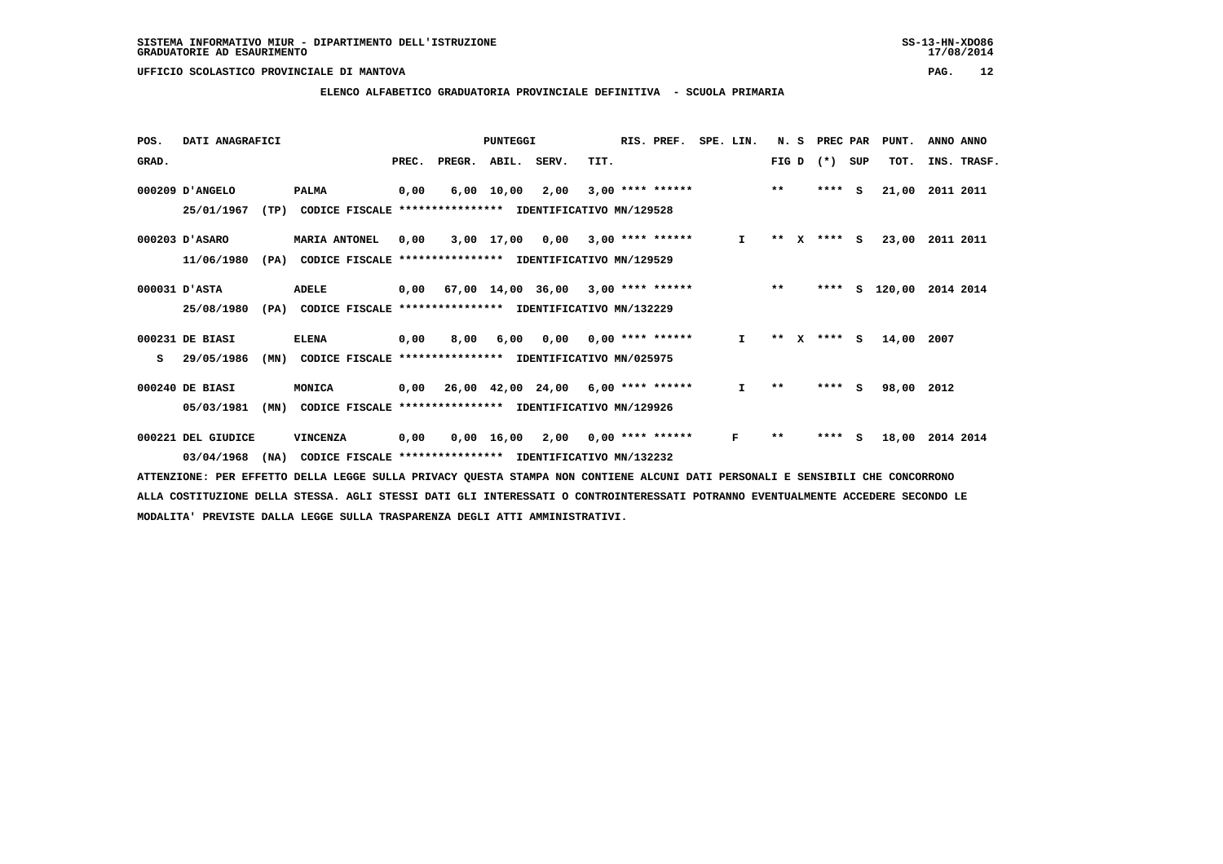#### **ELENCO ALFABETICO GRADUATORIA PROVINCIALE DEFINITIVA - SCUOLA PRIMARIA**

| POS.  | DATI ANAGRAFICI    |      |                                                          |       |        | <b>PUNTEGGI</b> |                                           |      | RIS. PREF.         | SPE. LIN. |              | N.S          |   | PREC PAR |          | PUNT.  | ANNO ANNO   |
|-------|--------------------|------|----------------------------------------------------------|-------|--------|-----------------|-------------------------------------------|------|--------------------|-----------|--------------|--------------|---|----------|----------|--------|-------------|
| GRAD. |                    |      |                                                          | PREC. | PREGR. | ABIL. SERV.     |                                           | TIT. |                    |           |              | FIG D        |   | $(* )$   | SUP      | TOT.   | INS. TRASF. |
|       | 000209 D'ANGELO    |      | <b>PALMA</b>                                             | 0,00  | 6,00   | 10,00           | 2,00                                      |      | $3,00$ **** ****** |           |              | $***$        |   | ****     | <b>S</b> | 21,00  | 2011 2011   |
|       | 25/01/1967         | (TP) | CODICE FISCALE **************** IDENTIFICATIVO MN/129528 |       |        |                 |                                           |      |                    |           |              |              |   |          |          |        |             |
|       | 000203 D'ASARO     |      | <b>MARIA ANTONEL</b>                                     | 0,00  |        | 3,00 17,00      | 0,00                                      |      | $3,00$ **** ****** |           | $\mathbf{I}$ | $* *$        | X | $***$ S  |          | 23,00  | 2011 2011   |
|       | 11/06/1980         | (PA) | CODICE FISCALE                                           |       |        |                 | *************** IDENTIFICATIVO MN/129529  |      |                    |           |              |              |   |          |          |        |             |
|       | 000031 D'ASTA      |      | ADELE                                                    | 0,00  |        |                 | 67,00 14,00 36,00                         |      | $3,00$ **** ****** |           |              | $***$        |   | ****     | s        | 120,00 | 2014 2014   |
|       | 25/08/1980         | (PA) | CODICE FISCALE **************** IDENTIFICATIVO MN/132229 |       |        |                 |                                           |      |                    |           |              |              |   |          |          |        |             |
|       | 000231 DE BIASI    |      | <b>ELENA</b>                                             | 0,00  | 8,00   | 6,00            | 0,00                                      |      | 0,00 **** ******   |           | $\mathbf{I}$ | * *          |   | **** S   |          | 14,00  | 2007        |
| s     | 29/05/1986         | (MN) | CODICE FISCALE **************** IDENTIFICATIVO MN/025975 |       |        |                 |                                           |      |                    |           |              |              |   |          |          |        |             |
|       | 000240 DE BIASI    |      | MONICA                                                   |       |        |                 | $0,00$ 26,00 42,00 24,00 6,00 **** ****** |      |                    |           | I.           | $\star\star$ |   | $***$ S  |          | 98,00  | 2012        |
|       | 05/03/1981         | (MN) | CODICE FISCALE **************** IDENTIFICATIVO MN/129926 |       |        |                 |                                           |      |                    |           |              |              |   |          |          |        |             |
|       | 000221 DEL GIUDICE |      | VINCENZA                                                 | 0,00  |        | 0,00 16,00      | 2,00                                      |      | $0.00$ **** ****** |           | F            | $* *$        |   | ****     | <b>S</b> | 18,00  | 2014 2014   |
|       | 03/04/1968         | (NA) | CODICE FISCALE **************** IDENTIFICATIVO MN/132232 |       |        |                 |                                           |      |                    |           |              |              |   |          |          |        |             |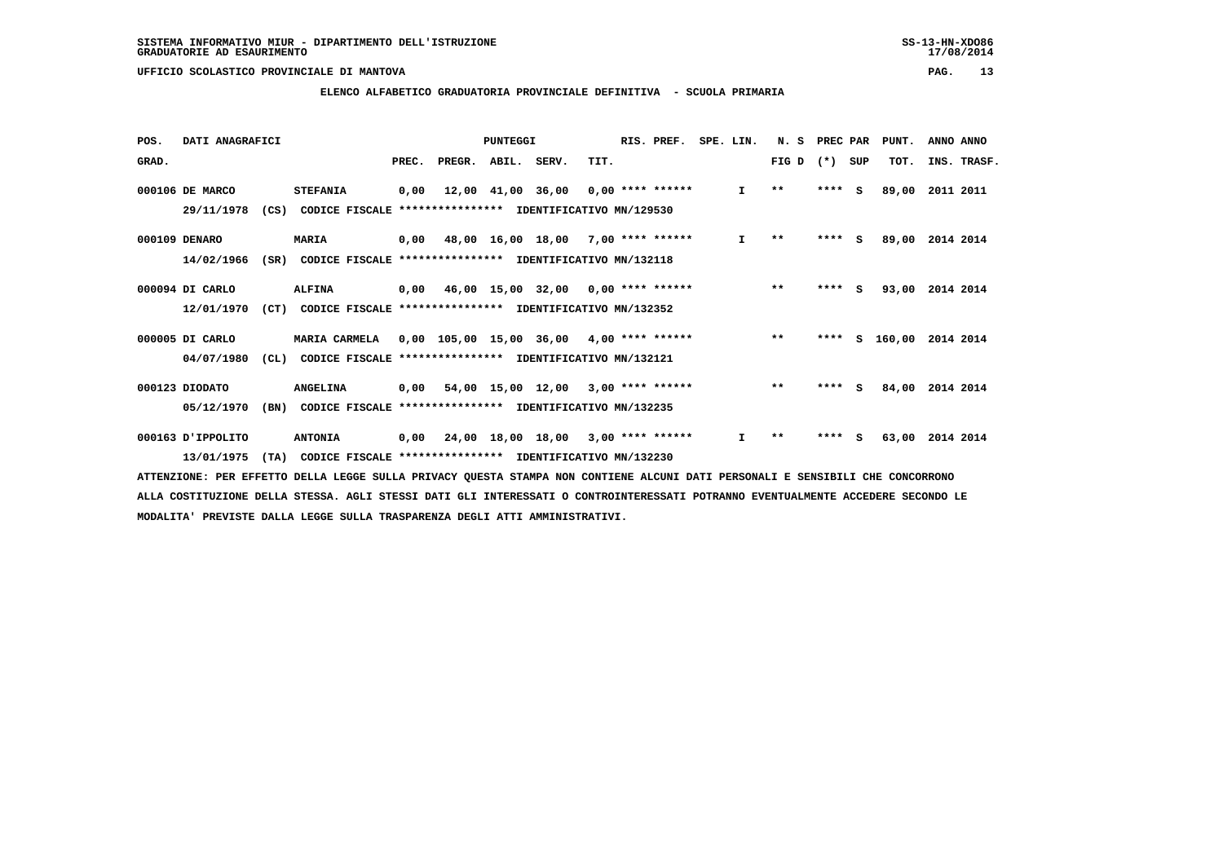#### **ELENCO ALFABETICO GRADUATORIA PROVINCIALE DEFINITIVA - SCUOLA PRIMARIA**

| POS.  | DATI ANAGRAFICI   |      |                                                               |       |        | PUNTEGGI    |                                            |      | RIS. PREF. | SPE. LIN. |              | N.S          | PREC PAR |          | PUNT.    | ANNO ANNO   |
|-------|-------------------|------|---------------------------------------------------------------|-------|--------|-------------|--------------------------------------------|------|------------|-----------|--------------|--------------|----------|----------|----------|-------------|
| GRAD. |                   |      |                                                               | PREC. | PREGR. | ABIL. SERV. |                                            | TIT. |            |           |              | FIG D        | $(*)$    | SUP      | TOT.     | INS. TRASF. |
|       | 000106 DE MARCO   |      | <b>STEFANIA</b>                                               | 0,00  |        |             | 12,00 41,00 36,00 0,00 **** ******         |      |            |           | $\mathbf{I}$ | $\star\star$ | ****     | - S      | 89,00    | 2011 2011   |
|       | 29/11/1978        | (CS) | CODICE FISCALE **************** IDENTIFICATIVO MN/129530      |       |        |             |                                            |      |            |           |              |              |          |          |          |             |
|       | 000109 DENARO     |      | <b>MARIA</b>                                                  |       |        |             | $0,00$ 48,00 16,00 18,00 7,00 **** ******  |      |            |           | $\mathbf{I}$ | $\star\star$ | $***$ S  |          | 89,00    | 2014 2014   |
|       | 14/02/1966        | (SR) | CODICE FISCALE **************** IDENTIFICATIVO MN/132118      |       |        |             |                                            |      |            |           |              |              |          |          |          |             |
|       | 000094 DI CARLO   |      | <b>ALFINA</b>                                                 | 0,00  |        |             | 46,00 15,00 32,00 0,00 **** ******         |      |            |           |              | $***$        | ****     | <b>S</b> | 93,00    | 2014 2014   |
|       | 12/01/1970        |      | (CT) CODICE FISCALE **************** IDENTIFICATIVO MN/132352 |       |        |             |                                            |      |            |           |              |              |          |          |          |             |
|       | 000005 DI CARLO   |      | <b>MARIA CARMELA</b>                                          |       |        |             | $0.00$ 105.00 15.00 36.00 4.00 **** ****** |      |            |           |              | $* *$        | ****     |          | S 160,00 | 2014 2014   |
|       | 04/07/1980        | CL)  | CODICE FISCALE **************** IDENTIFICATIVO MN/132121      |       |        |             |                                            |      |            |           |              |              |          |          |          |             |
|       | 000123 DIODATO    |      | <b>ANGELINA</b>                                               | 0.00  |        |             | 54,00 15,00 12,00 3,00 **** ******         |      |            |           |              | $***$        | ****     | <b>S</b> | 84,00    | 2014 2014   |
|       | 05/12/1970        | (BN) | CODICE FISCALE **************** IDENTIFICATIVO MN/132235      |       |        |             |                                            |      |            |           |              |              |          |          |          |             |
|       | 000163 D'IPPOLITO |      | <b>ANTONIA</b>                                                |       |        |             | $0,00$ 24,00 18,00 18,00 3,00 **** ******  |      |            |           | I.           | $* *$        | ****     | s        | 63,00    | 2014 2014   |
|       | 13/01/1975        | (TA) | CODICE FISCALE **************** IDENTIFICATIVO MN/132230      |       |        |             |                                            |      |            |           |              |              |          |          |          |             |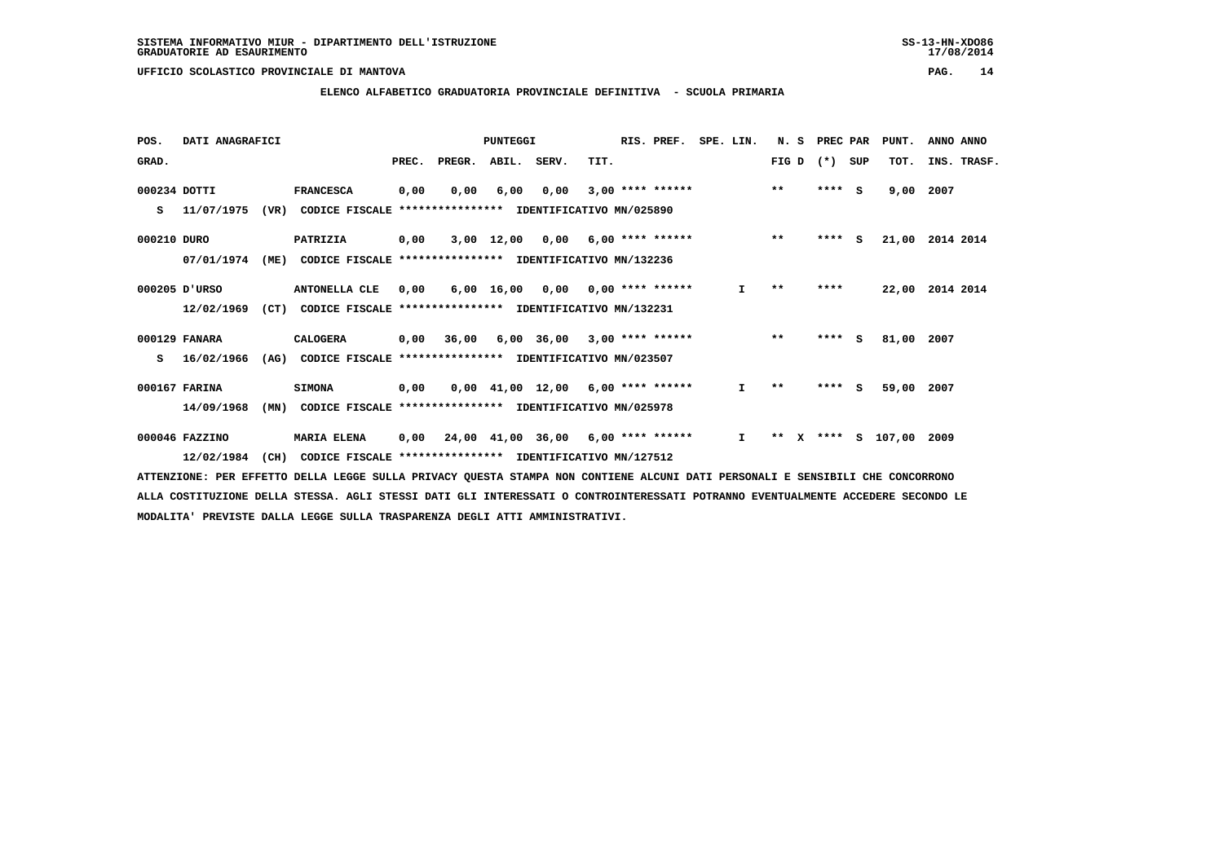$17/08/2014$ 

#### **UFFICIO SCOLASTICO PROVINCIALE DI MANTOVA PAG. 14**

### **ELENCO ALFABETICO GRADUATORIA PROVINCIALE DEFINITIVA - SCUOLA PRIMARIA**

| POS.         | DATI ANAGRAFICI |      |                                                          |       |            | <b>PUNTEGGI</b> |                                            |      | RIS. PREF.         | SPE. LIN.    | N.S                   | PREC PAR |     | PUNT.         | ANNO ANNO       |
|--------------|-----------------|------|----------------------------------------------------------|-------|------------|-----------------|--------------------------------------------|------|--------------------|--------------|-----------------------|----------|-----|---------------|-----------------|
| GRAD.        |                 |      |                                                          | PREC. | PREGR.     | ABIL. SERV.     |                                            | TIT. |                    |              | FIG D                 | $(*)$    | SUP | TOT.          | INS. TRASF.     |
| 000234 DOTTI |                 |      | <b>FRANCESCA</b>                                         | 0,00  | 0,00       | 6,00            | 0,00                                       |      | $3,00$ **** ****** |              | $***$                 | **** S   |     | 9,00          | 2007            |
| s            | 11/07/1975      | (VR) | CODICE FISCALE                                           |       |            |                 | **************** IDENTIFICATIVO MN/025890  |      |                    |              |                       |          |     |               |                 |
| 000210 DURO  |                 |      | PATRIZIA                                                 | 0,00  |            |                 | $3,00$ 12,00 0,00 6,00 **** ******         |      |                    |              | $***$                 | $***$ S  |     |               | 21,00 2014 2014 |
|              | 07/01/1974      | (ME) | CODICE FISCALE **************** IDENTIFICATIVO MN/132236 |       |            |                 |                                            |      |                    |              |                       |          |     |               |                 |
|              | 000205 D'URSO   |      | ANTONELLA CLE                                            | 0,00  |            |                 | $6,00$ 16,00 0,00 0,00 **** ******         |      |                    | I.           | $\star\star$          | ****     |     | 22,00         | 2014 2014       |
|              | 12/02/1969      | (CT) | CODICE FISCALE **************** IDENTIFICATIVO MN/132231 |       |            |                 |                                            |      |                    |              |                       |          |     |               |                 |
|              | 000129 FANARA   |      | <b>CALOGERA</b>                                          |       | 0,00 36,00 |                 | $6,00$ 36,00 3,00 **** ******              |      |                    |              | $***$                 | $***$ S  |     | 81,00         | 2007            |
| s            | 16/02/1966      | (AG) | CODICE FISCALE **************** IDENTIFICATIVO MN/023507 |       |            |                 |                                            |      |                    |              |                       |          |     |               |                 |
|              | 000167 FARINA   |      | <b>SIMONA</b>                                            | 0,00  |            |                 | $0.00$ 41.00 12.00 6.00 **** ******        |      |                    | $\mathbf{I}$ | $\star\star$          | $***$ S  |     | 59,00         | 2007            |
|              | 14/09/1968      | (MN) | CODICE FISCALE **************** IDENTIFICATIVO MN/025978 |       |            |                 |                                            |      |                    |              |                       |          |     |               |                 |
|              | 000046 FAZZINO  |      | <b>MARIA ELENA</b>                                       | 0,00  |            |                 | $24,00$ $41,00$ $36,00$ $6,00$ **** ****** |      |                    | $\mathbf{I}$ | $***$<br>$\mathbf{x}$ |          |     | **** S 107,00 | 2009            |
|              | 12/02/1984      | (CH) | CODICE FISCALE **************** IDENTIFICATIVO MN/127512 |       |            |                 |                                            |      |                    |              |                       |          |     |               |                 |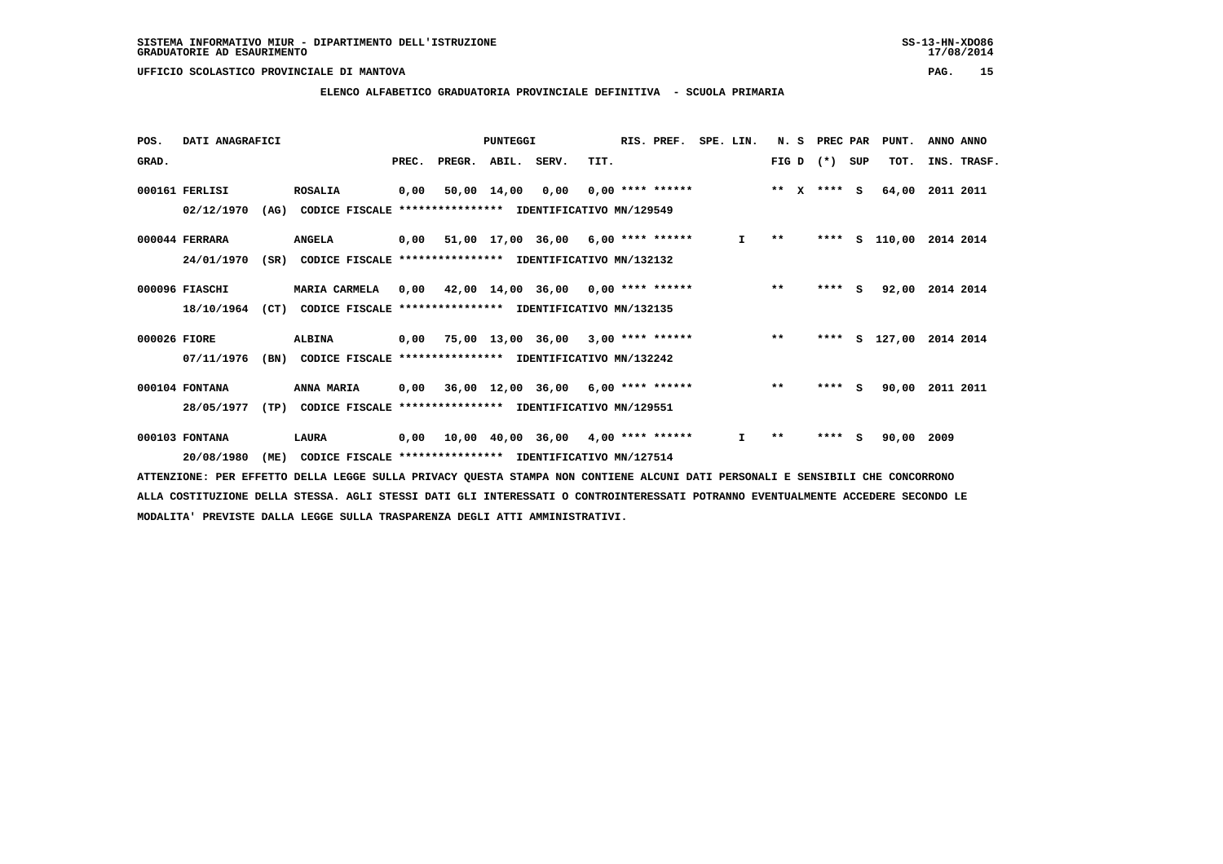### **ELENCO ALFABETICO GRADUATORIA PROVINCIALE DEFINITIVA - SCUOLA PRIMARIA**

| POS.         | DATI ANAGRAFICI |      |                                                          |       |                                           | <b>PUNTEGGI</b> |                                            |      | RIS. PREF.         | SPE. LIN.    | N. S         | PREC PAR |     | PUNT.      | ANNO ANNO   |
|--------------|-----------------|------|----------------------------------------------------------|-------|-------------------------------------------|-----------------|--------------------------------------------|------|--------------------|--------------|--------------|----------|-----|------------|-------------|
| GRAD.        |                 |      |                                                          | PREC. | PREGR. ABIL. SERV.                        |                 |                                            | TIT. |                    |              | $FIG D (*)$  |          | SUP | TOT.       | INS. TRASF. |
|              | 000161 FERLISI  |      | <b>ROSALIA</b>                                           | 0,00  |                                           | 50,00 14,00     | 0,00                                       |      | $0.00$ **** ****** |              | $***$ X      | $***$ S  |     | 64,00      | 2011 2011   |
|              | 02/12/1970      | (AG) | CODICE FISCALE **************** IDENTIFICATIVO MN/129549 |       |                                           |                 |                                            |      |                    |              |              |          |     |            |             |
|              | 000044 FERRARA  |      | <b>ANGELA</b>                                            |       | $0,00$ 51,00 17,00 36,00 6,00 **** ****** |                 |                                            |      |                    | $\mathbf{I}$ | $\star\star$ | ****     |     | S 110,00   | 2014 2014   |
|              | 24/01/1970      | (SR) | CODICE FISCALE **************** IDENTIFICATIVO MN/132132 |       |                                           |                 |                                            |      |                    |              |              |          |     |            |             |
|              | 000096 FIASCHI  |      | <b>MARIA CARMELA</b>                                     | 0,00  | 42,00 14,00 36,00 0,00 **** ******        |                 |                                            |      |                    |              | $***$        | $***5$   |     | 92,00      | 2014 2014   |
|              | 18/10/1964      | (CT) | CODICE FISCALE **************** IDENTIFICATIVO MN/132135 |       |                                           |                 |                                            |      |                    |              |              |          |     |            |             |
| 000026 FIORE |                 |      | <b>ALBINA</b>                                            |       | $0,00$ 75,00 13,00 36,00 3,00 **** ****** |                 |                                            |      |                    |              | $***$        | ****     |     | S 127,00   | 2014 2014   |
|              | 07/11/1976      | (BN) | CODICE FISCALE **************** IDENTIFICATIVO MN/132242 |       |                                           |                 |                                            |      |                    |              |              |          |     |            |             |
|              | 000104 FONTANA  |      | ANNA MARIA                                               |       | $0,00$ 36,00 12,00 36,00 6,00 **** ****** |                 |                                            |      |                    |              | $***$        | ****     | s.  | 90,00      | 2011 2011   |
|              | 28/05/1977      | (TP) | CODICE FISCALE **************** IDENTIFICATIVO MN/129551 |       |                                           |                 |                                            |      |                    |              |              |          |     |            |             |
|              | 000103 FONTANA  |      | LAURA                                                    | 0,00  |                                           |                 | $10,00$ $40,00$ $36,00$ $4,00$ **** ****** |      |                    | I.           | $* *$        | ****     | s   | 90,00 2009 |             |
|              | 20/08/1980      | (ME) | CODICE FISCALE **************** IDENTIFICATIVO MN/127514 |       |                                           |                 |                                            |      |                    |              |              |          |     |            |             |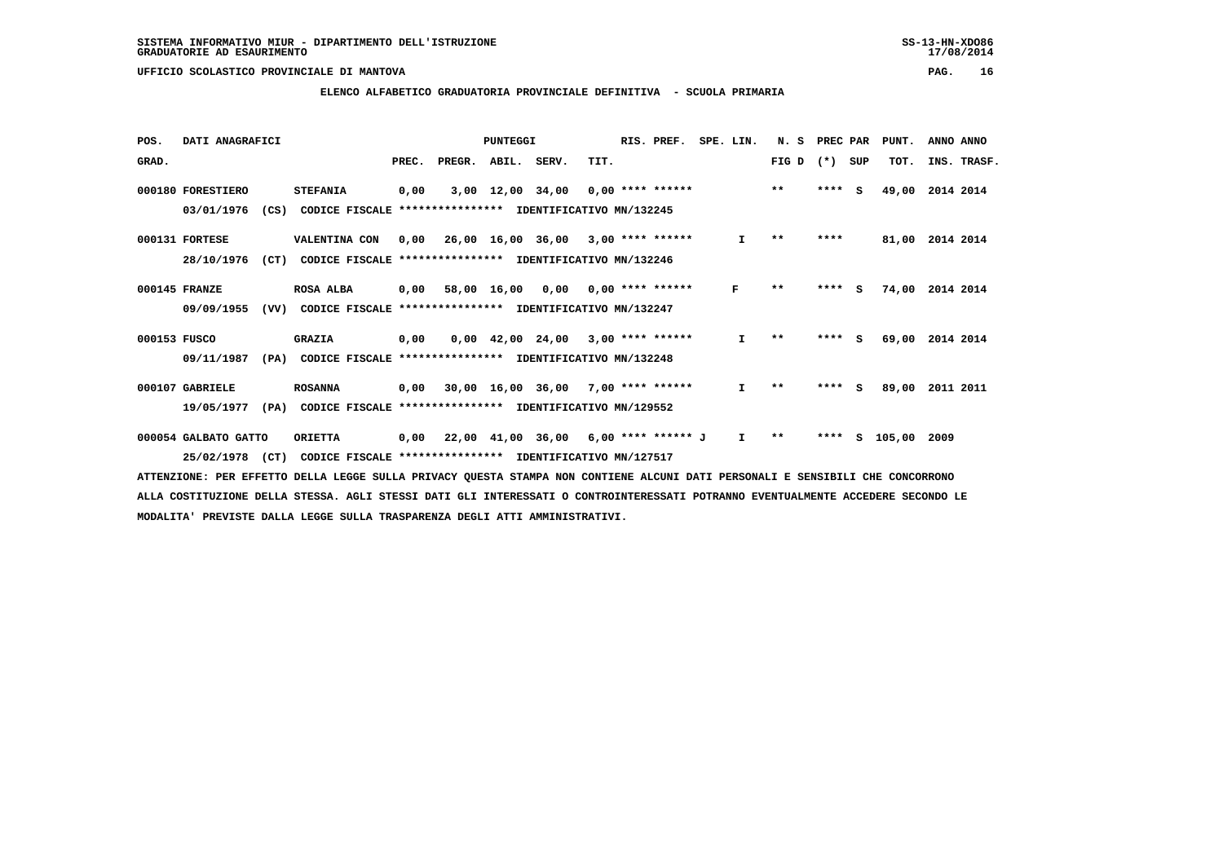#### **ELENCO ALFABETICO GRADUATORIA PROVINCIALE DEFINITIVA - SCUOLA PRIMARIA**

| POS.         | DATI ANAGRAFICI      |      |                                                          |       |        | <b>PUNTEGGI</b>   |                                            |      | RIS. PREF.                | SPE. LIN. |    | N.S          | PREC PAR |     | PUNT.  | ANNO ANNO   |
|--------------|----------------------|------|----------------------------------------------------------|-------|--------|-------------------|--------------------------------------------|------|---------------------------|-----------|----|--------------|----------|-----|--------|-------------|
| GRAD.        |                      |      |                                                          | PREC. | PREGR. | ABIL. SERV.       |                                            | TIT. |                           |           |    | FIG D        | $(*)$    | SUP | TOT.   | INS. TRASF. |
|              | 000180 FORESTIERO    |      | <b>STEFANIA</b>                                          | 0,00  |        | 3,00 12,00 34,00  |                                            |      | $0,00$ **** ******        |           |    | $***$        | ****     | s   | 49,00  | 2014 2014   |
|              | 03/01/1976           | (CS) | CODICE FISCALE **************** IDENTIFICATIVO MN/132245 |       |        |                   |                                            |      |                           |           |    |              |          |     |        |             |
|              | 000131 FORTESE       |      | VALENTINA CON                                            | 0,00  |        |                   | $26,00$ $16,00$ $36,00$ $3,00$ **** ****** |      |                           |           | I. | $* *$        | ****     |     | 81,00  | 2014 2014   |
|              | 28/10/1976           | (CT) | CODICE FISCALE                                           |       |        |                   | **************** IDENTIFICATIVO MN/132246  |      |                           |           |    |              |          |     |        |             |
|              | 000145 FRANZE        |      | <b>ROSA ALBA</b>                                         | 0,00  |        | 58,00 16,00       |                                            |      | $0,00$ $0,00$ **** ****** |           | F  | $* *$        | ****     | - S | 74,00  | 2014 2014   |
|              | 09/09/1955           | (VV) | CODICE FISCALE **************** IDENTIFICATIVO MN/132247 |       |        |                   |                                            |      |                           |           |    |              |          |     |        |             |
| 000153 FUSCO |                      |      | <b>GRAZIA</b>                                            | 0,00  |        |                   | $0,00$ 42,00 24,00 3,00 **** ******        |      |                           |           | I. | $* *$        | ****     | - S | 69,00  | 2014 2014   |
|              | 09/11/1987           | (PA) | CODICE FISCALE **************** IDENTIFICATIVO MN/132248 |       |        |                   |                                            |      |                           |           |    |              |          |     |        |             |
|              | 000107 GABRIELE      |      | <b>ROSANNA</b>                                           | 0,00  |        |                   | 30,00 16,00 36,00                          |      | $7,00$ **** ******        |           | I. | $* *$        | ****     | S.  | 89,00  | 2011 2011   |
|              | 19/05/1977           | (PA) | CODICE FISCALE **************** IDENTIFICATIVO MN/129552 |       |        |                   |                                            |      |                           |           |    |              |          |     |        |             |
|              | 000054 GALBATO GATTO |      | <b>ORIETTA</b>                                           | 0,00  |        | 22,00 41,00 36,00 |                                            |      | 6,00 **** ****** J        |           | I. | $\star\star$ | ****     | s   | 105,00 | 2009        |
|              | 25/02/1978           | (CT) | CODICE FISCALE **************** IDENTIFICATIVO MN/127517 |       |        |                   |                                            |      |                           |           |    |              |          |     |        |             |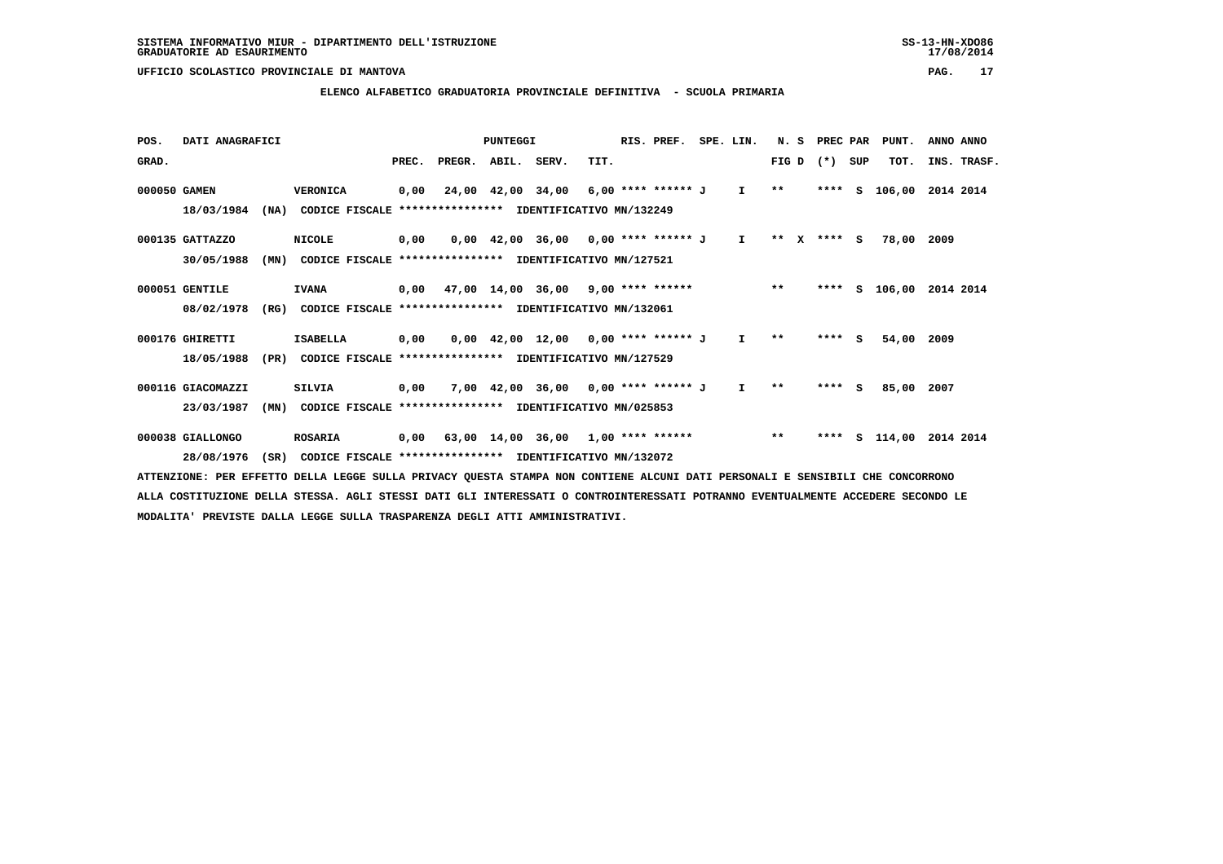#### **ELENCO ALFABETICO GRADUATORIA PROVINCIALE DEFINITIVA - SCUOLA PRIMARIA**

| POS.         | DATI ANAGRAFICI   |      |                                                                                                                             |       |                    | PUNTEGGI |                                           |      | RIS. PREF. | SPE. LIN.    | N. S    | PREC PAR    |     | PUNT.         | ANNO ANNO   |  |
|--------------|-------------------|------|-----------------------------------------------------------------------------------------------------------------------------|-------|--------------------|----------|-------------------------------------------|------|------------|--------------|---------|-------------|-----|---------------|-------------|--|
| GRAD.        |                   |      |                                                                                                                             | PREC. | PREGR. ABIL. SERV. |          |                                           | TIT. |            |              |         | $FIG D (*)$ | SUP | TOT.          | INS. TRASF. |  |
| 000050 GAMEN |                   |      | <b>VERONICA</b>                                                                                                             | 0,00  |                    |          | 24,00 42,00 34,00 6,00 **** ****** J I    |      |            |              | $* *$   |             |     | **** S 106,00 | 2014 2014   |  |
|              | 18/03/1984        | (NA) | CODICE FISCALE                                                                                                              |       |                    |          | **************** IDENTIFICATIVO MN/132249 |      |            |              |         |             |     |               |             |  |
|              | 000135 GATTAZZO   |      | <b>NICOLE</b>                                                                                                               | 0,00  |                    |          | 0,00 42,00 36,00 0,00 **** ****** J       |      |            | $\mathbf{I}$ | $***$ X | $***$ S     |     | 78,00 2009    |             |  |
|              | 30/05/1988        | (MN) | CODICE FISCALE **************** IDENTIFICATIVO MN/127521                                                                    |       |                    |          |                                           |      |            |              |         |             |     |               |             |  |
|              | 000051 GENTILE    |      | <b>IVANA</b>                                                                                                                |       |                    |          | $0,00$ 47,00 14,00 36,00 9,00 **** ****** |      |            |              | $* *$   |             |     | **** S 106,00 | 2014 2014   |  |
|              | 08/02/1978        | (RG) | CODICE FISCALE **************** IDENTIFICATIVO MN/132061                                                                    |       |                    |          |                                           |      |            |              |         |             |     |               |             |  |
|              | 000176 GHIRETTI   |      | <b>ISABELLA</b>                                                                                                             | 0,00  |                    |          | $0,00$ 42,00 12,00 0,00 **** ****** J     |      |            | $\mathbf{I}$ | $* *$   | $***$ S     |     | 54,00         | 2009        |  |
|              | 18/05/1988        | (PR) | CODICE FISCALE **************** IDENTIFICATIVO MN/127529                                                                    |       |                    |          |                                           |      |            |              |         |             |     |               |             |  |
|              | 000116 GIACOMAZZI |      | <b>SILVIA</b>                                                                                                               | 0,00  |                    |          | 7,00 42,00 36,00 0,00 **** ****** J       |      |            | $\mathbf{I}$ | $* *$   | $***$ S     |     | 85,00         | 2007        |  |
|              | 23/03/1987        | (MN) | CODICE FISCALE **************** IDENTIFICATIVO MN/025853                                                                    |       |                    |          |                                           |      |            |              |         |             |     |               |             |  |
|              | 000038 GIALLONGO  |      | <b>ROSARIA</b>                                                                                                              | 0,00  |                    |          | 63,00 14,00 36,00 1,00 **** ******        |      |            |              | $* *$   | ****        |     | s 114,00      | 2014 2014   |  |
|              | 28/08/1976        | (SR) | CODICE FISCALE **************** IDENTIFICATIVO MN/132072                                                                    |       |                    |          |                                           |      |            |              |         |             |     |               |             |  |
|              |                   |      | AMMONICIANO, ADA DODOMNA ADILA IDAGO AULIA ANTUAR AULANA AMANAA NAN GANWIDUD ALANI AARI ADAGANALI O GONGIALI AUD GANGAARANA |       |                    |          |                                           |      |            |              |         |             |     |               |             |  |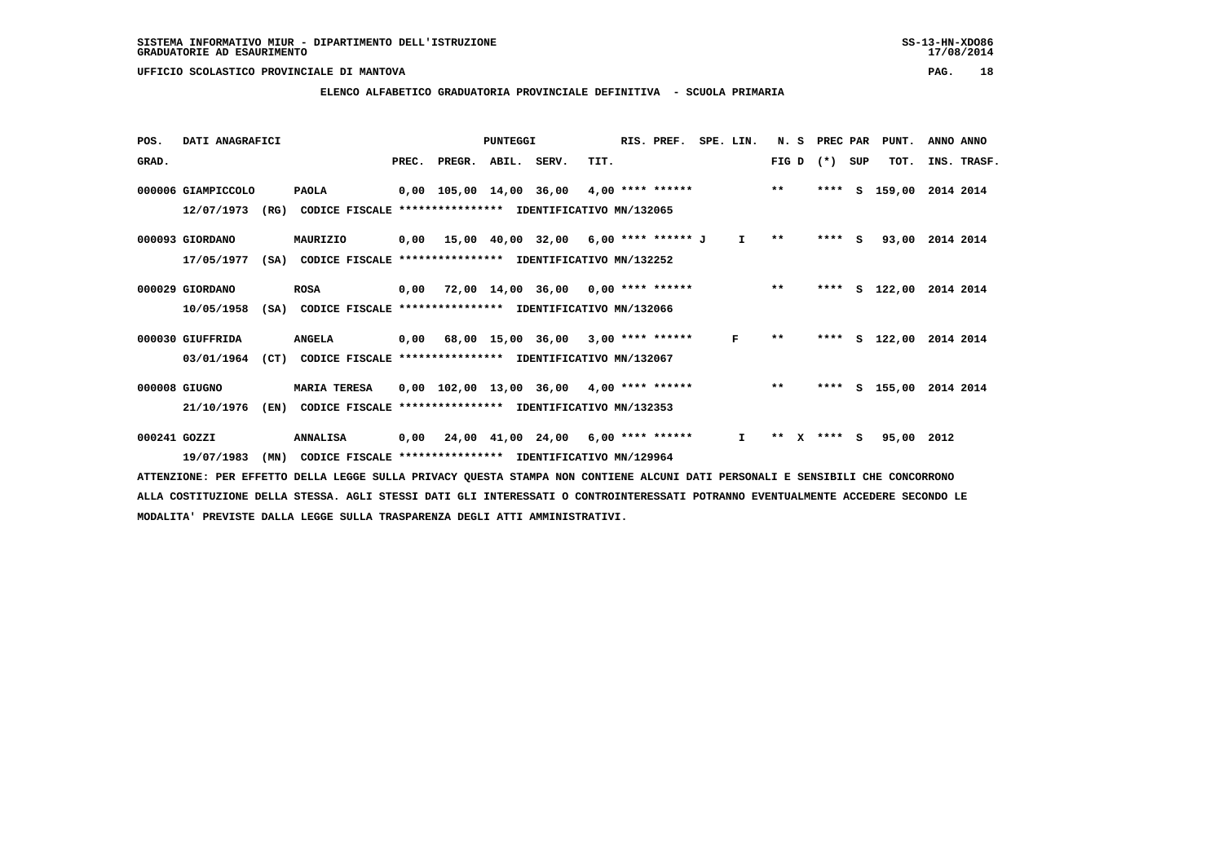#### **ELENCO ALFABETICO GRADUATORIA PROVINCIALE DEFINITIVA - SCUOLA PRIMARIA**

| POS.         | DATI ANAGRAFICI    |                                                          |       |                    | PUNTEGGI |                                                 |      | RIS. PREF. | SPE. LIN.    | N.S        | PREC PAR |     | PUNT.         | ANNO ANNO          |
|--------------|--------------------|----------------------------------------------------------|-------|--------------------|----------|-------------------------------------------------|------|------------|--------------|------------|----------|-----|---------------|--------------------|
| GRAD.        |                    |                                                          | PREC. | PREGR. ABIL. SERV. |          |                                                 | TIT. |            |              | FIG D      | $(*)$    | SUP | TOT.          | INS. TRASF.        |
|              | 000006 GIAMPICCOLO | <b>PAOLA</b>                                             |       |                    |          | 0,00 105,00 14,00 36,00 4,00 **** ****** *** ** |      |            |              |            | ****     | s   | 159,00        | 2014 2014          |
|              | 12/07/1973<br>(RG) | CODICE FISCALE **************** IDENTIFICATIVO MN/132065 |       |                    |          |                                                 |      |            |              |            |          |     |               |                    |
|              | 000093 GIORDANO    | MAURIZIO                                                 |       |                    |          | $0,00$ 15,00 40,00 32,00 6,00 **** ****** J     |      |            | $\mathbf{I}$ | $* *$      | $***$ S  |     | 93,00         | 2014 2014          |
|              | 17/05/1977<br>(SA) | CODICE FISCALE **************** IDENTIFICATIVO MN/132252 |       |                    |          |                                                 |      |            |              |            |          |     |               |                    |
|              | 000029 GIORDANO    | <b>ROSA</b>                                              | 0,00  |                    |          | 72,00 14,00 36,00 0,00 **** ******              |      |            |              | $***$      |          |     | **** S 122,00 | 2014 2014          |
|              | 10/05/1958<br>(SA) | CODICE FISCALE **************** IDENTIFICATIVO MN/132066 |       |                    |          |                                                 |      |            |              |            |          |     |               |                    |
|              | 000030 GIUFFRIDA   | <b>ANGELA</b>                                            |       |                    |          | $0,00$ 68,00 15,00 36,00 3,00 **** ******       |      |            | F            | $* *$      | ****     |     |               | S 122,00 2014 2014 |
|              | 03/01/1964<br>(CT) | CODICE FISCALE **************** IDENTIFICATIVO MN/132067 |       |                    |          |                                                 |      |            |              |            |          |     |               |                    |
|              | 000008 GIUGNO      | <b>MARIA TERESA</b>                                      |       |                    |          | $0,00$ 102,00 13,00 36,00 4,00 **** ******      |      |            |              | $***$      | ****     |     | S 155,00      | 2014 2014          |
|              | 21/10/1976<br>(EN) | CODICE FISCALE                                           |       |                    |          | *************** IDENTIFICATIVO MN/132353        |      |            |              |            |          |     |               |                    |
| 000241 GOZZI |                    | <b>ANNALISA</b>                                          |       |                    |          | $0,00$ 24,00 41,00 24,00 6,00 **** ******       |      |            | $\mathbf{I}$ | $* *$<br>x | **** S   |     | 95,00 2012    |                    |
|              | 19/07/1983<br>(MN) | CODICE FISCALE **************** IDENTIFICATIVO MN/129964 |       |                    |          |                                                 |      |            |              |            |          |     |               |                    |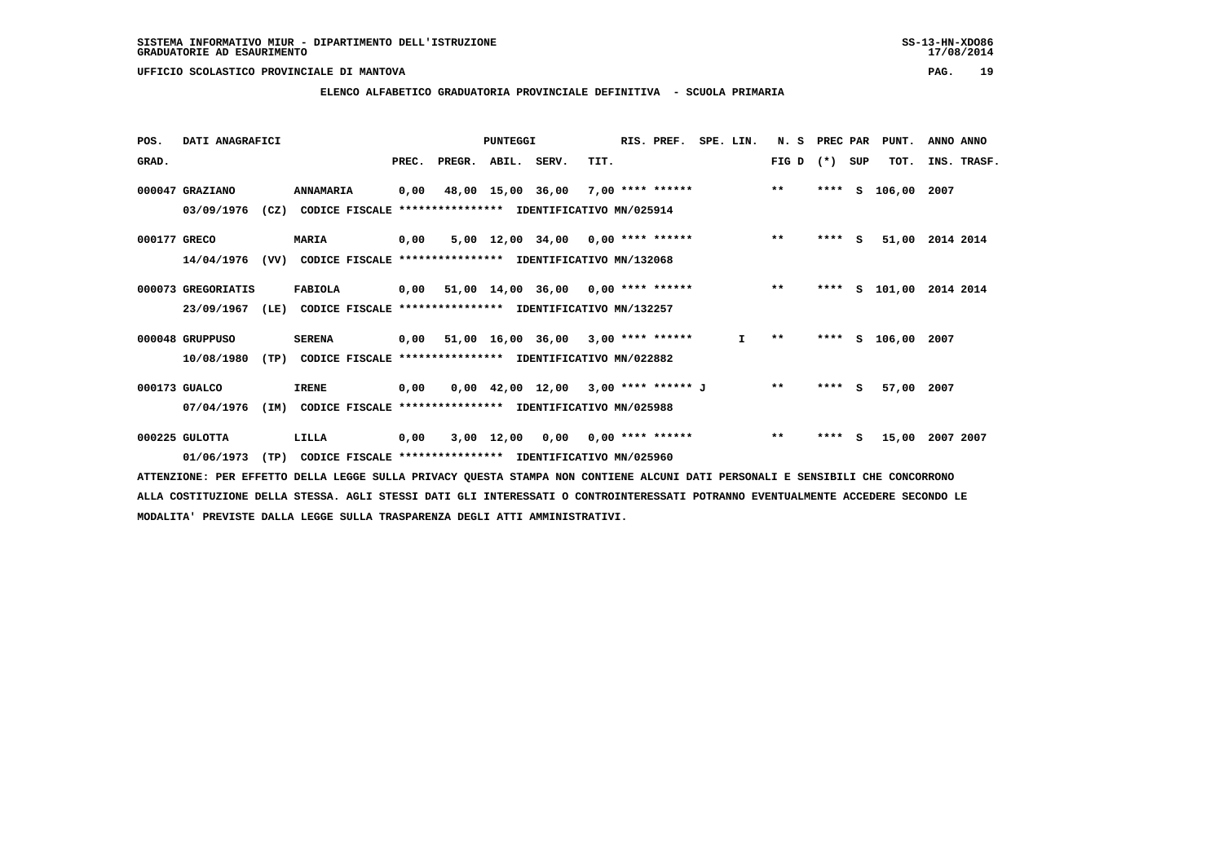#### **ELENCO ALFABETICO GRADUATORIA PROVINCIALE DEFINITIVA - SCUOLA PRIMARIA**

| POS.         | DATI ANAGRAFICI    |      |                                                               |       |        | PUNTEGGI    |                                            |      | RIS. PREF. | SPE. LIN. |              | N.S          | PREC PAR |     | PUNT.         | ANNO ANNO   |
|--------------|--------------------|------|---------------------------------------------------------------|-------|--------|-------------|--------------------------------------------|------|------------|-----------|--------------|--------------|----------|-----|---------------|-------------|
| GRAD.        |                    |      |                                                               | PREC. | PREGR. | ABIL. SERV. |                                            | TIT. |            |           |              | FIG D        | $(*)$    | SUP | TOT.          | INS. TRASF. |
|              | 000047 GRAZIANO    |      | ANNAMARIA                                                     | 0,00  |        |             | 48,00 15,00 36,00 7,00 **** ****** *** *** |      |            |           |              |              | ****     | S.  | 106,00 2007   |             |
|              | 03/09/1976         |      | (CZ) CODICE FISCALE **************** IDENTIFICATIVO MN/025914 |       |        |             |                                            |      |            |           |              |              |          |     |               |             |
| 000177 GRECO |                    |      | <b>MARIA</b>                                                  | 0,00  |        |             | 5,00 12,00 34,00 0,00 **** ******          |      |            |           |              | $***$        | $***$ S  |     | 51,00         | 2014 2014   |
|              | 14/04/1976         | (VV) | CODICE FISCALE **************** IDENTIFICATIVO MN/132068      |       |        |             |                                            |      |            |           |              |              |          |     |               |             |
|              | 000073 GREGORIATIS |      | FABIOLA                                                       | 0,00  |        |             | 51,00 14,00 36,00 0,00 **** ****** *** **  |      |            |           |              |              | ****     | s   | 101,00        | 2014 2014   |
|              | 23/09/1967         | (LE) | CODICE FISCALE **************** IDENTIFICATIVO MN/132257      |       |        |             |                                            |      |            |           |              |              |          |     |               |             |
|              | 000048 GRUPPUSO    |      | <b>SERENA</b>                                                 |       |        |             | 0,00 51,00 16,00 36,00 3,00 **** ******    |      |            |           | $\mathbf{I}$ | $\star\star$ |          |     | **** S 106,00 | 2007        |
|              | 10/08/1980         | (TP) | CODICE FISCALE **************** IDENTIFICATIVO MN/022882      |       |        |             |                                            |      |            |           |              |              |          |     |               |             |
|              | 000173 GUALCO      |      | <b>IRENE</b>                                                  | 0,00  |        |             | $0,00$ 42,00 12,00 3,00 **** ****** J      |      |            |           |              | $***$        | **** S   |     | 57,00         | 2007        |
|              | 07/04/1976         | (IM) | CODICE FISCALE **************** IDENTIFICATIVO MN/025988      |       |        |             |                                            |      |            |           |              |              |          |     |               |             |
|              | 000225 GULOTTA     |      | LILLA                                                         | 0,00  |        |             | 3,00 12,00 0,00 0,00 **** ******           |      |            |           |              | $***$        | ****     | -S  | 15,00         | 2007 2007   |
|              | 01/06/1973         | (TP) | CODICE FISCALE **************** IDENTIFICATIVO MN/025960      |       |        |             |                                            |      |            |           |              |              |          |     |               |             |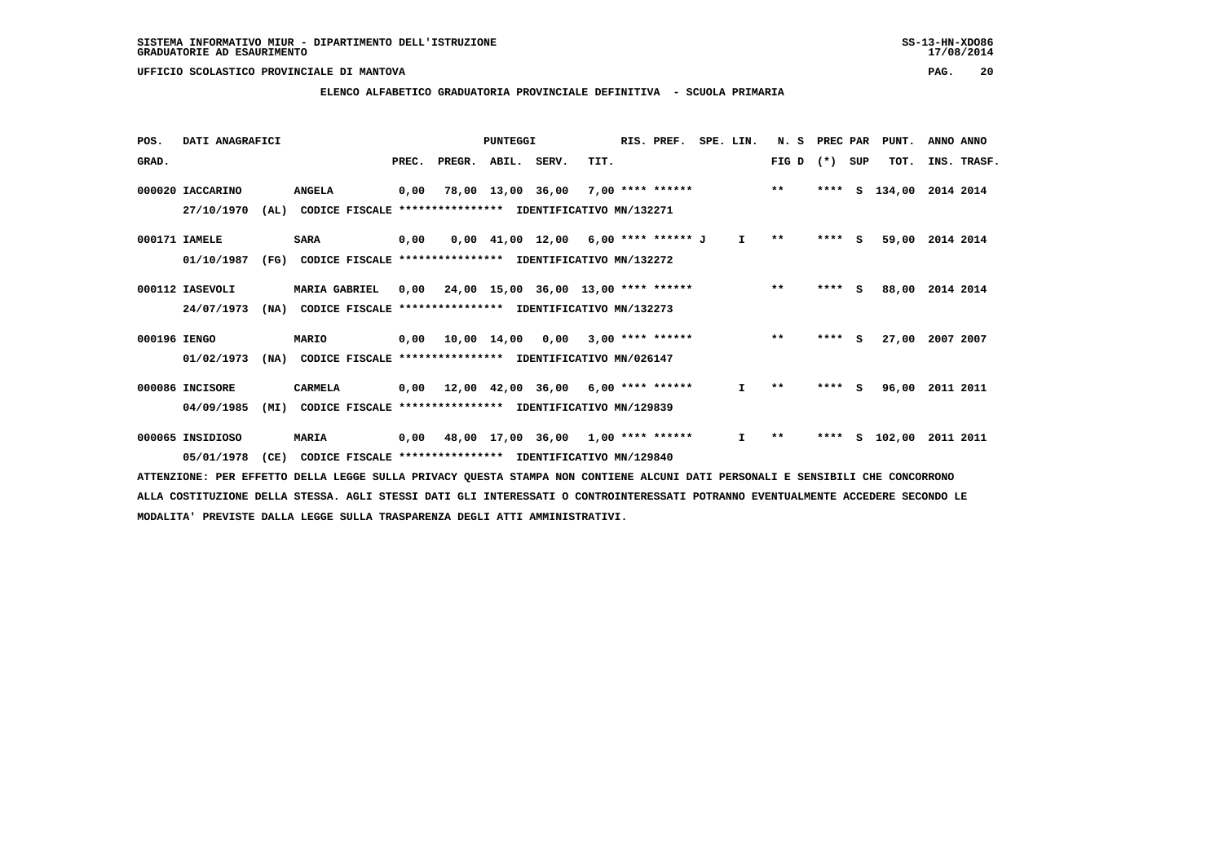#### **ELENCO ALFABETICO GRADUATORIA PROVINCIALE DEFINITIVA - SCUOLA PRIMARIA**

| POS.         | DATI ANAGRAFICI  |      |                                                          |       |                                           | PUNTEGGI                                   |      | RIS. PREF.               | SPE. LIN. |              | N.S          | PREC PAR |     | PUNT.  | ANNO ANNO   |  |
|--------------|------------------|------|----------------------------------------------------------|-------|-------------------------------------------|--------------------------------------------|------|--------------------------|-----------|--------------|--------------|----------|-----|--------|-------------|--|
| GRAD.        |                  |      |                                                          | PREC. | PREGR. ABIL. SERV.                        |                                            | TIT. |                          |           |              | FIG D        | $(* )$   | SUP | TOT.   | INS. TRASF. |  |
|              | 000020 IACCARINO |      | <b>ANGELA</b>                                            | 0,00  |                                           | 78,00 13,00 36,00                          |      | $7,00$ **** ****** ** ** |           |              |              | ****     | s   | 134,00 | 2014 2014   |  |
|              | 27/10/1970       | (AL) | CODICE FISCALE **************** IDENTIFICATIVO MN/132271 |       |                                           |                                            |      |                          |           |              |              |          |     |        |             |  |
|              | 000171 IAMELE    |      | <b>SARA</b>                                              | 0,00  |                                           | $0,00$ 41,00 12,00 6,00 **** ****** J      |      |                          |           | $\mathbf{I}$ | $\star\star$ | $***5$   |     | 59,00  | 2014 2014   |  |
|              | 01/10/1987       | (FG) | CODICE FISCALE **************** IDENTIFICATIVO MN/132272 |       |                                           |                                            |      |                          |           |              |              |          |     |        |             |  |
|              | 000112 IASEVOLI  |      | <b>MARIA GABRIEL</b>                                     | 0.00  |                                           | 24,00 15,00 36,00 13,00 **** ******        |      |                          |           |              | $***$        | $***$ S  |     | 88,00  | 2014 2014   |  |
|              | 24/07/1973       | (NA) | CODICE FISCALE **************** IDENTIFICATIVO MN/132273 |       |                                           |                                            |      |                          |           |              |              |          |     |        |             |  |
| 000196 IENGO |                  |      | MARIO                                                    |       | $0,00$ 10,00 14,00 0,00 3,00 **** ******  |                                            |      |                          |           |              | $***$        | $***$ S  |     | 27,00  | 2007 2007   |  |
|              | 01/02/1973       | (NA) | CODICE FISCALE **************** IDENTIFICATIVO MN/026147 |       |                                           |                                            |      |                          |           |              |              |          |     |        |             |  |
|              | 000086 INCISORE  |      | CARMELA                                                  | 0,00  |                                           | $12,00$ $42,00$ $36,00$ $6,00$ **** ****** |      |                          |           | Ι.           | $* *$        | $***$ S  |     | 96,00  | 2011 2011   |  |
|              | 04/09/1985       | (MI) | CODICE FISCALE **************** IDENTIFICATIVO MN/129839 |       |                                           |                                            |      |                          |           |              |              |          |     |        |             |  |
|              | 000065 INSIDIOSO |      | <b>MARIA</b>                                             |       | $0,00$ 48,00 17,00 36,00 1,00 **** ****** |                                            |      |                          |           | $\mathbf{I}$ | $* *$        | ****     | S   | 102,00 | 2011 2011   |  |
|              | 05/01/1978       | (CE) | CODICE FISCALE **************** IDENTIFICATIVO MN/129840 |       |                                           |                                            |      |                          |           |              |              |          |     |        |             |  |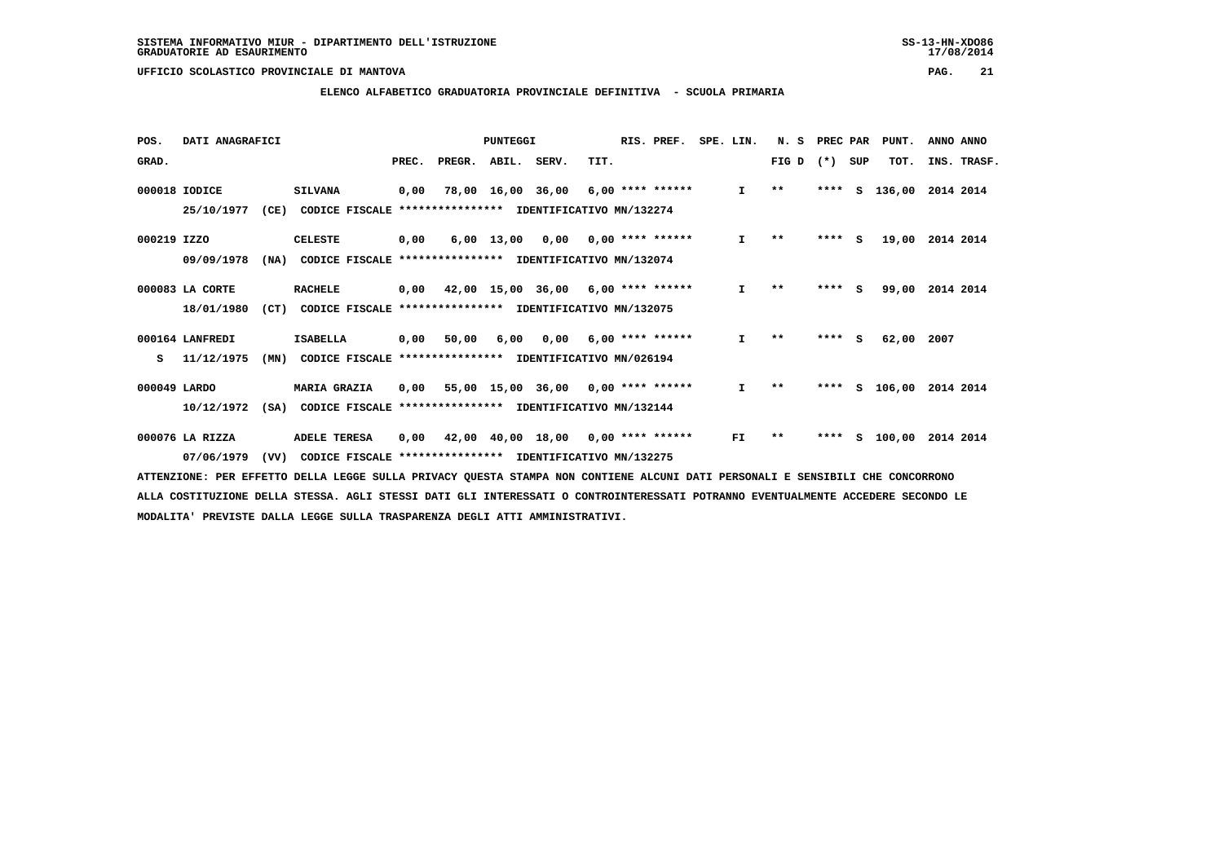#### **ELENCO ALFABETICO GRADUATORIA PROVINCIALE DEFINITIVA - SCUOLA PRIMARIA**

| POS.         | DATI ANAGRAFICI |      |                                                          |       |                    | PUNTEGGI          |                                      |      | RIS. PREF.              | SPE. LIN. |              | N. S  | PREC PAR |     | PUNT.  | ANNO ANNO   |
|--------------|-----------------|------|----------------------------------------------------------|-------|--------------------|-------------------|--------------------------------------|------|-------------------------|-----------|--------------|-------|----------|-----|--------|-------------|
| GRAD.        |                 |      |                                                          | PREC. | PREGR. ABIL. SERV. |                   |                                      | TIT. |                         |           |              | FIG D | $(*)$    | SUP | TOT.   | INS. TRASF. |
|              | 000018 IODICE   |      | <b>SILVANA</b>                                           | 0,00  |                    | 78,00 16,00 36,00 |                                      |      | $6.00$ **** ******      |           | $\mathbf{I}$ | $***$ | ****     | s   | 136,00 | 2014 2014   |
|              | 25/10/1977      | (CE) | CODICE FISCALE **************** IDENTIFICATIVO MN/132274 |       |                    |                   |                                      |      |                         |           |              |       |          |     |        |             |
| 000219 IZZO  |                 |      | <b>CELESTE</b>                                           | 0,00  |                    |                   | $6,00$ 13,00 0,00 0,00 **** ******   |      |                         |           | I.           | $* *$ | ****     | - S | 19,00  | 2014 2014   |
|              | 09/09/1978      | (NA) | CODICE FISCALE **************** IDENTIFICATIVO MN/132074 |       |                    |                   |                                      |      |                         |           |              |       |          |     |        |             |
|              | 000083 LA CORTE |      | <b>RACHELE</b>                                           | 0,00  |                    |                   | $42,00$ 15,00 36,00 6,00 **** ****** |      |                         |           | $\mathbf{I}$ | $* *$ | ****     | S.  | 99,00  | 2014 2014   |
|              | 18/01/1980      | (CT) | CODICE FISCALE **************** IDENTIFICATIVO MN/132075 |       |                    |                   |                                      |      |                         |           |              |       |          |     |        |             |
|              | 000164 LANFREDI |      | <b>ISABELLA</b>                                          | 0,00  | 50,00              | 6,00              |                                      |      | $0,00$ 6,00 **** ****** |           | I.           | $**$  | $***$ S  |     | 62,00  | 2007        |
| s            | 11/12/1975      | (MN) | CODICE FISCALE **************** IDENTIFICATIVO MN/026194 |       |                    |                   |                                      |      |                         |           |              |       |          |     |        |             |
| 000049 LARDO |                 |      | <b>MARIA GRAZIA</b>                                      | 0,00  |                    |                   | 55,00 15,00 36,00 0,00 **** ******   |      |                         |           | I.           | $***$ | ****     | s   | 106,00 | 2014 2014   |
|              | 10/12/1972      | (SA) | CODICE FISCALE **************** IDENTIFICATIVO MN/132144 |       |                    |                   |                                      |      |                         |           |              |       |          |     |        |             |
|              | 000076 LA RIZZA |      | <b>ADELE TERESA</b>                                      | 0,00  |                    |                   | 42,00 40,00 18,00 0,00 **** ******   |      |                         |           | FI           | $**$  | ****     | s   | 100,00 | 2014 2014   |
|              | 07/06/1979      | (VV) | CODICE FISCALE **************** IDENTIFICATIVO MN/132275 |       |                    |                   |                                      |      |                         |           |              |       |          |     |        |             |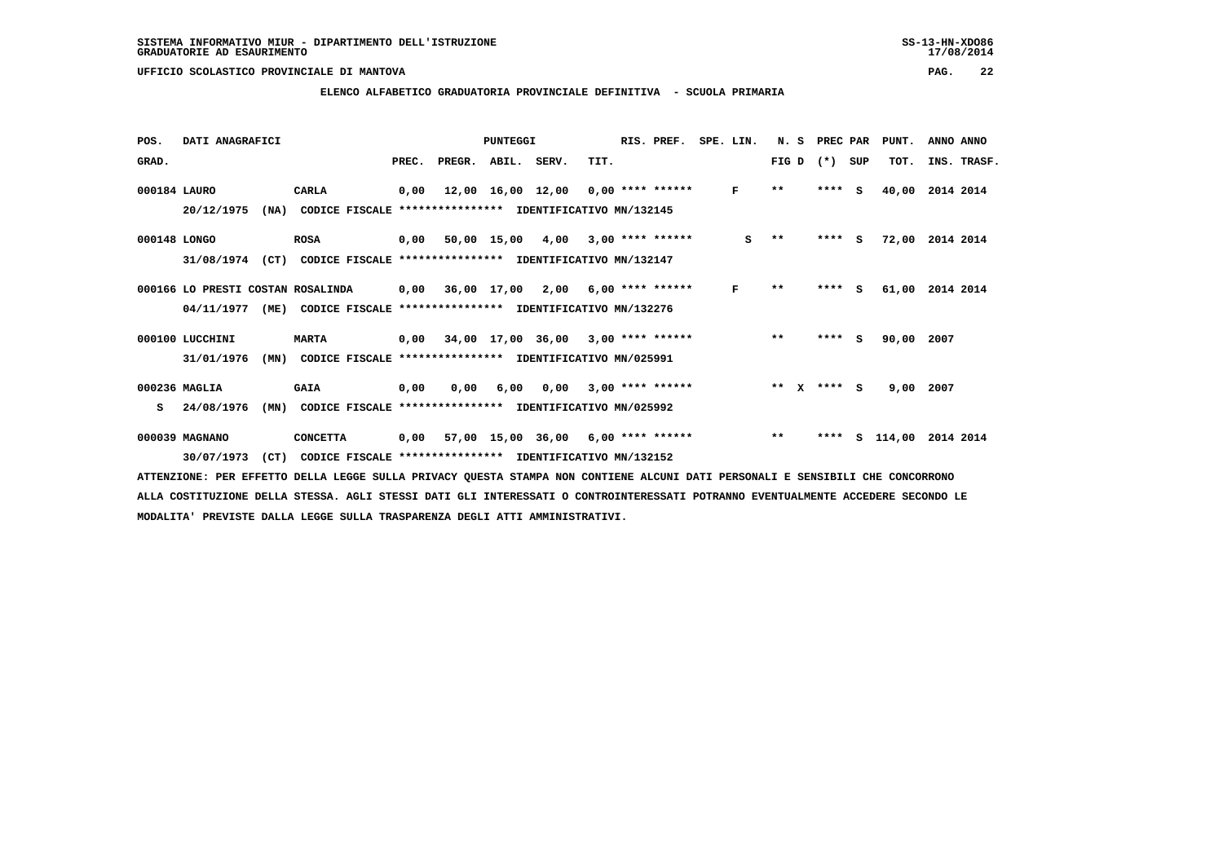#### **ELENCO ALFABETICO GRADUATORIA PROVINCIALE DEFINITIVA - SCUOLA PRIMARIA**

| POS.         | DATI ANAGRAFICI                   |                                                                         |       |                    | <b>PUNTEGGI</b> |                                           |      | RIS. PREF.         | SPE. LIN. | N. S                  |       | PREC PAR | PUNT.  | ANNO ANNO   |
|--------------|-----------------------------------|-------------------------------------------------------------------------|-------|--------------------|-----------------|-------------------------------------------|------|--------------------|-----------|-----------------------|-------|----------|--------|-------------|
| GRAD.        |                                   |                                                                         | PREC. | PREGR. ABIL. SERV. |                 |                                           | TIT. |                    |           | FIG D                 | $(*)$ | SUP      | TOT.   | INS. TRASF. |
| 000184 LAURO |                                   | CARLA                                                                   | 0,00  |                    |                 | 12,00 16,00 12,00 0,00 **** ******        |      |                    | F         | $\star\star$          |       | $***$ S  | 40,00  | 2014 2014   |
|              | 20/12/1975<br>(NA)                | CODICE FISCALE **************** IDENTIFICATIVO MN/132145                |       |                    |                 |                                           |      |                    |           |                       |       |          |        |             |
| 000148 LONGO |                                   | ROSA                                                                    |       |                    |                 | 0,00 50,00 15,00 4,00 3,00 **** ******    |      |                    | s         | $* *$                 |       | **** S   | 72,00  | 2014 2014   |
|              | (CT)<br>31/08/1974                | CODICE FISCALE **************** IDENTIFICATIVO MN/132147                |       |                    |                 |                                           |      |                    |           |                       |       |          |        |             |
|              | 000166 LO PRESTI COSTAN ROSALINDA |                                                                         | 0,00  |                    |                 | 36,00 17,00 2,00 6,00 **** ******         |      |                    | F         | $* *$                 | ****  | <b>S</b> | 61,00  | 2014 2014   |
|              |                                   | 04/11/1977 (ME) CODICE FISCALE *************** IDENTIFICATIVO MN/132276 |       |                    |                 |                                           |      |                    |           |                       |       |          |        |             |
|              | 000100 LUCCHINI                   | <b>MARTA</b>                                                            |       |                    |                 | $0,00$ 34,00 17,00 36,00 3,00 **** ****** |      |                    |           | $**$                  |       | $***$ S  | 90,00  | 2007        |
|              | 31/01/1976<br>(MN)                | CODICE FISCALE **************** IDENTIFICATIVO MN/025991                |       |                    |                 |                                           |      |                    |           |                       |       |          |        |             |
|              | 000236 MAGLIA                     | <b>GAIA</b>                                                             | 0,00  | 0,00               | 6,00            | 0,00                                      |      | $3,00$ **** ****** |           | $* *$<br>$\mathbf{x}$ |       | $***$ S  | 9,00   | 2007        |
| s            | 24/08/1976<br>(MN)                | CODICE FISCALE **************** IDENTIFICATIVO MN/025992                |       |                    |                 |                                           |      |                    |           |                       |       |          |        |             |
|              | 000039 MAGNANO                    | <b>CONCETTA</b>                                                         |       |                    |                 | $0,00$ 57,00 15,00 36,00 6,00 **** ****** |      |                    |           | $***$                 | ****  | s        | 114,00 | 2014 2014   |
|              | (CT)<br>30/07/1973                | CODICE FISCALE **************** IDENTIFICATIVO MN/132152                |       |                    |                 |                                           |      |                    |           |                       |       |          |        |             |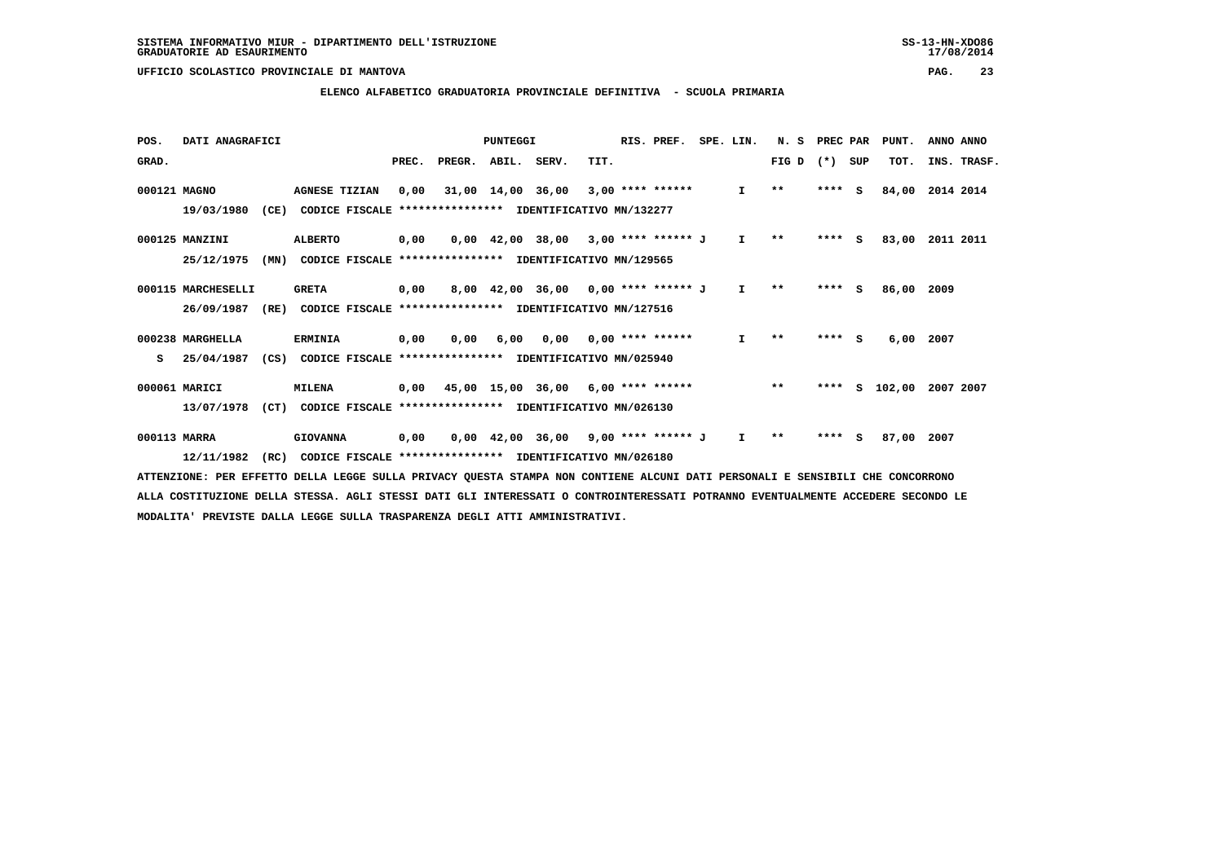#### **ELENCO ALFABETICO GRADUATORIA PROVINCIALE DEFINITIVA - SCUOLA PRIMARIA**

| POS.         | DATI ANAGRAFICI    |      |                                                          |       |        | <b>PUNTEGGI</b>   |                                       |      | RIS. PREF.                | SPE. LIN.    | N.S          | PREC PAR |     | PUNT.  | ANNO ANNO   |
|--------------|--------------------|------|----------------------------------------------------------|-------|--------|-------------------|---------------------------------------|------|---------------------------|--------------|--------------|----------|-----|--------|-------------|
| GRAD.        |                    |      |                                                          | PREC. | PREGR. | ABIL. SERV.       |                                       | TIT. |                           |              | FIG D        | $(* )$   | SUP | TOT.   | INS. TRASF. |
| 000121 MAGNO |                    |      | <b>AGNESE TIZIAN</b>                                     | 0,00  |        | 31,00 14,00 36,00 |                                       |      | $3,00$ **** ******        | $\mathbf{I}$ | $***$        | $***$ S  |     | 84,00  | 2014 2014   |
|              | 19/03/1980         | (CE) | CODICE FISCALE **************** IDENTIFICATIVO MN/132277 |       |        |                   |                                       |      |                           |              |              |          |     |        |             |
|              | 000125 MANZINI     |      | <b>ALBERTO</b>                                           | 0,00  |        |                   | 0,00 42,00 38,00 3,00 **** ****** J   |      |                           | $\mathbf{I}$ | $* *$        | $***$ S  |     | 83,00  | 2011 2011   |
|              | 25/12/1975         | (MN) | CODICE FISCALE **************** IDENTIFICATIVO MN/129565 |       |        |                   |                                       |      |                           |              |              |          |     |        |             |
|              | 000115 MARCHESELLI |      | <b>GRETA</b>                                             | 0,00  |        |                   | 8,00 42,00 36,00 0,00 **** ****** J   |      |                           | $\mathbf{I}$ | $* *$        | **** S   |     | 86,00  | 2009        |
|              | 26/09/1987         | (RE) | CODICE FISCALE **************** IDENTIFICATIVO MN/127516 |       |        |                   |                                       |      |                           |              |              |          |     |        |             |
|              | 000238 MARGHELLA   |      | <b>ERMINIA</b>                                           | 0,00  | 0,00   | 6,00              |                                       |      | $0,00$ $0,00$ **** ****** | I.           | $* *$        | $***$ S  |     | 6,00   | 2007        |
| s            | 25/04/1987         | (CS) | CODICE FISCALE **************** IDENTIFICATIVO MN/025940 |       |        |                   |                                       |      |                           |              |              |          |     |        |             |
|              | 000061 MARICI      |      | <b>MILENA</b>                                            | 0,00  |        |                   | 45,00 15,00 36,00 6,00 **** ******    |      |                           |              | $***$        | ****     | s   | 102,00 | 2007 2007   |
|              | 13/07/1978         | (CT) | CODICE FISCALE **************** IDENTIFICATIVO MN/026130 |       |        |                   |                                       |      |                           |              |              |          |     |        |             |
| 000113 MARRA |                    |      | <b>GIOVANNA</b>                                          | 0,00  |        |                   | $0,00$ 42,00 36,00 9,00 **** ****** J |      |                           | I.           | $\star\star$ | **** S   |     | 87,00  | 2007        |
|              | 12/11/1982         | (RC) | CODICE FISCALE **************** IDENTIFICATIVO MN/026180 |       |        |                   |                                       |      |                           |              |              |          |     |        |             |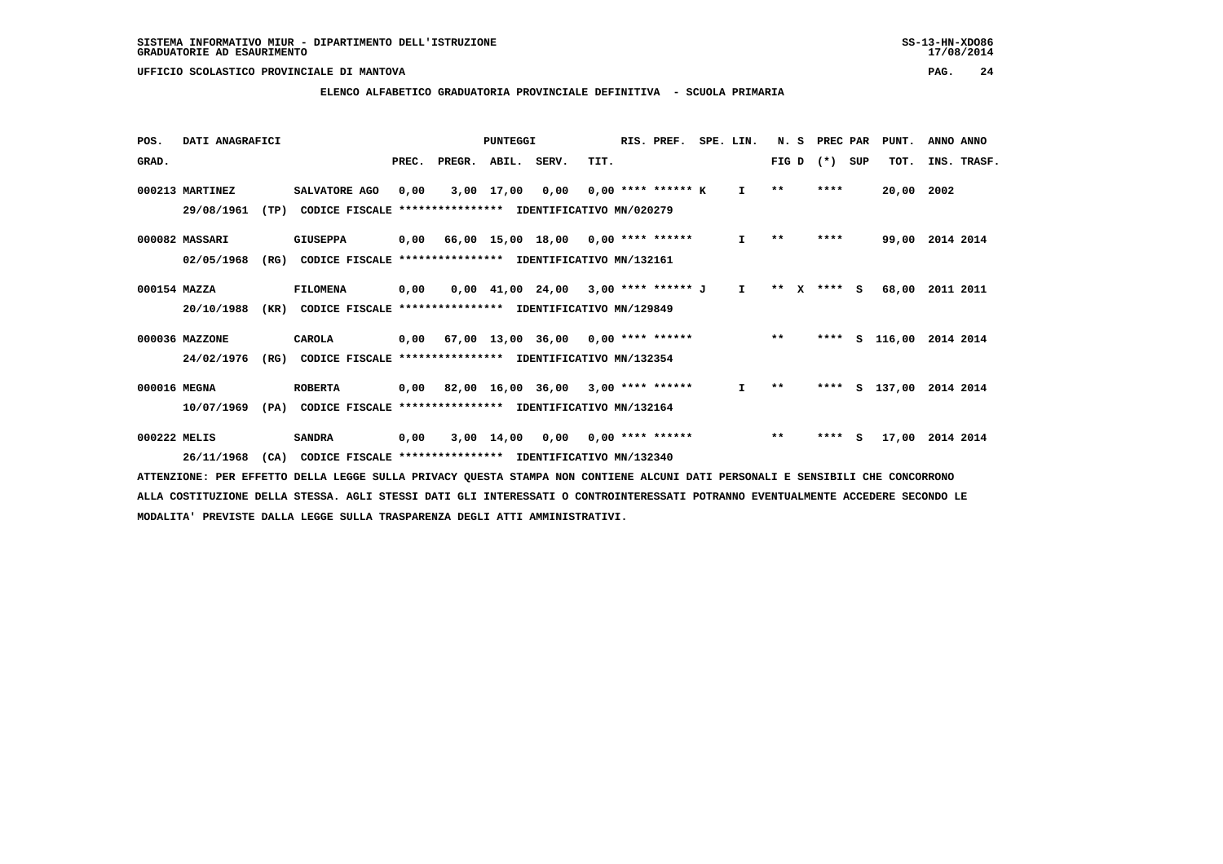#### **ELENCO ALFABETICO GRADUATORIA PROVINCIALE DEFINITIVA - SCUOLA PRIMARIA**

| POS.         | DATI ANAGRAFICI |      |                                                               |       |                    | PUNTEGGI   |                                                                               |      | RIS. PREF.           | SPE. LIN.    | N. S        | PREC PAR |     | PUNT.         | ANNO ANNO               |  |
|--------------|-----------------|------|---------------------------------------------------------------|-------|--------------------|------------|-------------------------------------------------------------------------------|------|----------------------|--------------|-------------|----------|-----|---------------|-------------------------|--|
| GRAD.        |                 |      |                                                               | PREC. | PREGR. ABIL. SERV. |            |                                                                               | TIT. |                      |              | FIG D       | $(*)$    | SUP | TOT.          | INS. TRASF.             |  |
|              | 000213 MARTINEZ |      | SALVATORE AGO                                                 | 0.00  |                    | 3,00 17,00 | 0,00                                                                          |      | $0.00$ **** ****** K | $\mathbf{I}$ | $* *$       | ****     |     | 20,00 2002    |                         |  |
|              | 29/08/1961      | (TP) | CODICE FISCALE                                                |       |                    |            | **************** IDENTIFICATIVO MN/020279                                     |      |                      |              |             |          |     |               |                         |  |
|              | 000082 MASSARI  |      | <b>GIUSEPPA</b>                                               |       |                    |            | $0,00$ 66,00 15,00 18,00 0,00 **** ******                                     |      |                      | $\mathbf{I}$ | $***$       | ****     |     |               | 99,00 2014 2014         |  |
|              | 02/05/1968      | (RG) | CODICE FISCALE **************** IDENTIFICATIVO MN/132161      |       |                    |            |                                                                               |      |                      |              |             |          |     |               |                         |  |
| 000154 MAZZA |                 |      | FILOMENA                                                      | 0,00  |                    |            | $0.00 \quad 41.00 \quad 24.00 \quad 3.00 \quad *** \quad *** \quad J \quad I$ |      |                      |              | ** x **** s |          |     | 68,00         | 2011 2011               |  |
|              | 20/10/1988      |      | (KR) CODICE FISCALE **************** IDENTIFICATIVO MN/129849 |       |                    |            |                                                                               |      |                      |              |             |          |     |               |                         |  |
|              | 000036 MAZZONE  |      | CAROLA                                                        |       |                    |            | $0,00$ 67,00 13,00 36,00 0,00 **** ******                                     |      |                      |              | $**$        |          |     |               | **** S 116,00 2014 2014 |  |
|              | 24/02/1976      | (RG) | CODICE FISCALE **************** IDENTIFICATIVO MN/132354      |       |                    |            |                                                                               |      |                      |              |             |          |     |               |                         |  |
| 000016 MEGNA |                 |      | <b>ROBERTA</b>                                                |       |                    |            | 0,00 82,00 16,00 36,00 3,00 **** ******                                       |      |                      | $\mathbf{I}$ | $***$       |          |     | **** S 137,00 | 2014 2014               |  |
|              | 10/07/1969      | (PA) | CODICE FISCALE **************** IDENTIFICATIVO MN/132164      |       |                    |            |                                                                               |      |                      |              |             |          |     |               |                         |  |
| 000222 MELIS |                 |      | <b>SANDRA</b>                                                 | 0,00  |                    |            | $3,00$ 14,00 0,00 0,00 **** ******                                            |      |                      |              | $***$       | $***$ S  |     | 17,00         | 2014 2014               |  |
|              | 26/11/1968      | (CA) | CODICE FISCALE **************** IDENTIFICATIVO MN/132340      |       |                    |            |                                                                               |      |                      |              |             |          |     |               |                         |  |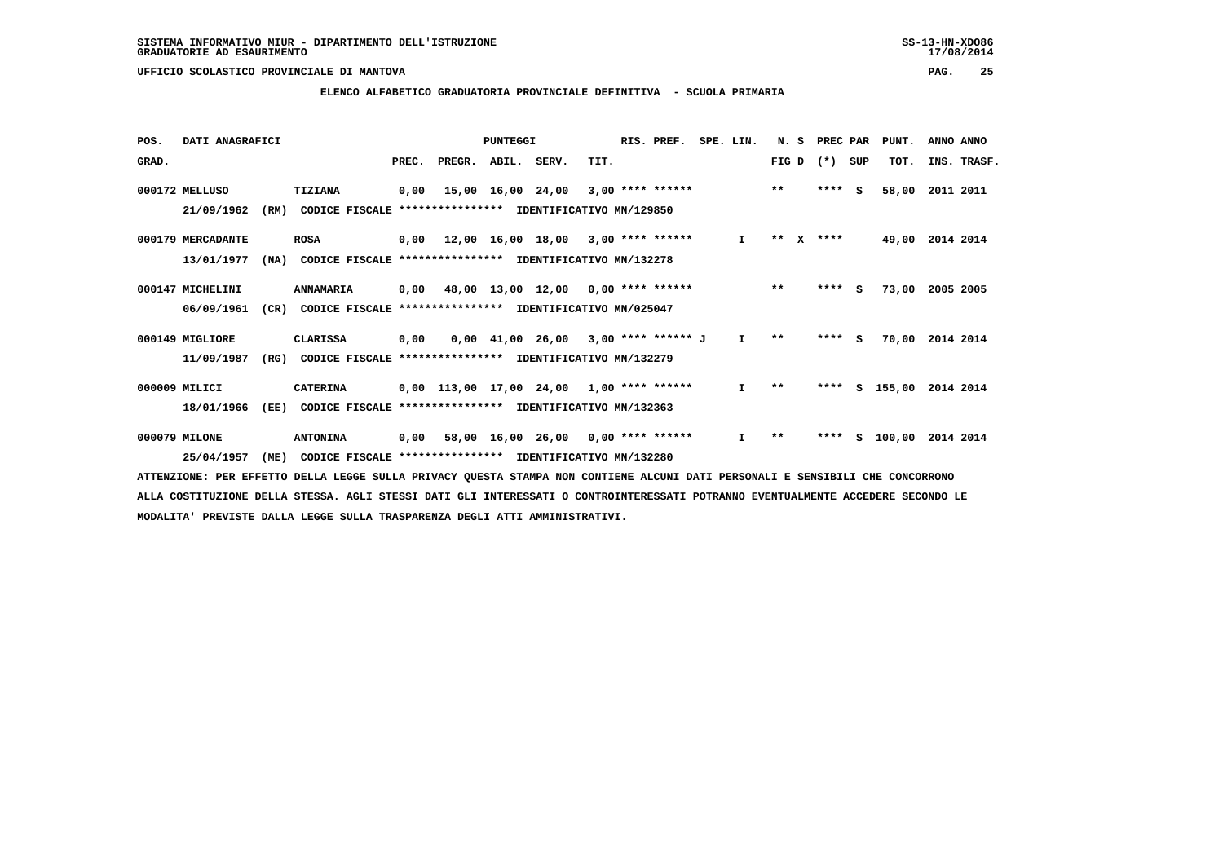#### **ELENCO ALFABETICO GRADUATORIA PROVINCIALE DEFINITIVA - SCUOLA PRIMARIA**

| POS.  | DATI ANAGRAFICI   |      |                                                          |       |        | PUNTEGGI          |                                            |      | RIS. PREF.         | SPE. LIN.    | N.S   |              | PREC PAR |          | PUNT.           | ANNO ANNO   |  |
|-------|-------------------|------|----------------------------------------------------------|-------|--------|-------------------|--------------------------------------------|------|--------------------|--------------|-------|--------------|----------|----------|-----------------|-------------|--|
| GRAD. |                   |      |                                                          | PREC. | PREGR. | ABIL. SERV.       |                                            | TIT. |                    |              | FIG D |              | $(*)$    | SUP      | TOT.            | INS. TRASF. |  |
|       | 000172 MELLUSO    |      | <b>TIZIANA</b>                                           | 0,00  |        | 15,00 16,00 24,00 |                                            |      | $3,00$ **** ****** |              | $* *$ |              | $***5$   |          | 58,00           | 2011 2011   |  |
|       | 21/09/1962        | (RM) | CODICE FISCALE **************** IDENTIFICATIVO MN/129850 |       |        |                   |                                            |      |                    |              |       |              |          |          |                 |             |  |
|       | 000179 MERCADANTE |      | <b>ROSA</b>                                              |       |        |                   | $0,00$ 12,00 16,00 18,00 3,00 **** ******  |      |                    | $\mathbf{I}$ | $***$ | $\mathbf{x}$ | ****     |          | 49,00 2014 2014 |             |  |
|       | 13/01/1977        | (NA) | CODICE FISCALE **************** IDENTIFICATIVO MN/132278 |       |        |                   |                                            |      |                    |              |       |              |          |          |                 |             |  |
|       | 000147 MICHELINI  |      | ANNAMARIA                                                | 0,00  |        |                   | 48,00 13,00 12,00 0,00 **** ******         |      |                    |              | $***$ |              | ****     | <b>S</b> | 73,00           | 2005 2005   |  |
|       | 06/09/1961        | (CR) | CODICE FISCALE **************** IDENTIFICATIVO MN/025047 |       |        |                   |                                            |      |                    |              |       |              |          |          |                 |             |  |
|       | 000149 MIGLIORE   |      | <b>CLARISSA</b>                                          | 0,00  |        |                   | $0,00$ 41,00 26,00 3,00 **** ****** J      |      |                    | Ι.           | $* *$ |              | $***$ S  |          | 70,00           | 2014 2014   |  |
|       | 11/09/1987        | (RG) | CODICE FISCALE **************** IDENTIFICATIVO MN/132279 |       |        |                   |                                            |      |                    |              |       |              |          |          |                 |             |  |
|       | 000009 MILICI     |      | <b>CATERINA</b>                                          |       |        |                   | $0,00$ 113,00 17,00 24,00 1,00 **** ****** |      |                    | $\mathbf{I}$ | $***$ |              | ****     |          | S 155,00        | 2014 2014   |  |
|       | 18/01/1966        | (EE) | CODICE FISCALE                                           |       |        |                   | **************** IDENTIFICATIVO MN/132363  |      |                    |              |       |              |          |          |                 |             |  |
|       | 000079 MILONE     |      | <b>ANTONINA</b>                                          |       |        |                   | $0,00$ 58,00 16,00 26,00 0,00 **** ******  |      |                    | I.           | $* *$ |              | ****     |          | $S = 100,00$    | 2014 2014   |  |
|       | 25/04/1957        | (ME) | CODICE FISCALE **************** IDENTIFICATIVO MN/132280 |       |        |                   |                                            |      |                    |              |       |              |          |          |                 |             |  |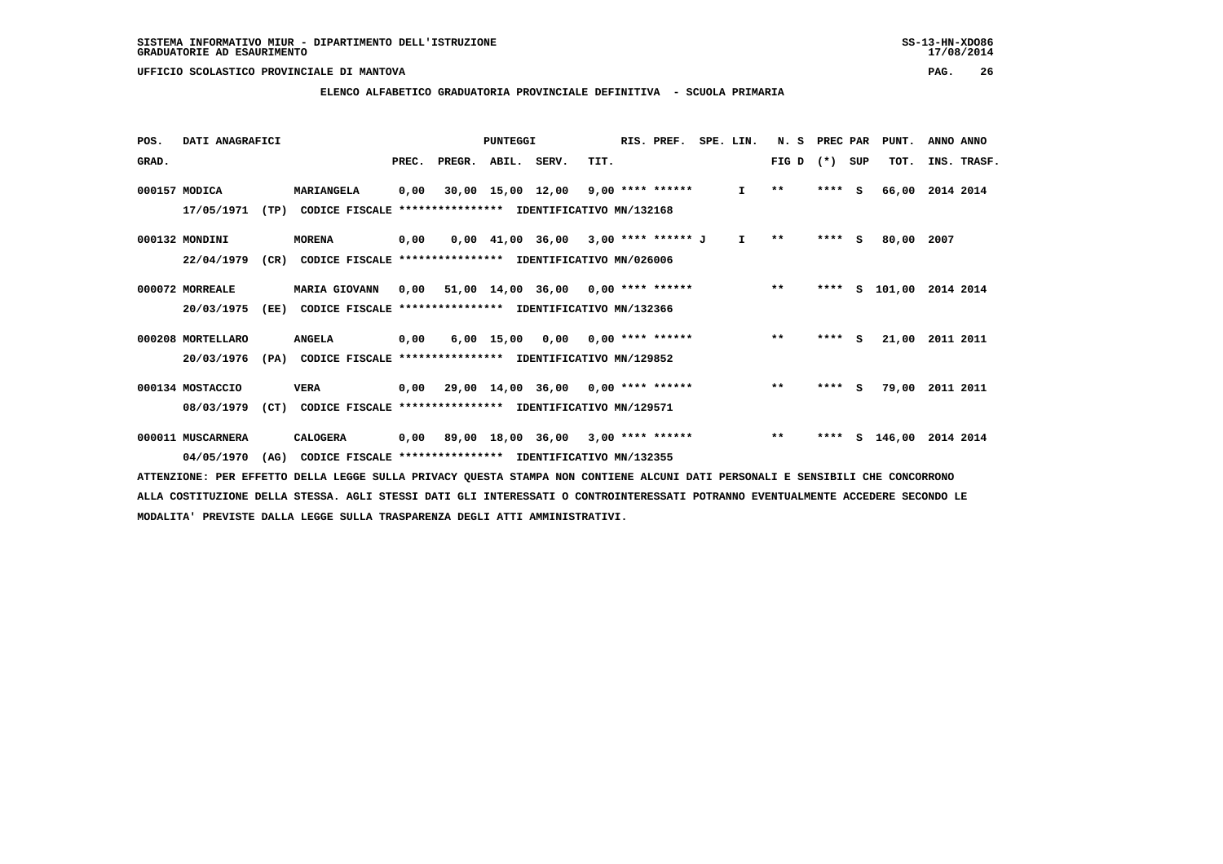#### **ELENCO ALFABETICO GRADUATORIA PROVINCIALE DEFINITIVA - SCUOLA PRIMARIA**

| POS.  | DATI ANAGRAFICI   |      |                                                          |       |                    | PUNTEGGI |                                                  |      | RIS. PREF. | SPE. LIN.    | N. S         | PREC PAR |     | PUNT.         | ANNO ANNO |             |
|-------|-------------------|------|----------------------------------------------------------|-------|--------------------|----------|--------------------------------------------------|------|------------|--------------|--------------|----------|-----|---------------|-----------|-------------|
| GRAD. |                   |      |                                                          | PREC. | PREGR. ABIL. SERV. |          |                                                  | TIT. |            |              | $FIG D (*)$  |          | SUP | TOT.          |           | INS. TRASF. |
|       | 000157 MODICA     |      | MARIANGELA                                               | 0,00  |                    |          | 30,00 15,00 12,00 9,00 **** ******               |      |            | $\mathbf{I}$ | $\star\star$ | **** S   |     | 66,00         | 2014 2014 |             |
|       | 17/05/1971        | (TP) | CODICE FISCALE                                           |       |                    |          | *************** IDENTIFICATIVO MN/132168         |      |            |              |              |          |     |               |           |             |
|       | 000132 MONDINI    |      | <b>MORENA</b>                                            | 0,00  |                    |          | 0,00 41,00 36,00 3,00 **** ****** J              |      |            | $\mathbf{I}$ | $* *$        | $***$ S  |     | 80,00         | 2007      |             |
|       | 22/04/1979        | (CR) | CODICE FISCALE **************** IDENTIFICATIVO MN/026006 |       |                    |          |                                                  |      |            |              |              |          |     |               |           |             |
|       | 000072 MORREALE   |      | <b>MARIA GIOVANN</b>                                     | 0,00  |                    |          | $51,00$ $14,00$ $36,00$ $0,00$ $***$ **** ****** |      |            |              | $***$        |          |     | **** S 101,00 | 2014 2014 |             |
|       | 20/03/1975        | (EE) | CODICE FISCALE                                           |       |                    |          | **************** IDENTIFICATIVO MN/132366        |      |            |              |              |          |     |               |           |             |
|       | 000208 MORTELLARO |      | <b>ANGELA</b>                                            | 0,00  |                    |          | $6,00$ 15,00 0,00 0,00 **** ******               |      |            |              | $**$         | $***$ S  |     | 21,00         | 2011 2011 |             |
|       | 20/03/1976        | (PA) | CODICE FISCALE **************** IDENTIFICATIVO MN/129852 |       |                    |          |                                                  |      |            |              |              |          |     |               |           |             |
|       | 000134 MOSTACCIO  |      | <b>VERA</b>                                              | 0,00  |                    |          | 29,00 14,00 36,00 0,00 **** ******               |      |            |              | $***$        | $***$ S  |     | 79,00         | 2011 2011 |             |
|       | 08/03/1979        | (CT) | CODICE FISCALE **************** IDENTIFICATIVO MN/129571 |       |                    |          |                                                  |      |            |              |              |          |     |               |           |             |
|       | 000011 MUSCARNERA |      | CALOGERA                                                 |       |                    |          | $0,00$ 89,00 18,00 36,00 3,00 **** ******        |      |            |              | $***$        | ****     |     | s 146,00      | 2014 2014 |             |
|       | 04/05/1970        | (AG) | CODICE FISCALE **************** IDENTIFICATIVO MN/132355 |       |                    |          |                                                  |      |            |              |              |          |     |               |           |             |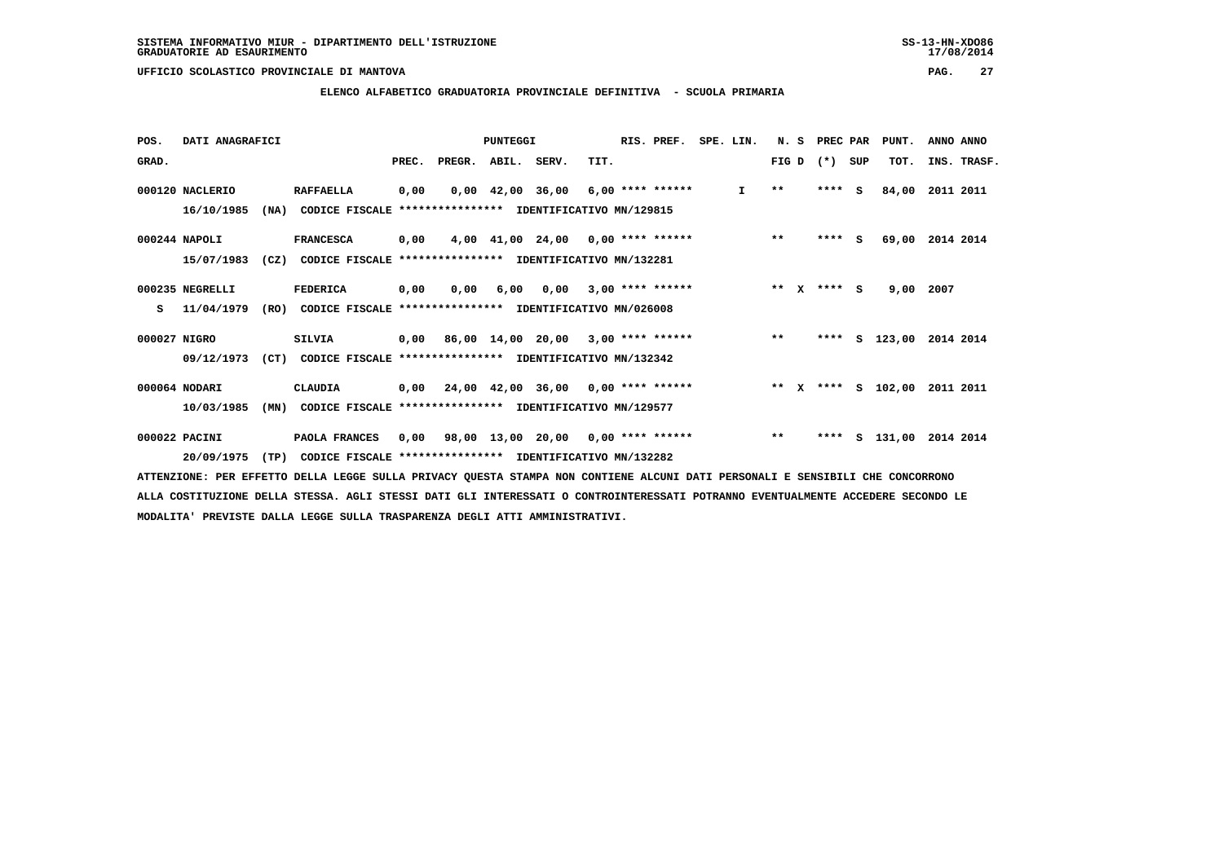**ELENCO ALFABETICO GRADUATORIA PROVINCIALE DEFINITIVA - SCUOLA PRIMARIA**

| POS.         | DATI ANAGRAFICI |      |                                                               |       |                    | <b>PUNTEGGI</b> |                                                  |      | RIS. PREF.         | SPE. LIN.       | N. S         |              | PREC PAR |     | PUNT.         | ANNO ANNO               |
|--------------|-----------------|------|---------------------------------------------------------------|-------|--------------------|-----------------|--------------------------------------------------|------|--------------------|-----------------|--------------|--------------|----------|-----|---------------|-------------------------|
| GRAD.        |                 |      |                                                               | PREC. | PREGR. ABIL. SERV. |                 |                                                  | TIT. |                    |                 | FIG D $(*)$  |              |          | SUP | TOT.          | INS. TRASF.             |
|              | 000120 NACLERIO |      | <b>RAFFAELLA</b>                                              | 0,00  |                    |                 | $0,00$ 42,00 36,00 6,00 **** ******              |      |                    | $\mathbf{I}$    | $\star\star$ |              | $***$ S  |     | 84,00         | 2011 2011               |
|              | 16/10/1985      | (NA) | CODICE FISCALE **************** IDENTIFICATIVO MN/129815      |       |                    |                 |                                                  |      |                    |                 |              |              |          |     |               |                         |
|              | $000244$ NAPOLI |      | <b>FRANCESCA</b>                                              | 0,00  |                    |                 | $4,00$ $41,00$ $24,00$ $0,00$ **** ******        |      |                    |                 | $***$        |              | $***$ S  |     | 69,00         | 2014 2014               |
|              | 15/07/1983      | (CZ) | CODICE FISCALE **************** IDENTIFICATIVO MN/132281      |       |                    |                 |                                                  |      |                    |                 |              |              |          |     |               |                         |
|              | 000235 NEGRELLI |      | <b>FEDERICA</b>                                               | 0,00  | 0.00               | 6,00            | 0.00                                             |      | $3,00$ **** ****** |                 | $***$        | $\mathbf{x}$ | $***$ S  |     | 9,00          | 2007                    |
| s            | 11/04/1979      |      | (RO) CODICE FISCALE **************** IDENTIFICATIVO MN/026008 |       |                    |                 |                                                  |      |                    |                 |              |              |          |     |               |                         |
| 000027 NIGRO |                 |      | <b>SILVIA</b>                                                 |       |                    |                 | $0,00$ 86,00 14,00 20,00 3,00 **** ******        |      |                    |                 | $***$        |              |          |     |               | **** S 123,00 2014 2014 |
|              | 09/12/1973      | (CT) | CODICE FISCALE **************** IDENTIFICATIVO MN/132342      |       |                    |                 |                                                  |      |                    |                 |              |              |          |     |               |                         |
|              | 000064 NODARI   |      | CLAUDIA                                                       | 0,00  |                    |                 | $24,00$ $42,00$ $36,00$ $0,00$ $***$ **** ****** |      |                    | $\star \star$ x |              |              |          |     | **** S 102,00 | 2011 2011               |
|              | 10/03/1985      | (MN) | CODICE FISCALE **************** IDENTIFICATIVO MN/129577      |       |                    |                 |                                                  |      |                    |                 |              |              |          |     |               |                         |
|              | 000022 PACINI   |      | PAOLA FRANCES                                                 | 0,00  |                    |                 | 98,00 13,00 20,00 0,00 **** ******               |      |                    |                 | $***$        |              | ****     |     | s 131,00      | 2014 2014               |
|              | 20/09/1975      | (TP) | CODICE FISCALE **************** IDENTIFICATIVO MN/132282      |       |                    |                 |                                                  |      |                    |                 |              |              |          |     |               |                         |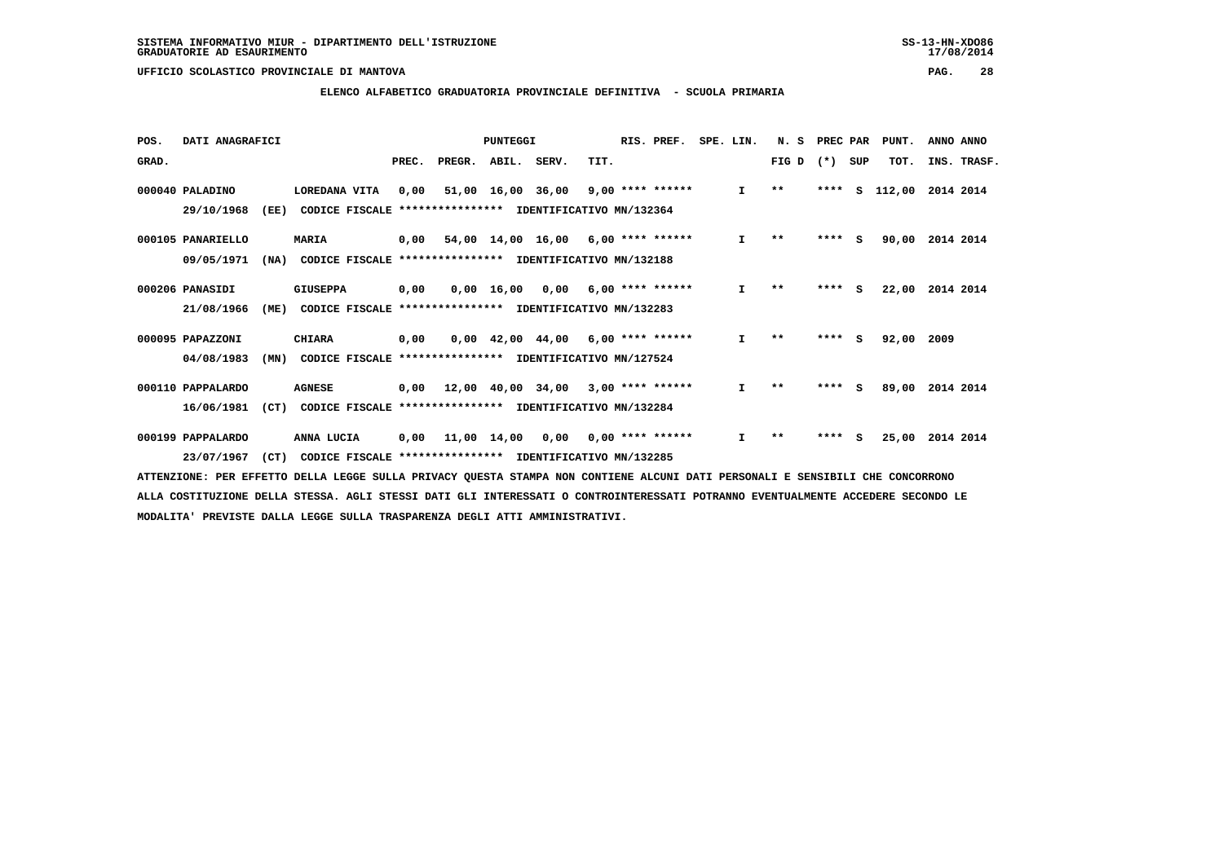#### **ELENCO ALFABETICO GRADUATORIA PROVINCIALE DEFINITIVA - SCUOLA PRIMARIA**

| POS.  | DATI ANAGRAFICI   |      |                                                          |       |        | PUNTEGGI          |                                                 |      | RIS. PREF.         | SPE. LIN. |              | N.S   | PREC PAR |     | PUNT.  | ANNO ANNO   |
|-------|-------------------|------|----------------------------------------------------------|-------|--------|-------------------|-------------------------------------------------|------|--------------------|-----------|--------------|-------|----------|-----|--------|-------------|
| GRAD. |                   |      |                                                          | PREC. | PREGR. | ABIL. SERV.       |                                                 | TIT. |                    |           |              | FIG D | $(*)$    | SUP | TOT.   | INS. TRASF. |
|       | 000040 PALADINO   |      | LOREDANA VITA                                            | 0,00  |        | 51,00 16,00 36,00 |                                                 |      | $9,00$ **** ****** |           | $\mathbf{I}$ | $***$ | ****     | s   | 112,00 | 2014 2014   |
|       | 29/10/1968        | (EE) | CODICE FISCALE **************** IDENTIFICATIVO MN/132364 |       |        |                   |                                                 |      |                    |           |              |       |          |     |        |             |
|       | 000105 PANARIELLO |      | <b>MARIA</b>                                             |       |        |                   | $0,00$ 54,00 14,00 16,00 6,00 **** ******       |      |                    |           | I.           | $* *$ | ****     | - S | 90,00  | 2014 2014   |
|       | 09/05/1971        | (NA) | CODICE FISCALE **************** IDENTIFICATIVO MN/132188 |       |        |                   |                                                 |      |                    |           |              |       |          |     |        |             |
|       | 000206 PANASIDI   |      | <b>GIUSEPPA</b>                                          | 0,00  |        | 0,00 16,00        | 0,00                                            |      | $6,00$ **** ****** |           | $\mathbf{I}$ | $* *$ | ****     | S.  | 22,00  | 2014 2014   |
|       | 21/08/1966        | (ME) | CODICE FISCALE **************** IDENTIFICATIVO MN/132283 |       |        |                   |                                                 |      |                    |           |              |       |          |     |        |             |
|       | 000095 PAPAZZONI  |      | <b>CHIARA</b>                                            | 0,00  |        |                   | $0,00$ 42,00 44,00 6,00 **** ******             |      |                    |           | $\mathbf{I}$ | $* *$ | ****     | - S | 92,00  | 2009        |
|       | 04/08/1983        | (MN) | CODICE FISCALE **************** IDENTIFICATIVO MN/127524 |       |        |                   |                                                 |      |                    |           |              |       |          |     |        |             |
|       | 000110 PAPPALARDO |      | <b>AGNESE</b>                                            | 0,00  |        | 12,00 40,00 34,00 |                                                 |      | $3,00$ **** ****** |           | $\mathbf{I}$ | $***$ | ****     | - 5 | 89,00  | 2014 2014   |
|       | 16/06/1981        | (CT) | CODICE FISCALE **************** IDENTIFICATIVO MN/132284 |       |        |                   |                                                 |      |                    |           |              |       |          |     |        |             |
|       | 000199 PAPPALARDO |      | ANNA LUCIA                                               | 0,00  |        |                   | $11,00$ $14,00$ $0,00$ $0,00$ $***$ **** ****** |      |                    |           | $\mathbf{I}$ | $* *$ | ****     | s   | 25,00  | 2014 2014   |
|       | 23/07/1967        | (CT) | CODICE FISCALE **************** IDENTIFICATIVO MN/132285 |       |        |                   |                                                 |      |                    |           |              |       |          |     |        |             |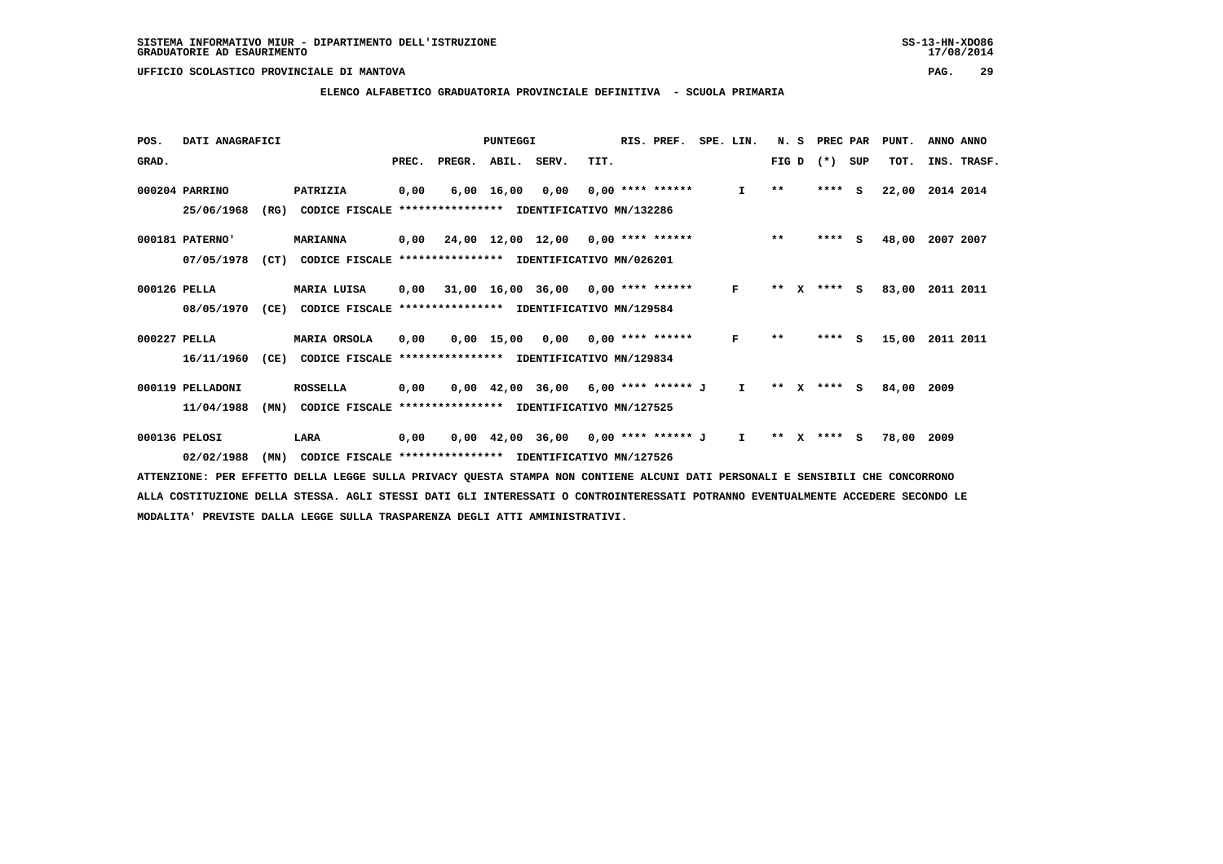#### **ELENCO ALFABETICO GRADUATORIA PROVINCIALE DEFINITIVA - SCUOLA PRIMARIA**

| POS.         | DATI ANAGRAFICI  |      |                                                                                                                        |       |                    | PUNTEGGI           |                                           |      | RIS. PREF.                | SPE. LIN. |              | N. S    |         | PREC PAR | PUNT. | ANNO ANNO |             |
|--------------|------------------|------|------------------------------------------------------------------------------------------------------------------------|-------|--------------------|--------------------|-------------------------------------------|------|---------------------------|-----------|--------------|---------|---------|----------|-------|-----------|-------------|
| GRAD.        |                  |      |                                                                                                                        | PREC. | PREGR. ABIL. SERV. |                    |                                           | TIT. |                           |           |              | FIG D   | $(*)$   | SUP      | TOT.  |           | INS. TRASF. |
|              | 000204 PARRINO   |      | PATRIZIA                                                                                                               | 0,00  |                    | $6,00 \quad 16,00$ | 0,00                                      |      | $0.00$ **** ******        |           | $\mathbf{I}$ | $* *$   | $***$ S |          | 22,00 | 2014 2014 |             |
|              | 25/06/1968       | (RG) | CODICE FISCALE                                                                                                         |       |                    |                    | **************** IDENTIFICATIVO MN/132286 |      |                           |           |              |         |         |          |       |           |             |
|              | 000181 PATERNO'  |      | <b>MARIANNA</b>                                                                                                        | 0,00  |                    |                    | 24,00 12,00 12,00 0,00 **** ******        |      |                           |           |              | $***$   | ****    | S.       | 48,00 | 2007 2007 |             |
|              | 07/05/1978       | (CT) | CODICE FISCALE **************** IDENTIFICATIVO MN/026201                                                               |       |                    |                    |                                           |      |                           |           |              |         |         |          |       |           |             |
| 000126 PELLA |                  |      | MARIA LUISA                                                                                                            | 0,00  |                    |                    | 31,00 16,00 36,00 0,00 **** ******        |      |                           |           | $\mathbf{F}$ | ** $X$  | $***$ S |          | 83,00 | 2011 2011 |             |
|              | 08/05/1970       | (CE) | CODICE FISCALE                                                                                                         |       |                    |                    | **************** IDENTIFICATIVO MN/129584 |      |                           |           |              |         |         |          |       |           |             |
| 000227 PELLA |                  |      | MARIA ORSOLA                                                                                                           | 0,00  |                    | $0,00$ 15,00       |                                           |      | $0,00$ $0,00$ **** ****** |           | F            | $* *$   | ****    | <b>S</b> | 15,00 | 2011 2011 |             |
|              | 16/11/1960       | (CE) | CODICE FISCALE                                                                                                         |       |                    |                    | *************** IDENTIFICATIVO MN/129834  |      |                           |           |              |         |         |          |       |           |             |
|              | 000119 PELLADONI |      | <b>ROSSELLA</b>                                                                                                        | 0,00  |                    |                    | $0,00$ 42,00 36,00 6,00 **** ****** J     |      |                           |           | $\mathbf{I}$ | $***$ X | **** S  |          | 84,00 | 2009      |             |
|              | 11/04/1988       | (MN) | CODICE FISCALE **************** IDENTIFICATIVO MN/127525                                                               |       |                    |                    |                                           |      |                           |           |              |         |         |          |       |           |             |
|              | 000136 PELOSI    |      | LARA                                                                                                                   | 0,00  |                    |                    | $0,00$ 42,00 36,00 0,00 **** ****** J I   |      |                           |           |              | $***$ X | $***5$  |          | 78,00 | 2009      |             |
|              | 02/02/1988       | (MN) | CODICE FISCALE **************** IDENTIFICATIVO MN/127526                                                               |       |                    |                    |                                           |      |                           |           |              |         |         |          |       |           |             |
|              |                  |      | חות המחספת השם דודם השוקדים היו המחספת דיווה המחסיבה המחסדים ואת המחסדה להמודסת גדודים המחסד גזוקה המחספת השם בהוחדשות |       |                    |                    |                                           |      |                           |           |              |         |         |          |       |           |             |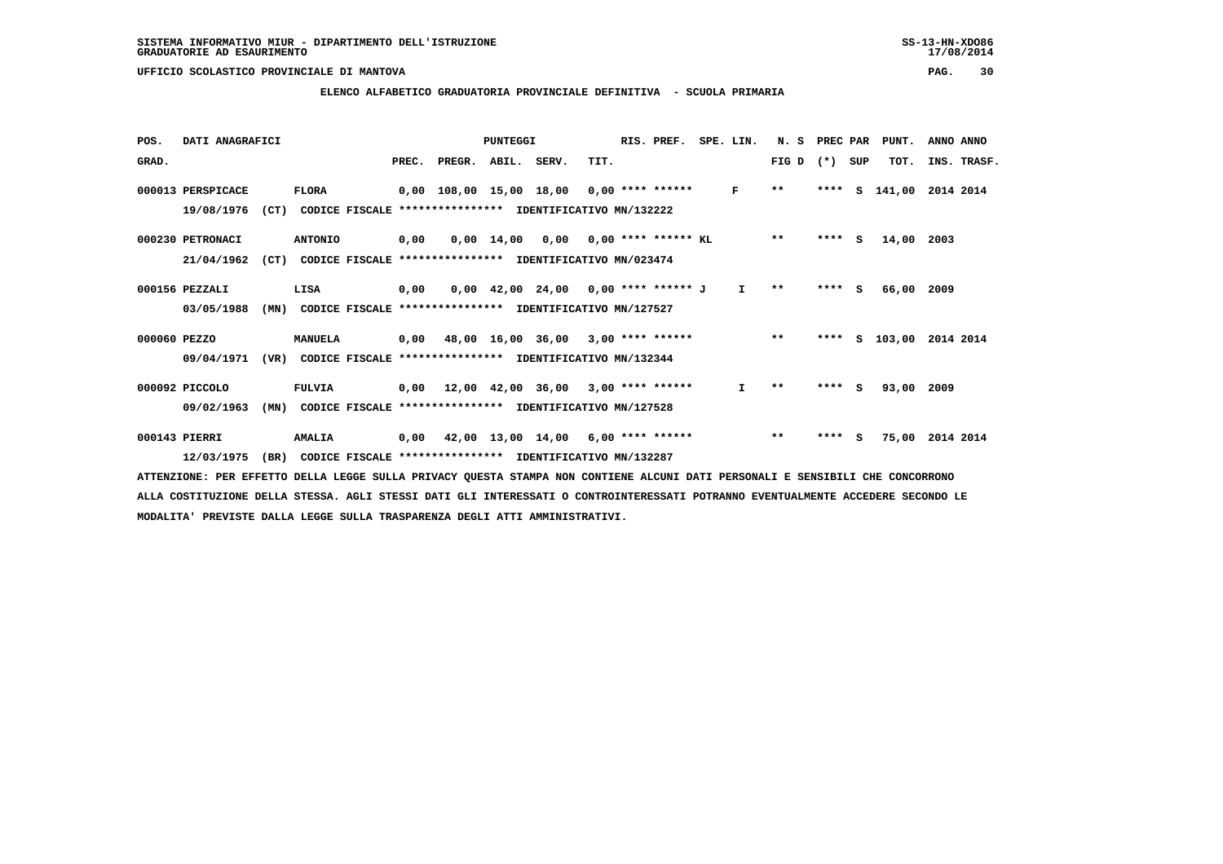### **ELENCO ALFABETICO GRADUATORIA PROVINCIALE DEFINITIVA - SCUOLA PRIMARIA**

| POS.         | DATI ANAGRAFICI   |      |                                                              |       |                    | PUNTEGGI   |                                                                       |      | RIS. PREF.                   | SPE. LIN.    | N. S                     | PREC PAR |     | PUNT.         | ANNO ANNO   |  |
|--------------|-------------------|------|--------------------------------------------------------------|-------|--------------------|------------|-----------------------------------------------------------------------|------|------------------------------|--------------|--------------------------|----------|-----|---------------|-------------|--|
| GRAD.        |                   |      |                                                              | PREC. | PREGR. ABIL. SERV. |            |                                                                       | TIT. |                              |              | FIG D                    | $(*)$    | SUP | TOT.          | INS. TRASF. |  |
|              | 000013 PERSPICACE |      | <b>FLORA</b>                                                 |       |                    |            | $0,00$ 108,00 15,00 18,00 0,00 **** ******                            |      |                              | F            | $***$                    |          |     | **** S 141,00 | 2014 2014   |  |
|              | 19/08/1976        | (CT) | CODICE FISCALE                                               |       |                    |            | *************** IDENTIFICATIVO MN/132222                              |      |                              |              |                          |          |     |               |             |  |
|              | 000230 PETRONACI  |      | <b>ANTONIO</b>                                               | 0,00  |                    | 0,00 14,00 |                                                                       |      | $0,00$ $0,00$ **** ****** KL |              | $* *$                    | $***$ S  |     | 14,00         | 2003        |  |
|              | 21/04/1962        | (CT) |                                                              |       |                    |            | CODICE FISCALE **************** IDENTIFICATIVO MN/023474              |      |                              |              |                          |          |     |               |             |  |
|              | 000156 PEZZALI    |      | LISA                                                         | 0,00  |                    |            | $0.00 \quad 42.00 \quad 24.00 \quad 0.00 \quad *** \quad *** \quad J$ |      |                              | $\mathbf{I}$ | $* *$                    | ****     | S.  | 66,00 2009    |             |  |
|              | 03/05/1988        | (MN) |                                                              |       |                    |            | CODICE FISCALE **************** IDENTIFICATIVO MN/127527              |      |                              |              |                          |          |     |               |             |  |
| 000060 PEZZO |                   |      | MANUELA                                                      |       |                    |            | 0,00 48,00 16,00 36,00                                                |      | $3,00$ **** ******           |              | $***$                    | ****     | s   | 103,00        | 2014 2014   |  |
|              | 09/04/1971        |      | (VR) CODICE FISCALE *************** IDENTIFICATIVO MN/132344 |       |                    |            |                                                                       |      |                              |              |                          |          |     |               |             |  |
|              | 000092 PICCOLO    |      | <b>FULVIA</b>                                                |       |                    |            | $0,00$ 12,00 42,00 36,00 3,00 **** ******                             |      |                              | I.           | $\pmb{\star}\pmb{\star}$ | **** S   |     | 93,00         | 2009        |  |
|              | 09/02/1963        | (MN) |                                                              |       |                    |            | CODICE FISCALE **************** IDENTIFICATIVO MN/127528              |      |                              |              |                          |          |     |               |             |  |
|              | 000143 PIERRI     |      | <b>AMALIA</b>                                                | 0,00  |                    |            | 42,00 13,00 14,00 6,00 **** ******                                    |      |                              |              | $***$                    | ****     | - S | 75,00         | 2014 2014   |  |
|              | 12/03/1975        | (BR) |                                                              |       |                    |            | CODICE FISCALE **************** IDENTIFICATIVO MN/132287              |      |                              |              |                          |          |     |               |             |  |
|              |                   |      |                                                              |       |                    |            |                                                                       |      |                              |              |                          |          |     |               |             |  |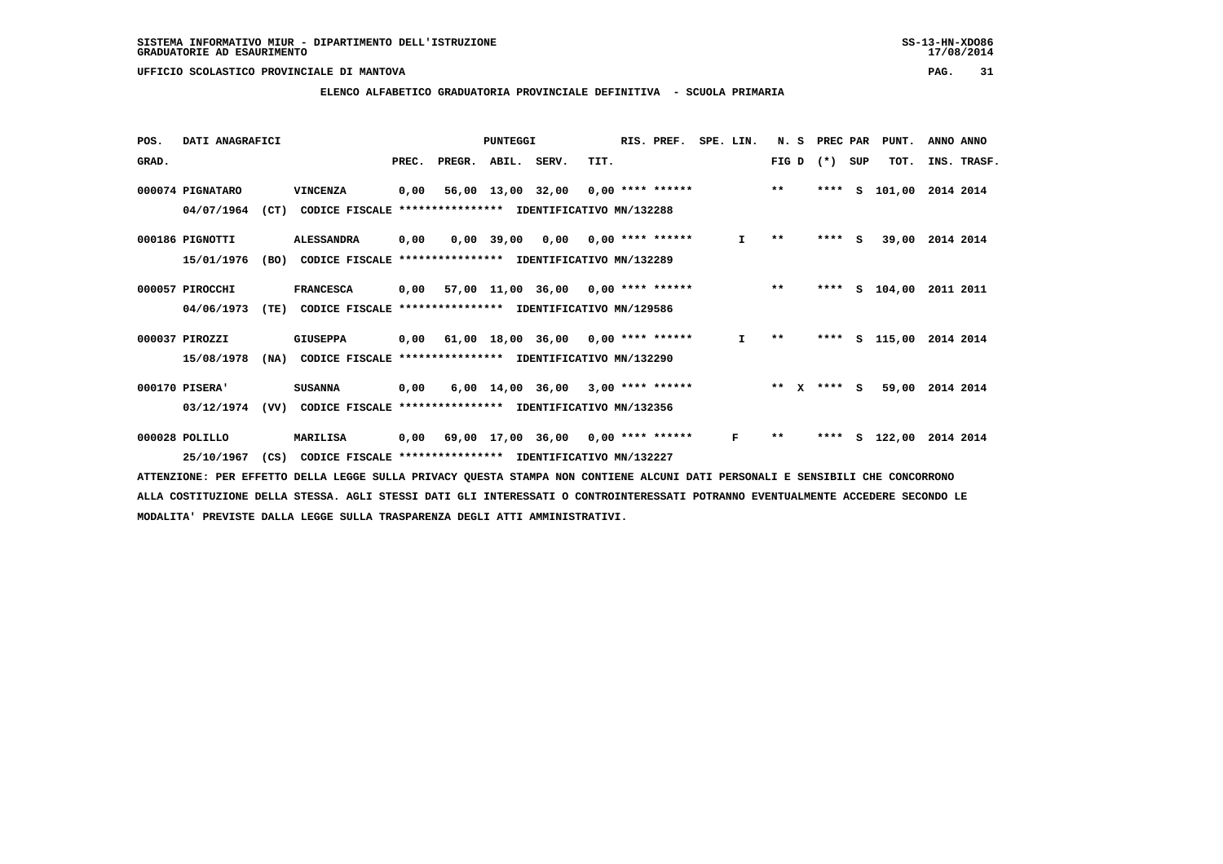#### **ELENCO ALFABETICO GRADUATORIA PROVINCIALE DEFINITIVA - SCUOLA PRIMARIA**

| POS.  | DATI ANAGRAFICI  |      |                                                          |       |                    | PUNTEGGI          |                                           |      | RIS. PREF.                | SPE. LIN. | N. S  |              | PREC PAR |          | PUNT.      | ANNO ANNO |             |
|-------|------------------|------|----------------------------------------------------------|-------|--------------------|-------------------|-------------------------------------------|------|---------------------------|-----------|-------|--------------|----------|----------|------------|-----------|-------------|
| GRAD. |                  |      |                                                          | PREC. | PREGR. ABIL. SERV. |                   |                                           | TIT. |                           |           | FIG D |              | $(*)$    | SUP      | TOT.       |           | INS. TRASF. |
|       | 000074 PIGNATARO |      | VINCENZA                                                 | 0,00  |                    | 56,00 13,00 32,00 |                                           |      | 0,00 **** ******          |           | $***$ |              | ****     |          | s 101,00   | 2014 2014 |             |
|       | 04/07/1964       | (CT) | CODICE FISCALE                                           |       |                    |                   | **************** IDENTIFICATIVO MN/132288 |      |                           |           |       |              |          |          |            |           |             |
|       | 000186 PIGNOTTI  |      | <b>ALESSANDRA</b>                                        | 0,00  |                    | 0,00 39,00        |                                           |      | $0,00$ $0,00$ **** ****** | I.        | $* *$ |              | ****     | <b>S</b> | 39,00      | 2014 2014 |             |
|       | 15/01/1976       | (BO) | CODICE FISCALE **************** IDENTIFICATIVO MN/132289 |       |                    |                   |                                           |      |                           |           |       |              |          |          |            |           |             |
|       | 000057 PIROCCHI  |      | <b>FRANCESCA</b>                                         | 0,00  |                    |                   | 57,00 11,00 36,00 0,00 **** ******        |      |                           |           | $***$ |              | ****     |          | $S$ 104,00 | 2011 2011 |             |
|       | 04/06/1973       | (TE) | CODICE FISCALE                                           |       |                    |                   | **************** IDENTIFICATIVO MN/129586 |      |                           |           |       |              |          |          |            |           |             |
|       | 000037 PIROZZI   |      | <b>GIUSEPPA</b>                                          |       |                    |                   | $0,00$ 61,00 18,00 36,00 0,00 **** ****** |      |                           | I.        | $* *$ |              | ****     |          | S 115,00   | 2014 2014 |             |
|       | 15/08/1978       | (NA) | CODICE FISCALE **************** IDENTIFICATIVO MN/132290 |       |                    |                   |                                           |      |                           |           |       |              |          |          |            |           |             |
|       | 000170 PISERA'   |      | <b>SUSANNA</b>                                           | 0,00  |                    |                   | $6,00$ 14,00 36,00 3,00 **** ******       |      |                           |           | $**$  | $\mathbf{x}$ | **** S   |          | 59,00      | 2014 2014 |             |
|       | 03/12/1974       | (VV) | CODICE FISCALE                                           |       |                    |                   | **************** IDENTIFICATIVO MN/132356 |      |                           |           |       |              |          |          |            |           |             |
|       | 000028 POLILLO   |      | <b>MARILISA</b>                                          | 0,00  |                    | 69,00 17,00 36,00 |                                           |      | $0,00$ **** ******        | F         | $* *$ |              | ****     | s        | 122,00     | 2014 2014 |             |
|       | 25/10/1967       | (CS) | CODICE FISCALE **************** IDENTIFICATIVO MN/132227 |       |                    |                   |                                           |      |                           |           |       |              |          |          |            |           |             |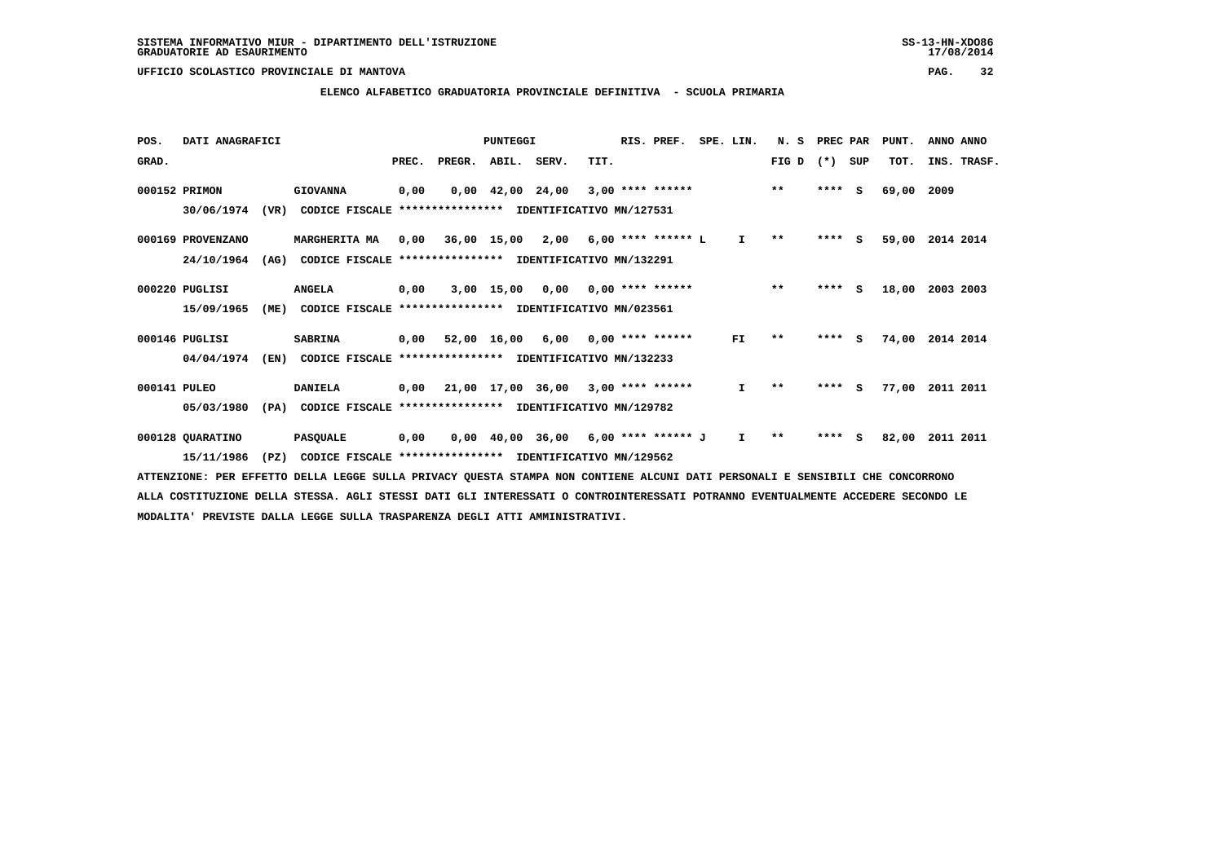#### **ELENCO ALFABETICO GRADUATORIA PROVINCIALE DEFINITIVA - SCUOLA PRIMARIA**

| POS.         | DATI ANAGRAFICI   |      |                                                          |       |                    | PUNTEGGI |                                            |      | RIS. PREF.         | SPE. LIN.    | N.S          | PREC PAR |     | PUNT. | ANNO ANNO   |  |
|--------------|-------------------|------|----------------------------------------------------------|-------|--------------------|----------|--------------------------------------------|------|--------------------|--------------|--------------|----------|-----|-------|-------------|--|
| GRAD.        |                   |      |                                                          | PREC. | PREGR. ABIL. SERV. |          |                                            | TIT. |                    |              | FIG D        | $(*)$    | SUP | TOT.  | INS. TRASF. |  |
|              | 000152 PRIMON     |      | <b>GIOVANNA</b>                                          | 0,00  |                    |          | $0.00 \quad 42.00 \quad 24.00$             |      | $3,00$ **** ****** |              | $***$        | $***$ S  |     | 69,00 | 2009        |  |
|              | 30/06/1974        | (VR) | CODICE FISCALE                                           |       |                    |          | **************** IDENTIFICATIVO MN/127531  |      |                    |              |              |          |     |       |             |  |
|              | 000169 PROVENZANO |      | MARGHERITA MA                                            |       |                    |          | $0,00$ 36,00 15,00 2,00 6,00 **** ****** L |      |                    | $\mathbf{I}$ | $\star\star$ | $***$ S  |     | 59,00 | 2014 2014   |  |
|              | 24/10/1964        | (AG) | CODICE FISCALE **************** IDENTIFICATIVO MN/132291 |       |                    |          |                                            |      |                    |              |              |          |     |       |             |  |
|              | 000220 PUGLISI    |      | <b>ANGELA</b>                                            | 0,00  |                    |          | $3,00$ 15,00 0,00 0,00 **** ******         |      |                    |              | $***$        | ****     | S.  | 18,00 | 2003 2003   |  |
|              | 15/09/1965        | (ME) | CODICE FISCALE **************** IDENTIFICATIVO MN/023561 |       |                    |          |                                            |      |                    |              |              |          |     |       |             |  |
|              | 000146 PUGLISI    |      | <b>SABRINA</b>                                           |       | 0,00 52,00 16,00   |          | 6,00                                       |      | $0,00$ **** ****** | FI.          | $* *$        | ****     | S.  | 74,00 | 2014 2014   |  |
|              | 04/04/1974        | (EN) | CODICE FISCALE **************** IDENTIFICATIVO MN/132233 |       |                    |          |                                            |      |                    |              |              |          |     |       |             |  |
| 000141 PULEO |                   |      | <b>DANIELA</b>                                           |       |                    |          | $0,00$ 21,00 17,00 36,00 3,00 **** ******  |      |                    | $\mathbf{I}$ | $* *$        | ****     | s   | 77,00 | 2011 2011   |  |
|              | 05/03/1980        | (PA) | CODICE FISCALE **************** IDENTIFICATIVO MN/129782 |       |                    |          |                                            |      |                    |              |              |          |     |       |             |  |
|              | 000128 QUARATINO  |      | <b>PASQUALE</b>                                          | 0,00  |                    |          | $0,00$ 40,00 36,00 6,00 **** ****** J      |      |                    | $\mathbf{I}$ | $\star\star$ | ****     | - 5 | 82,00 | 2011 2011   |  |
|              | 15/11/1986        | (PZ) | CODICE FISCALE **************** IDENTIFICATIVO MN/129562 |       |                    |          |                                            |      |                    |              |              |          |     |       |             |  |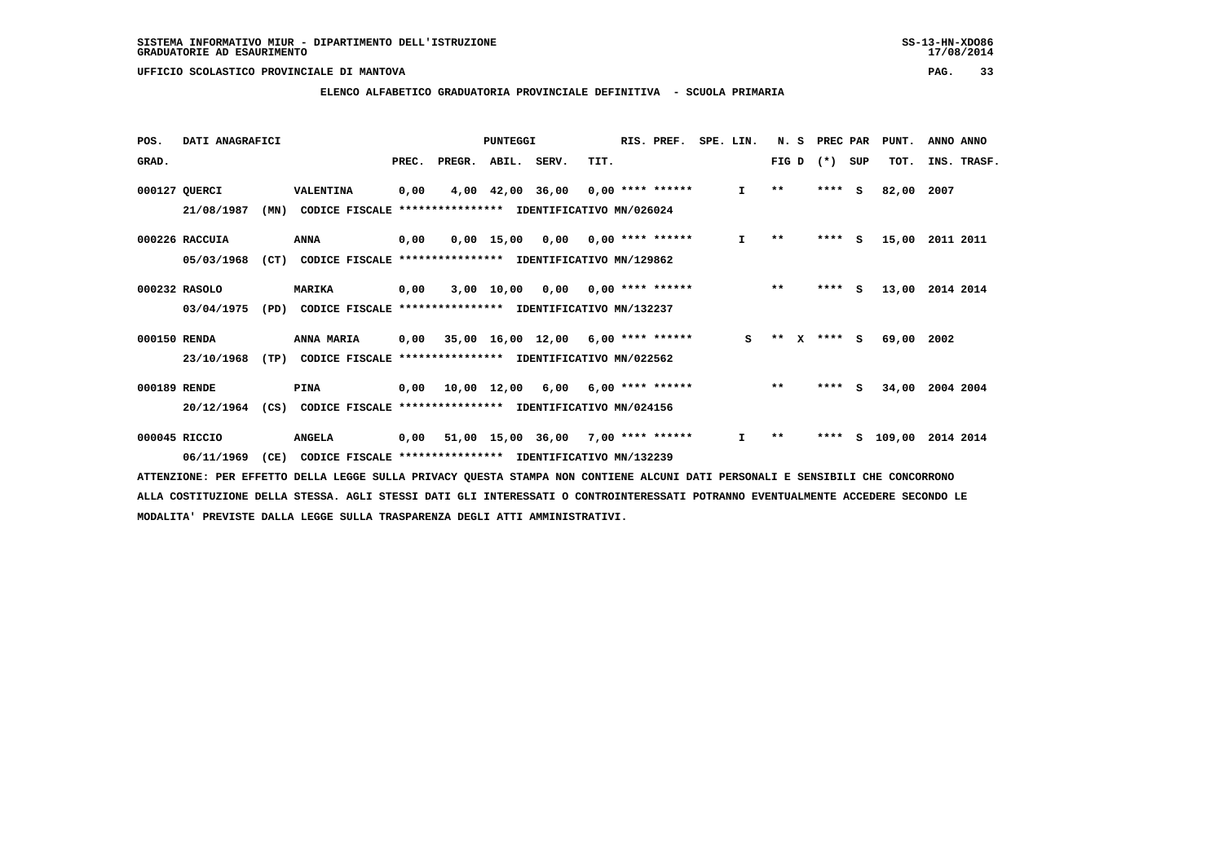#### **ELENCO ALFABETICO GRADUATORIA PROVINCIALE DEFINITIVA - SCUOLA PRIMARIA**

| POS.         | DATI ANAGRAFICI |      |                                                               |       |                    | PUNTEGGI         |                                           |      | RIS. PREF.                      | SPE. LIN. |              | N. S         |          | PREC PAR | PUNT.    | ANNO ANNO   |
|--------------|-----------------|------|---------------------------------------------------------------|-------|--------------------|------------------|-------------------------------------------|------|---------------------------------|-----------|--------------|--------------|----------|----------|----------|-------------|
| GRAD.        |                 |      |                                                               | PREC. | PREGR. ABIL. SERV. |                  |                                           | TIT. |                                 |           |              | FIG D        | $(* )$   | SUP      | TOT.     | INS. TRASF. |
|              | 000127 QUERCI   |      | VALENTINA                                                     | 0,00  |                    | 4,00 42,00 36,00 |                                           |      | 0,00 **** ******                |           | $\mathbf{I}$ | $\star\star$ | ****     | - S      | 82,00    | 2007        |
|              | 21/08/1987      | (MN) | CODICE FISCALE                                                |       |                    |                  | **************** IDENTIFICATIVO MN/026024 |      |                                 |           |              |              |          |          |          |             |
|              | 000226 RACCUIA  |      | ANNA                                                          | 0,00  |                    |                  | $0,00$ 15,00 0,00 0,00 **** ******        |      |                                 |           | I.           | $* *$        |          | **** S   | 15,00    | 2011 2011   |
|              | 05/03/1968      | (CT) | CODICE FISCALE **************** IDENTIFICATIVO MN/129862      |       |                    |                  |                                           |      |                                 |           |              |              |          |          |          |             |
|              | 000232 RASOLO   |      | <b>MARIKA</b>                                                 | 0,00  |                    | 3,00 10,00       |                                           |      | $0.00$ $0.00$ $***$ **** ****** |           |              | $***$        |          | $***$ S  | 13,00    | 2014 2014   |
|              | 03/04/1975      | (PD) | CODICE FISCALE **************** IDENTIFICATIVO MN/132237      |       |                    |                  |                                           |      |                                 |           |              |              |          |          |          |             |
| 000150 RENDA |                 |      | ANNA MARIA                                                    |       |                    |                  | $0,00$ 35,00 16,00 12,00 6,00 **** ****** |      |                                 |           | S.           | $***$        | X **** S |          | 69,00    | 2002        |
|              | 23/10/1968      | (TP) | CODICE FISCALE **************** IDENTIFICATIVO MN/022562      |       |                    |                  |                                           |      |                                 |           |              |              |          |          |          |             |
| 000189 RENDE |                 |      | <b>PINA</b>                                                   | 0.00  |                    | 10,00 12,00      | 6,00                                      |      | 6,00 **** ******                |           |              | $***$        | ****     | <b>S</b> | 34,00    | 2004 2004   |
|              | 20/12/1964      |      | (CS) CODICE FISCALE **************** IDENTIFICATIVO MN/024156 |       |                    |                  |                                           |      |                                 |           |              |              |          |          |          |             |
|              | 000045 RICCIO   |      | <b>ANGELA</b>                                                 |       |                    |                  | $0,00$ 51,00 15,00 36,00 7,00 **** ****** |      |                                 |           | I.           | $* *$        | ****     |          | s 109,00 | 2014 2014   |
|              | 06/11/1969      | (CE) | CODICE FISCALE **************** IDENTIFICATIVO MN/132239      |       |                    |                  |                                           |      |                                 |           |              |              |          |          |          |             |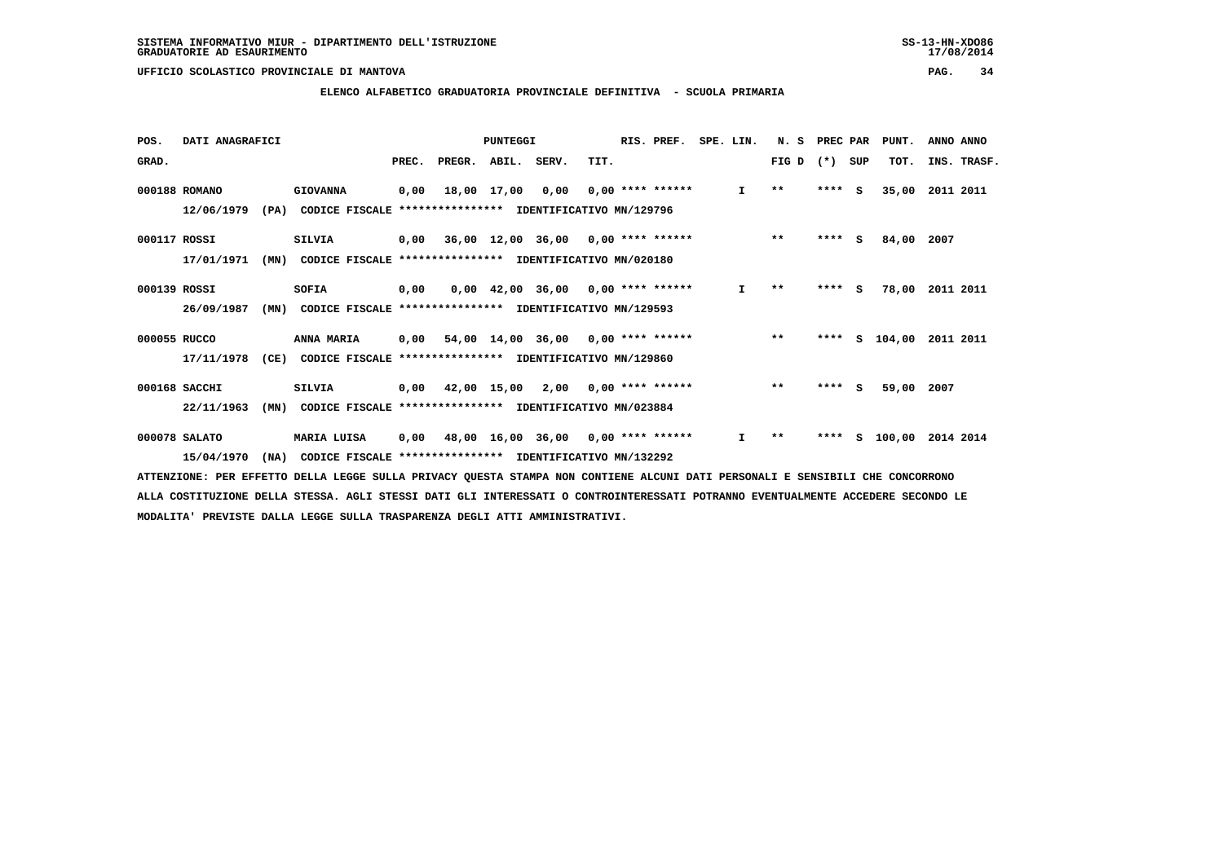#### **ELENCO ALFABETICO GRADUATORIA PROVINCIALE DEFINITIVA - SCUOLA PRIMARIA**

| POS.         | DATI ANAGRAFICI |      |                                                          |      |                          | PUNTEGGI    |                                           |      | RIS. PREF.         | SPE. LIN.    | N. S         | PREC PAR |          | PUNT.      | ANNO ANNO   |
|--------------|-----------------|------|----------------------------------------------------------|------|--------------------------|-------------|-------------------------------------------|------|--------------------|--------------|--------------|----------|----------|------------|-------------|
| GRAD.        |                 |      |                                                          |      | PREC. PREGR. ABIL. SERV. |             |                                           | TIT. |                    |              | FIG D        | $(*)$    | SUP      | TOT.       | INS. TRASF. |
|              | 000188 ROMANO   |      | <b>GIOVANNA</b>                                          | 0,00 |                          | 18,00 17,00 | 0,00                                      |      | $0.00$ **** ****** | $\mathbf{I}$ | $\star\star$ | $***$ S  |          | 35,00      | 2011 2011   |
|              | 12/06/1979      | (PA) | CODICE FISCALE                                           |      |                          |             | *************** IDENTIFICATIVO MN/129796  |      |                    |              |              |          |          |            |             |
| 000117 ROSSI |                 |      | <b>SILVIA</b>                                            |      |                          |             | $0,00$ 36,00 12,00 36,00 0,00 **** ****** |      |                    |              | $***$        | ****     | <b>S</b> | 84,00      | 2007        |
|              | 17/01/1971      | (MN) | CODICE FISCALE **************** IDENTIFICATIVO MN/020180 |      |                          |             |                                           |      |                    |              |              |          |          |            |             |
| 000139 ROSSI |                 |      | SOFIA                                                    | 0,00 |                          |             | $0,00$ 42,00 36,00 0,00 **** ******       |      |                    | $\mathbf{I}$ | $* *$        | ****     | <b>S</b> | 78,00      | 2011 2011   |
|              | 26/09/1987      | (MN) | CODICE FISCALE                                           |      |                          |             | *************** IDENTIFICATIVO MN/129593  |      |                    |              |              |          |          |            |             |
| 000055 RUCCO |                 |      | <b>ANNA MARIA</b>                                        |      |                          |             | $0,00$ 54,00 14,00 36,00 0,00 **** ****** |      |                    |              | $* *$        | ****     |          | S 104,00   | 2011 2011   |
|              | 17/11/1978      | (CE) | CODICE FISCALE **************** IDENTIFICATIVO MN/129860 |      |                          |             |                                           |      |                    |              |              |          |          |            |             |
|              | 000168 SACCHI   |      | <b>SILVIA</b>                                            |      |                          |             | $0,00$ 42,00 15,00 2,00 0,00 **** ******  |      |                    |              | $***$        | ****     | S.       | 59,00 2007 |             |
|              | 22/11/1963      | (MN) | CODICE FISCALE                                           |      |                          |             | **************** IDENTIFICATIVO MN/023884 |      |                    |              |              |          |          |            |             |
|              | 000078 SALATO   |      | MARIA LUISA                                              | 0,00 |                          |             | 48,00 16,00 36,00 0,00 **** ******        |      |                    | $\mathbf{I}$ | $***$        | ****     | s        | 100,00     | 2014 2014   |
|              | 15/04/1970      | (NA) | CODICE FISCALE **************** IDENTIFICATIVO MN/132292 |      |                          |             |                                           |      |                    |              |              |          |          |            |             |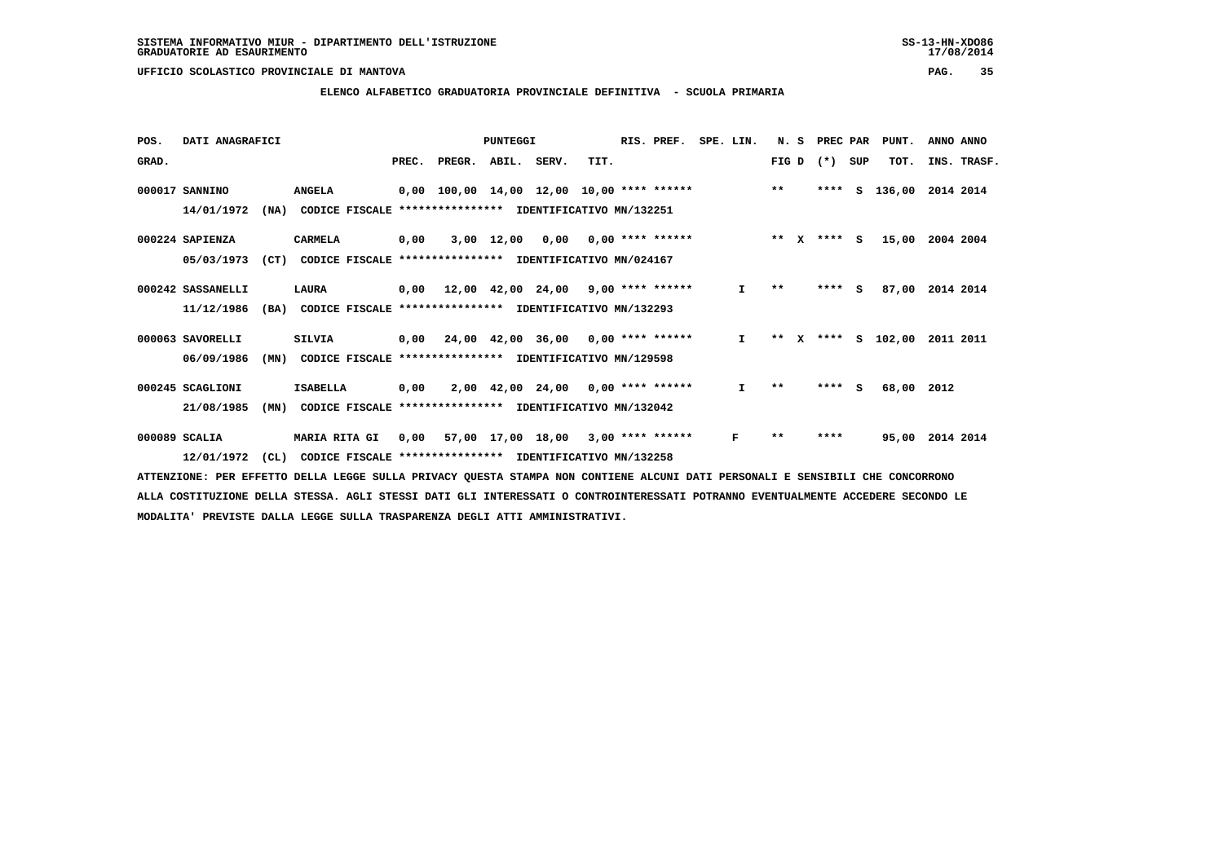#### **ELENCO ALFABETICO GRADUATORIA PROVINCIALE DEFINITIVA - SCUOLA PRIMARIA**

| POS.  | DATI ANAGRAFICI   |      |                                                          |       |                                             | PUNTEGGI          |                                            |      | RIS. PREF.                | SPE. LIN.    | N.S   |              | PREC PAR |     | PUNT.      | ANNO ANNO   |
|-------|-------------------|------|----------------------------------------------------------|-------|---------------------------------------------|-------------------|--------------------------------------------|------|---------------------------|--------------|-------|--------------|----------|-----|------------|-------------|
| GRAD. |                   |      |                                                          | PREC. | PREGR.                                      | ABIL. SERV.       |                                            | TIT. |                           |              | FIG D |              | $(* )$   | SUP | TOT.       | INS. TRASF. |
|       | 000017 SANNINO    |      | <b>ANGELA</b>                                            |       | $0,00$ 100,00 14,00 12,00 10,00 **** ****** |                   |                                            |      |                           |              | $* *$ |              | ****     | s   | 136,00     | 2014 2014   |
|       | 14/01/1972        | (NA) | CODICE FISCALE                                           |       | **************** IDENTIFICATIVO MN/132251   |                   |                                            |      |                           |              |       |              |          |     |            |             |
|       | 000224 SAPIENZA   |      | CARMELA                                                  | 0,00  |                                             | 3,00 12,00        |                                            |      | $0,00$ $0,00$ **** ****** |              | $* *$ | $\mathbf{x}$ | $***$ S  |     | 15,00      | 2004 2004   |
|       | 05/03/1973        | (CT) | CODICE FISCALE **************** IDENTIFICATIVO MN/024167 |       |                                             |                   |                                            |      |                           |              |       |              |          |     |            |             |
|       | 000242 SASSANELLI |      | LAURA                                                    | 0,00  |                                             |                   | $12,00$ $42,00$ $24,00$ $9,00$ **** ****** |      |                           | I.           | **    |              | ****     | S.  | 87,00      | 2014 2014   |
|       | 11/12/1986        | (BA) | CODICE FISCALE                                           |       | *************** IDENTIFICATIVO MN/132293    |                   |                                            |      |                           |              |       |              |          |     |            |             |
|       | 000063 SAVORELLI  |      | <b>SILVIA</b>                                            |       | $0,00$ 24,00 42,00 36,00 0,00 **** ******   |                   |                                            |      |                           | $\mathbf{I}$ | $* *$ | X            | ****     |     | S 102,00   | 2011 2011   |
|       | 06/09/1986        | (MN) | CODICE FISCALE **************** IDENTIFICATIVO MN/129598 |       |                                             |                   |                                            |      |                           |              |       |              |          |     |            |             |
|       | 000245 SCAGLIONI  |      | <b>ISABELLA</b>                                          | 0,00  |                                             |                   | $2,00$ 42,00 24,00 0,00 **** ******        |      |                           | I.           | $* *$ |              | ****     | s   | 68,00 2012 |             |
|       | 21/08/1985        | (MN) | CODICE FISCALE                                           |       | **************** IDENTIFICATIVO MN/132042   |                   |                                            |      |                           |              |       |              |          |     |            |             |
|       | 000089 SCALIA     |      | <b>MARIA RITA GI</b>                                     | 0,00  |                                             | 57,00 17,00 18,00 |                                            |      | $3,00$ **** ******        | F            | $* *$ |              | ****     |     | 95,00      | 2014 2014   |
|       | 12/01/1972        | CL)  | CODICE FISCALE **************** IDENTIFICATIVO MN/132258 |       |                                             |                   |                                            |      |                           |              |       |              |          |     |            |             |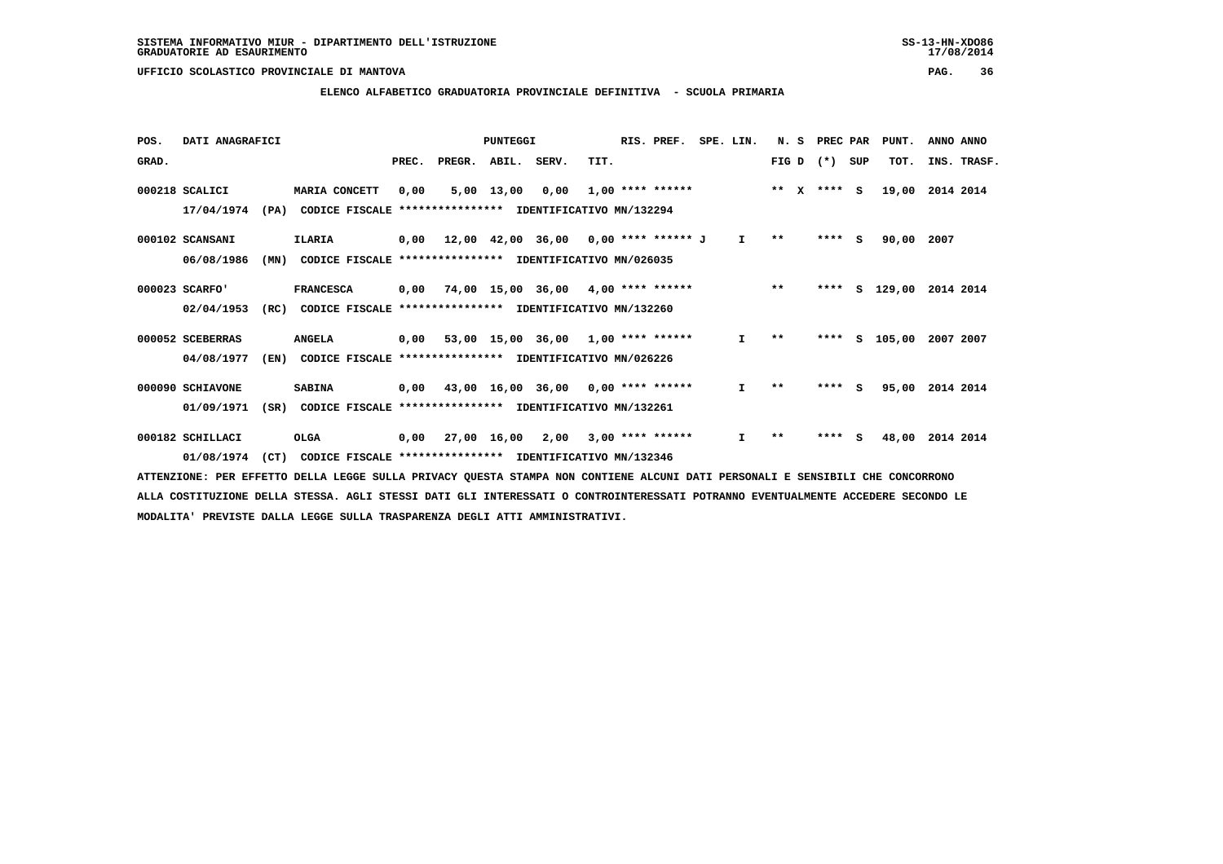#### **ELENCO ALFABETICO GRADUATORIA PROVINCIALE DEFINITIVA - SCUOLA PRIMARIA**

| POS.  | DATI ANAGRAFICI  |      |                                                          |       |                    | PUNTEGGI     |                                             |      | RIS. PREF.              | SPE. LIN.    | N. S          | PREC PAR |     | PUNT.    | ANNO ANNO   |
|-------|------------------|------|----------------------------------------------------------|-------|--------------------|--------------|---------------------------------------------|------|-------------------------|--------------|---------------|----------|-----|----------|-------------|
| GRAD. |                  |      |                                                          | PREC. | PREGR. ABIL. SERV. |              |                                             | TIT. |                         |              | FIG D $(*)$   |          | SUP | TOT.     | INS. TRASF. |
|       | 000218 SCALICI   |      | MARIA CONCETT                                            | 0,00  |                    | $5,00$ 13,00 |                                             |      | $0,00$ 1,00 **** ****** |              | ** $X$ **** S |          |     | 19,00    | 2014 2014   |
|       | 17/04/1974       | (PA) | CODICE FISCALE                                           |       |                    |              | *************** IDENTIFICATIVO MN/132294    |      |                         |              |               |          |     |          |             |
|       | 000102 SCANSANI  |      | <b>ILARIA</b>                                            |       |                    |              | $0,00$ 12,00 42,00 36,00 0,00 **** ****** J |      |                         | $\mathbf{I}$ | $\star\star$  | $***$ S  |     | 90,00    | 2007        |
|       | 06/08/1986       | (MN) | CODICE FISCALE **************** IDENTIFICATIVO MN/026035 |       |                    |              |                                             |      |                         |              |               |          |     |          |             |
|       | 000023 SCARFO'   |      | <b>FRANCESCA</b>                                         | 0,00  |                    |              | 74,00 15,00 36,00 4,00 **** ******          |      |                         |              | $***$         | ****     |     | S 129,00 | 2014 2014   |
|       | 02/04/1953       | (RC) | CODICE FISCALE                                           |       |                    |              | **************** IDENTIFICATIVO MN/132260   |      |                         |              |               |          |     |          |             |
|       | 000052 SCEBERRAS |      | <b>ANGELA</b>                                            |       |                    |              | $0,00$ 53,00 15,00 36,00 1,00 **** ******   |      |                         | I.           | $* *$         | ****     | S.  | 105,00   | 2007 2007   |
|       | 04/08/1977       | (EN) | CODICE FISCALE **************** IDENTIFICATIVO MN/026226 |       |                    |              |                                             |      |                         |              |               |          |     |          |             |
|       | 000090 SCHIAVONE |      | <b>SABINA</b>                                            | 0,00  |                    |              | 43,00 16,00 36,00 0,00 **** ******          |      |                         | I.           | $* *$         | ****     | S.  | 95,00    | 2014 2014   |
|       | 01/09/1971       | (SR) | CODICE FISCALE                                           |       |                    |              | **************** IDENTIFICATIVO MN/132261   |      |                         |              |               |          |     |          |             |
|       | 000182 SCHILLACI |      | OLGA                                                     | 0.00  | 27,00 16,00        |              | 2,00                                        |      | $3,00$ **** ******      | $\mathbf{I}$ | $* *$         | ****     | s   | 48,00    | 2014 2014   |
|       | 01/08/1974       | (CT) | CODICE FISCALE **************** IDENTIFICATIVO MN/132346 |       |                    |              |                                             |      |                         |              |               |          |     |          |             |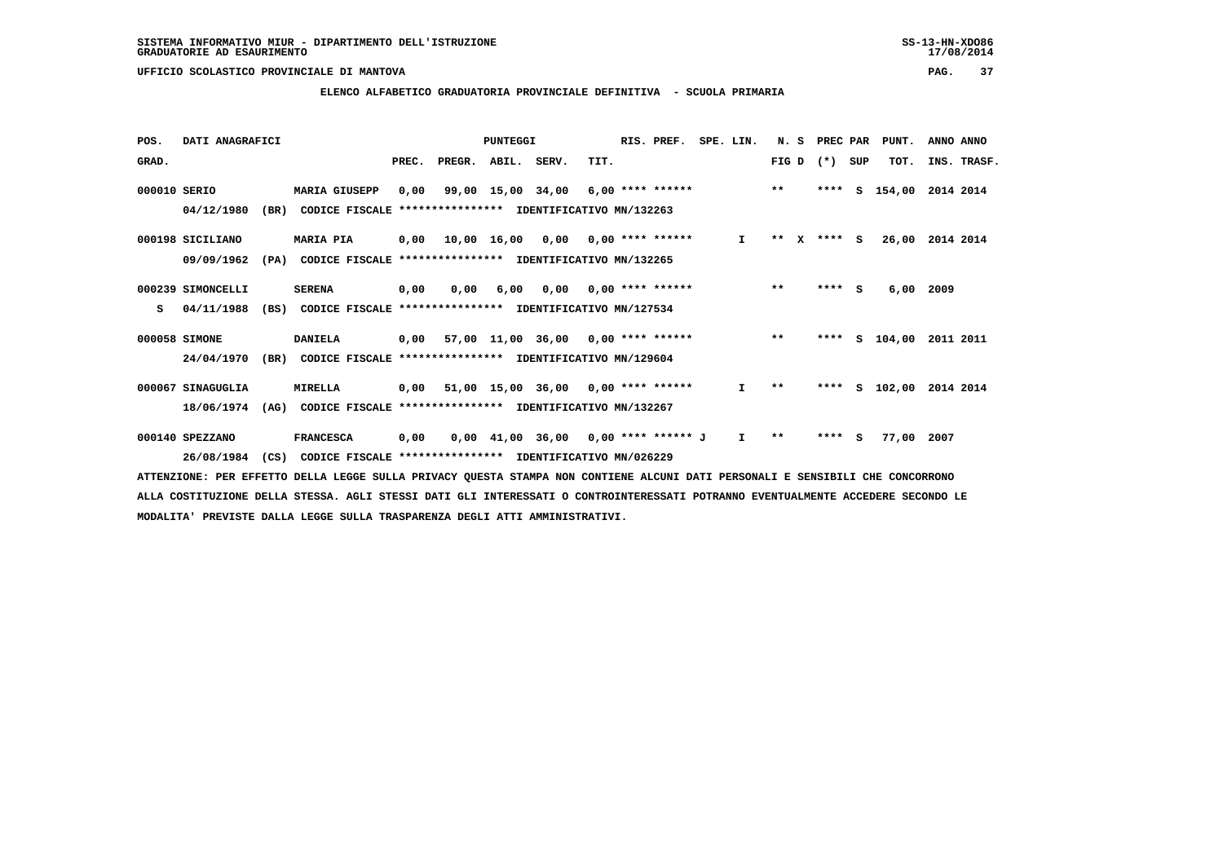#### **ELENCO ALFABETICO GRADUATORIA PROVINCIALE DEFINITIVA - SCUOLA PRIMARIA**

| POS.  | DATI ANAGRAFICI   |      |                                                          | PUNTEGGI |        |                   |                                           |      | RIS. PREF. | N.S                       |              | PREC PAR |              | PUNT.   | ANNO ANNO |            |             |  |
|-------|-------------------|------|----------------------------------------------------------|----------|--------|-------------------|-------------------------------------------|------|------------|---------------------------|--------------|----------|--------------|---------|-----------|------------|-------------|--|
| GRAD. |                   |      |                                                          | PREC.    | PREGR. | ABIL. SERV.       |                                           | TIT. |            |                           |              | FIG D    |              | $(*)$   | SUP       | TOT.       | INS. TRASF. |  |
|       | 000010 SERIO      |      | <b>MARIA GIUSEPP</b>                                     | 0,00     |        | 99,00 15,00 34,00 |                                           |      |            | $6,00$ **** ******        |              | $**$     |              | ****    | s         | 154,00     | 2014 2014   |  |
|       | 04/12/1980        | (BR) | CODICE FISCALE                                           |          |        |                   | *************** IDENTIFICATIVO MN/132263  |      |            |                           |              |          |              |         |           |            |             |  |
|       | 000198 SICILIANO  |      | <b>MARIA PIA</b>                                         |          |        |                   | $0,00$ 10,00 16,00 0,00 0,00 **** ******  |      |            |                           | $\mathbf{I}$ | $***$    | $\mathbf{x}$ | $***$ S |           | 26,00      | 2014 2014   |  |
|       | 09/09/1962        | (PA) | CODICE FISCALE **************** IDENTIFICATIVO MN/132265 |          |        |                   |                                           |      |            |                           |              |          |              |         |           |            |             |  |
|       | 000239 SIMONCELLI |      | <b>SERENA</b>                                            | 0,00     | 0.00   | 6,00              |                                           |      |            | $0,00$ $0,00$ **** ****** |              | $***$    |              | **** S  |           | 6,00       | 2009        |  |
| s     | 04/11/1988        | (BS) | CODICE FISCALE **************** IDENTIFICATIVO MN/127534 |          |        |                   |                                           |      |            |                           |              |          |              |         |           |            |             |  |
|       | 000058 SIMONE     |      | <b>DANIELA</b>                                           |          |        |                   | $0,00$ 57,00 11,00 36,00 0,00 **** ****** |      |            |                           |              | $* *$    |              | ****    |           | S 104,00   | 2011 2011   |  |
|       | 24/04/1970        | (BR) | CODICE FISCALE **************** IDENTIFICATIVO MN/129604 |          |        |                   |                                           |      |            |                           |              |          |              |         |           |            |             |  |
|       | 000067 SINAGUGLIA |      | <b>MIRELLA</b>                                           | 0,00     |        |                   | 51,00 15,00 36,00 0,00 **** ******        |      |            |                           | $\mathbf{I}$ | $* *$    |              | ****    |           | $S$ 102,00 | 2014 2014   |  |
|       | 18/06/1974        | (AG) | CODICE FISCALE                                           |          |        |                   | **************** IDENTIFICATIVO MN/132267 |      |            |                           |              |          |              |         |           |            |             |  |
|       | 000140 SPEZZANO   |      | <b>FRANCESCA</b>                                         | 0,00     |        |                   | $0,00$ 41,00 36,00 0,00 **** ****** J     |      |            |                           | I.           | $* *$    |              | ****    | - 5       | 77,00      | 2007        |  |
|       | 26/08/1984        | (CS) | CODICE FISCALE **************** IDENTIFICATIVO MN/026229 |          |        |                   |                                           |      |            |                           |              |          |              |         |           |            |             |  |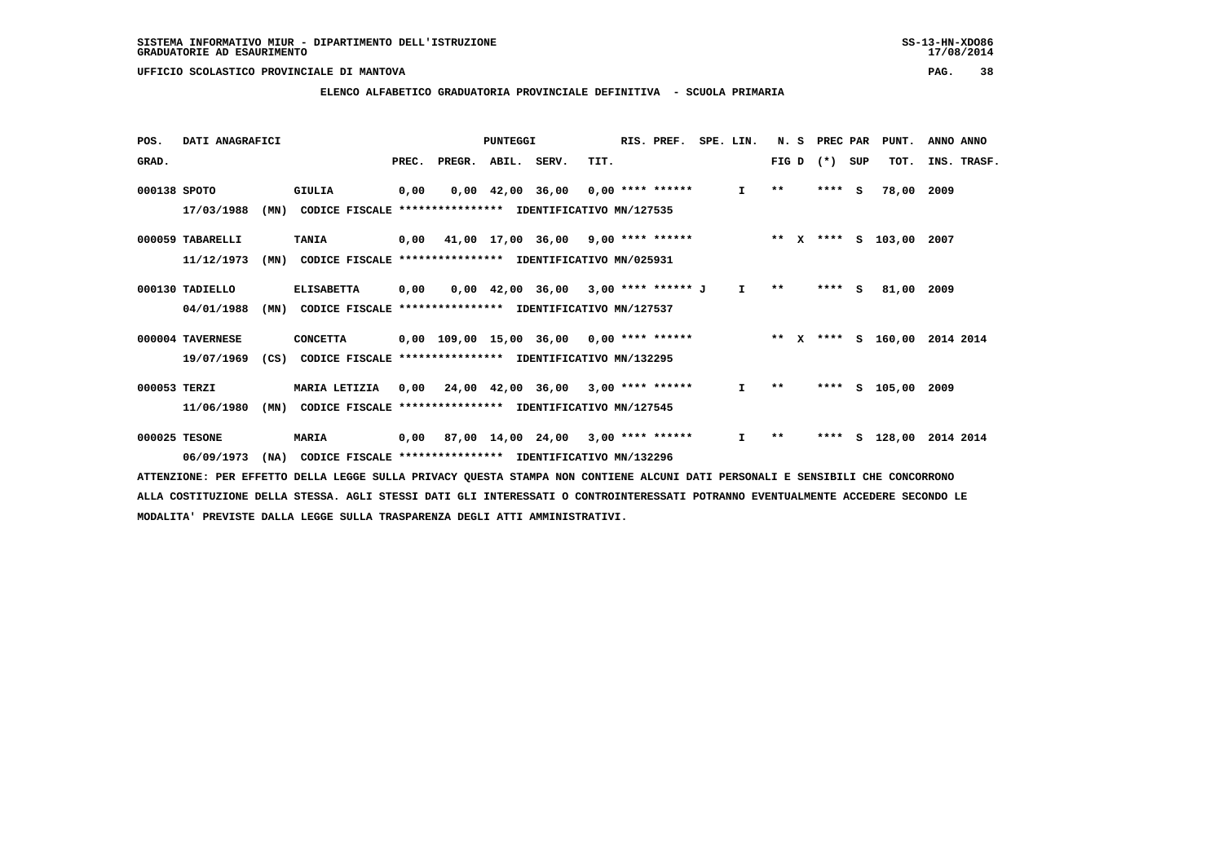#### **ELENCO ALFABETICO GRADUATORIA PROVINCIALE DEFINITIVA - SCUOLA PRIMARIA**

| POS.         | DATI ANAGRAFICI  |      |                                                                                                                             |       |                                            | PUNTEGGI |                                                               |      | RIS. PREF. | SPE. LIN.       |              | N. S | PREC PAR |     | PUNT.              | ANNO ANNO |             |
|--------------|------------------|------|-----------------------------------------------------------------------------------------------------------------------------|-------|--------------------------------------------|----------|---------------------------------------------------------------|------|------------|-----------------|--------------|------|----------|-----|--------------------|-----------|-------------|
| GRAD.        |                  |      |                                                                                                                             | PREC. | PREGR. ABIL. SERV.                         |          |                                                               | TIT. |            |                 | FIG D        |      | $(*)$    | SUP | TOT.               |           | INS. TRASF. |
| 000138 SPOTO |                  |      | <b>GIULIA</b>                                                                                                               | 0,00  |                                            |          | $0.00 \quad 42.00 \quad 36.00 \quad 0.00 \quad *** \quad ***$ |      |            | $\mathbf{I}$    | $* *$        |      | $***$ S  |     | 78,00              | 2009      |             |
|              | 17/03/1988       | (MN) | CODICE FISCALE                                                                                                              |       | **************** IDENTIFICATIVO MN/127535  |          |                                                               |      |            |                 |              |      |          |     |                    |           |             |
|              | 000059 TABARELLI |      | <b>TANIA</b>                                                                                                                | 0,00  | 41,00 17,00 36,00 9,00 **** ******         |          |                                                               |      |            | $\star \star$ x |              |      |          |     | **** S 103,00 2007 |           |             |
|              | 11/12/1973       | (MN) | CODICE FISCALE **************** IDENTIFICATIVO MN/025931                                                                    |       |                                            |          |                                                               |      |            |                 |              |      |          |     |                    |           |             |
|              | 000130 TADIELLO  |      | <b>ELISABETTA</b>                                                                                                           | 0,00  |                                            |          | $0,00$ 42,00 36,00 3,00 **** ****** J                         |      |            | $\mathbf{I}$    | $\star\star$ |      | $***$ S  |     | 81,00              | 2009      |             |
|              | 04/01/1988       | (MN) | CODICE FISCALE **************** IDENTIFICATIVO MN/127537                                                                    |       |                                            |          |                                                               |      |            |                 |              |      |          |     |                    |           |             |
|              | 000004 TAVERNESE |      | <b>CONCETTA</b>                                                                                                             |       | $0,00$ 109,00 15,00 36,00 0,00 **** ****** |          |                                                               |      |            | $***$ X         |              |      |          |     | **** S 160,00      | 2014 2014 |             |
|              | 19/07/1969       | (CS) | CODICE FISCALE **************** IDENTIFICATIVO MN/132295                                                                    |       |                                            |          |                                                               |      |            |                 |              |      |          |     |                    |           |             |
| 000053 TERZI |                  |      | MARIA LETIZIA                                                                                                               |       | $0,00$ 24,00 42,00 36,00 3,00 **** ******  |          |                                                               |      |            | Ι.              | $\star\star$ |      | ****     |     | s 105,00           | 2009      |             |
|              | 11/06/1980       | (MN) | CODICE FISCALE **************** IDENTIFICATIVO MN/127545                                                                    |       |                                            |          |                                                               |      |            |                 |              |      |          |     |                    |           |             |
|              | 000025 TESONE    |      | <b>MARIA</b>                                                                                                                | 0,00  |                                            |          | $87,00$ 14,00 24,00 3,00 **** ******                          |      |            | $\mathbf{I}$    | $\star\star$ |      | ****     |     | S 128,00           | 2014 2014 |             |
|              | 06/09/1973       | (MA) | CODICE FISCALE **************** IDENTIFICATIVO MN/132296                                                                    |       |                                            |          |                                                               |      |            |                 |              |      |          |     |                    |           |             |
|              |                  |      | AMMONICIANO, ADA DODOMNA ADILA IDAGO AULIA ANTUAR AULANA AMANAA NAN GANWIDUD ALANI AARI ADAGANALI O GONGIALI AUD GANGAARANA |       |                                            |          |                                                               |      |            |                 |              |      |          |     |                    |           |             |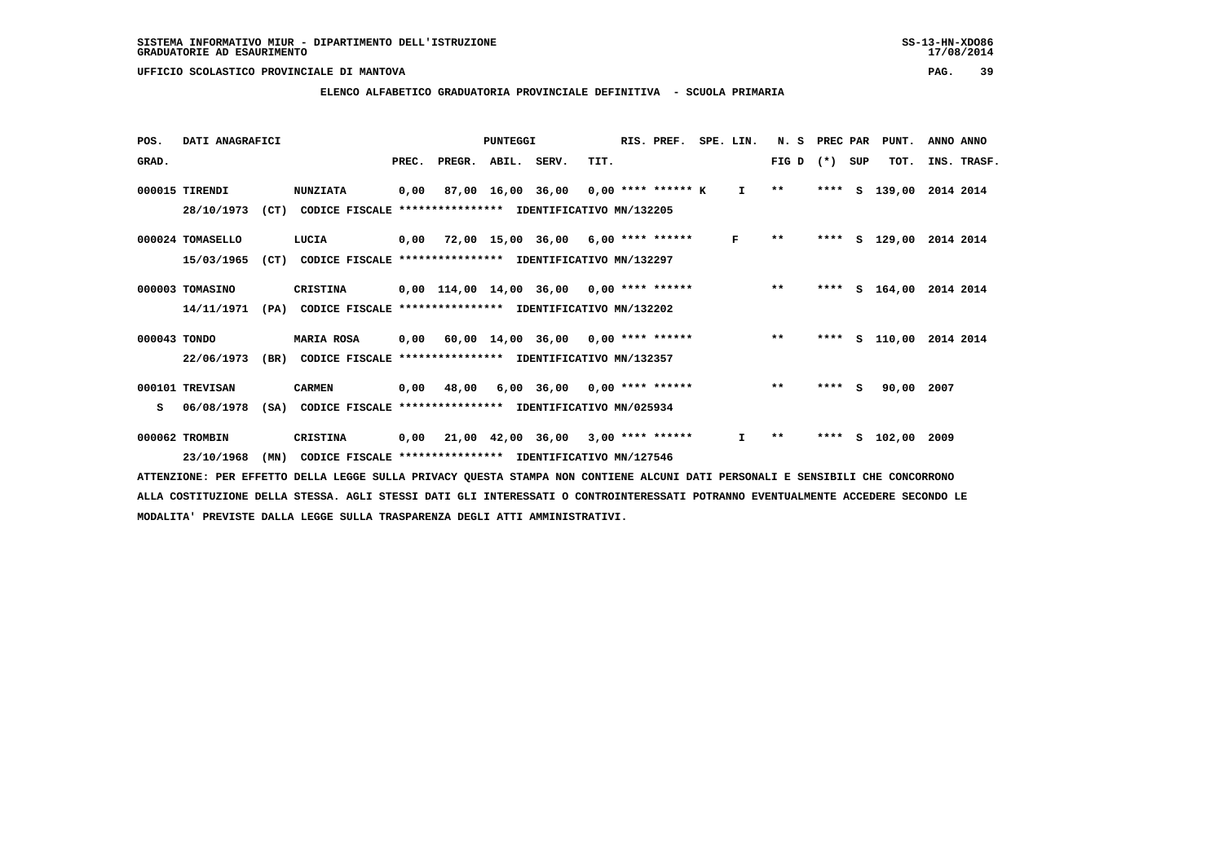#### **ELENCO ALFABETICO GRADUATORIA PROVINCIALE DEFINITIVA - SCUOLA PRIMARIA**

| POS.         | DATI ANAGRAFICI  |      |                                                               | PUNTEGGI |                    |  |                                                 |      | RIS. PREF. | SPE. LIN.    | N. S<br>PREC PAR |         | PUNT. | ANNO ANNO     |                         |
|--------------|------------------|------|---------------------------------------------------------------|----------|--------------------|--|-------------------------------------------------|------|------------|--------------|------------------|---------|-------|---------------|-------------------------|
| GRAD.        |                  |      |                                                               | PREC.    | PREGR. ABIL. SERV. |  |                                                 | TIT. |            |              | FIG D            | $(*)$   | SUP   | TOT.          | INS. TRASF.             |
|              | 000015 TIRENDI   |      | <b>NUNZIATA</b>                                               | 0,00     |                    |  | 87,00 16,00 36,00 0,00 **** ****** K I **       |      |            |              |                  | ****    | s     | 139,00        | 2014 2014               |
|              | 28/10/1973       |      | (CT) CODICE FISCALE **************** IDENTIFICATIVO MN/132205 |          |                    |  |                                                 |      |            |              |                  |         |       |               |                         |
|              | 000024 TOMASELLO |      | LUCIA                                                         |          |                    |  | 0,00 72,00 15,00 36,00 6,00 **** ******         |      |            | $\mathbf{F}$ | $**$             |         |       |               | **** S 129,00 2014 2014 |
|              | 15/03/1965       | (CT) | CODICE FISCALE **************** IDENTIFICATIVO MN/132297      |          |                    |  |                                                 |      |            |              |                  |         |       |               |                         |
|              | 000003 TOMASINO  |      | <b>CRISTINA</b>                                               |          |                    |  | 0,00 114,00 14,00 36,00 0,00 **** ****** *** ** |      |            |              |                  | ****    |       | S 164,00      | 2014 2014               |
|              | 14/11/1971       |      | (PA) CODICE FISCALE **************** IDENTIFICATIVO MN/132202 |          |                    |  |                                                 |      |            |              |                  |         |       |               |                         |
| 000043 TONDO |                  |      | <b>MARIA ROSA</b>                                             |          |                    |  | 0,00 60,00 14,00 36,00 0,00 **** ******         |      |            |              | $***$            | ****    |       | s 110,00      | 2014 2014               |
|              | 22/06/1973       | (BR) | CODICE FISCALE **************** IDENTIFICATIVO MN/132357      |          |                    |  |                                                 |      |            |              |                  |         |       |               |                         |
|              | 000101 TREVISAN  |      | <b>CARMEN</b>                                                 | 0,00     | 48,00              |  | $6,00$ 36,00 0,00 **** ******                   |      |            |              | $***$            | $***$ S |       | 90,00         | 2007                    |
| s            | 06/08/1978       |      | (SA) CODICE FISCALE **************** IDENTIFICATIVO MN/025934 |          |                    |  |                                                 |      |            |              |                  |         |       |               |                         |
|              | 000062 TROMBIN   |      | CRISTINA                                                      |          |                    |  | $0,00$ 21,00 42,00 36,00 3,00 **** ******       |      |            | $\mathbf{I}$ | $* *$            | ****    |       | S 102,00 2009 |                         |
|              | 23/10/1968       | (MN) | CODICE FISCALE **************** IDENTIFICATIVO MN/127546      |          |                    |  |                                                 |      |            |              |                  |         |       |               |                         |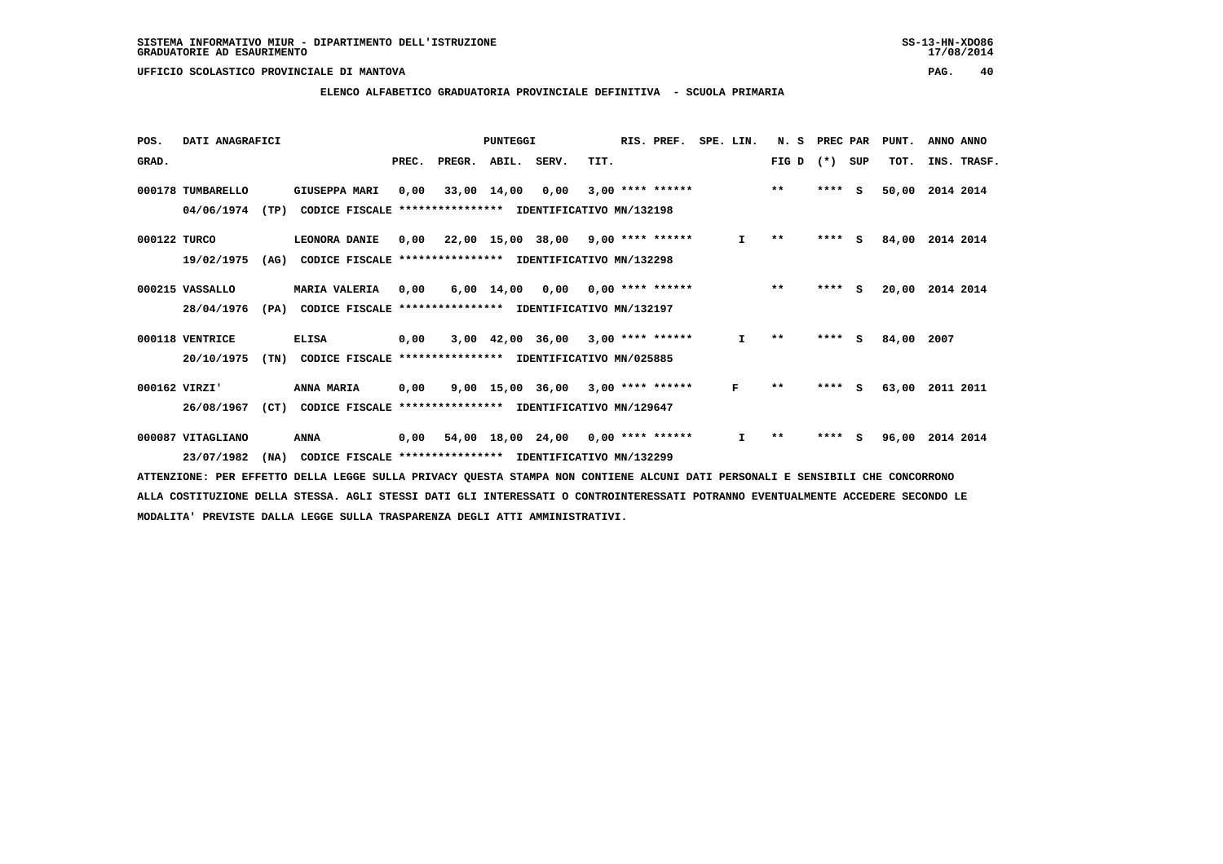#### **ELENCO ALFABETICO GRADUATORIA PROVINCIALE DEFINITIVA - SCUOLA PRIMARIA**

| POS.         | DATI ANAGRAFICI   |      |                                                          | PUNTEGGI |        |                    |                                           |      | RIS. PREF.         | SPE. LIN. |              | N.S   | PREC PAR |          | PUNT. | ANNO ANNO   |
|--------------|-------------------|------|----------------------------------------------------------|----------|--------|--------------------|-------------------------------------------|------|--------------------|-----------|--------------|-------|----------|----------|-------|-------------|
| GRAD.        |                   |      |                                                          | PREC.    | PREGR. | ABIL. SERV.        |                                           | TIT. |                    |           |              | FIG D | $(*)$    | SUP      | TOT.  | INS. TRASF. |
|              | 000178 TUMBARELLO |      | <b>GIUSEPPA MARI</b>                                     | 0,00     |        | 33,00 14,00        | 0,00                                      |      | $3,00$ **** ****** |           |              | $***$ | ****     | - S      | 50,00 | 2014 2014   |
|              | 04/06/1974        | (TP) | CODICE FISCALE **************** IDENTIFICATIVO MN/132198 |          |        |                    |                                           |      |                    |           |              |       |          |          |       |             |
| 000122 TURCO |                   |      | LEONORA DANIE                                            | 0,00     |        |                    | 22,00 15,00 38,00 9,00 **** ******        |      |                    |           | $\mathbf{I}$ | $* *$ | $***$ S  |          | 84,00 | 2014 2014   |
|              | 19/02/1975        | (AG) | CODICE FISCALE                                           |          |        |                    | **************** IDENTIFICATIVO MN/132298 |      |                    |           |              |       |          |          |       |             |
|              | 000215 VASSALLO   |      | <b>MARIA VALERIA</b>                                     | 0,00     |        | $6,00 \quad 14,00$ | 0,00                                      |      | $0.00$ **** ****** |           |              | $***$ | ****     | <b>S</b> | 20,00 | 2014 2014   |
|              | 28/04/1976        | (PA) | CODICE FISCALE **************** IDENTIFICATIVO MN/132197 |          |        |                    |                                           |      |                    |           |              |       |          |          |       |             |
|              | 000118 VENTRICE   |      | <b>ELISA</b>                                             | 0,00     |        |                    | 3,00 42,00 36,00                          |      | $3,00$ **** ****** |           | $\mathbf{I}$ | $* *$ | $***$ S  |          | 84,00 | 2007        |
|              | 20/10/1975        | (TN) | CODICE FISCALE                                           |          |        |                    | **************** IDENTIFICATIVO MN/025885 |      |                    |           |              |       |          |          |       |             |
|              | 000162 VIRZI'     |      | ANNA MARIA                                               | 0,00     |        | 9,00 15,00 36,00   |                                           |      | $3,00$ **** ****** |           | F            | $* *$ | ****     | s        | 63,00 | 2011 2011   |
|              | 26/08/1967        | (CT) | CODICE FISCALE **************** IDENTIFICATIVO MN/129647 |          |        |                    |                                           |      |                    |           |              |       |          |          |       |             |
|              | 000087 VITAGLIANO |      | ANNA                                                     | 0,00     |        |                    | $54,00$ 18,00 24,00 0,00 **** ******      |      |                    |           | I.           | $* *$ | ****     | s        | 96,00 | 2014 2014   |
|              | 23/07/1982        | (NA) | CODICE FISCALE **************** IDENTIFICATIVO MN/132299 |          |        |                    |                                           |      |                    |           |              |       |          |          |       |             |